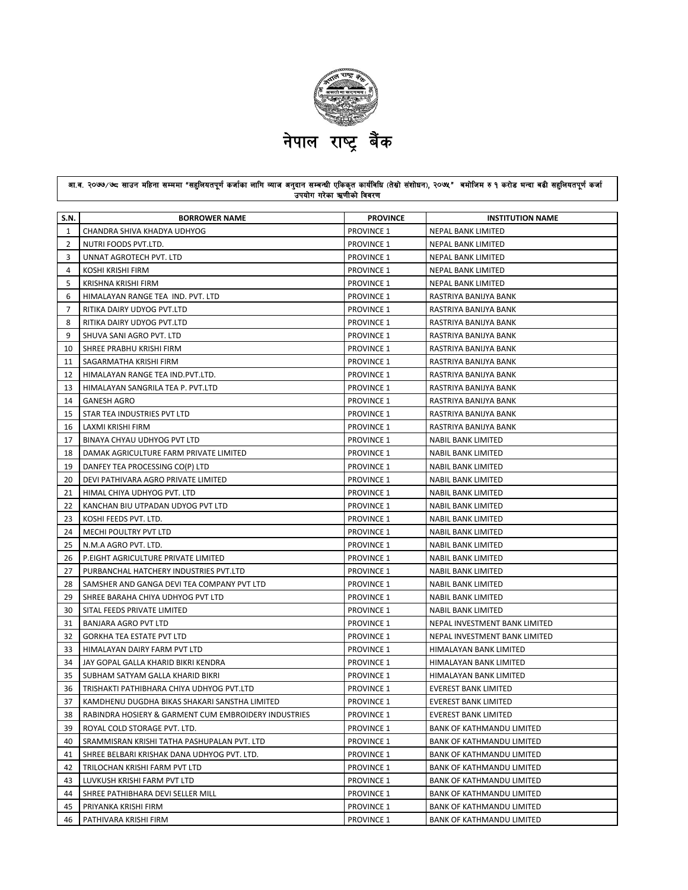

## आ.व. २०७७/७८ साउन महिना सम्ममा "सहुनियतपूर्ण कर्जाका लागि व्याज अनुदान सम्बन्धी एकिकृत कार्यविधि (तेस्रो संशोधन), २०७१" बमोजिम रु १ करोड भन्दा बढी सहुनियतपूर्ण कर्जा उपयोग गरेका ऋणीको विवरण

| S.N. | <b>BORROWER NAME</b>                                 | <b>PROVINCE</b>   | <b>INSTITUTION NAME</b>          |
|------|------------------------------------------------------|-------------------|----------------------------------|
| 1    | CHANDRA SHIVA KHADYA UDHYOG                          | <b>PROVINCE 1</b> | <b>NEPAL BANK LIMITED</b>        |
| 2    | NUTRI FOODS PVT.LTD.                                 | <b>PROVINCE 1</b> | NEPAL BANK LIMITED               |
| 3    | UNNAT AGROTECH PVT. LTD                              | <b>PROVINCE 1</b> | NEPAL BANK LIMITED               |
| 4    | KOSHI KRISHI FIRM                                    | <b>PROVINCE 1</b> | NEPAL BANK LIMITED               |
| 5    | KRISHNA KRISHI FIRM                                  | <b>PROVINCE 1</b> | NEPAL BANK LIMITED               |
| 6    | HIMALAYAN RANGE TEA IND. PVT. LTD                    | <b>PROVINCE 1</b> | RASTRIYA BANIJYA BANK            |
| 7    | RITIKA DAIRY UDYOG PVT.LTD                           | <b>PROVINCE 1</b> | RASTRIYA BANIJYA BANK            |
| 8    | RITIKA DAIRY UDYOG PVT.LTD                           | <b>PROVINCE 1</b> | RASTRIYA BANIJYA BANK            |
| 9    | SHUVA SANI AGRO PVT. LTD                             | <b>PROVINCE 1</b> | RASTRIYA BANIJYA BANK            |
| 10   | SHREE PRABHU KRISHI FIRM                             | <b>PROVINCE 1</b> | RASTRIYA BANIJYA BANK            |
| 11   | SAGARMATHA KRISHI FIRM                               | <b>PROVINCE 1</b> | RASTRIYA BANIJYA BANK            |
| 12   | HIMALAYAN RANGE TEA IND.PVT.LTD.                     | <b>PROVINCE 1</b> | RASTRIYA BANIJYA BANK            |
| 13   | HIMALAYAN SANGRILA TEA P. PVT.LTD                    | <b>PROVINCE 1</b> | RASTRIYA BANIJYA BANK            |
| 14   | <b>GANESH AGRO</b>                                   | <b>PROVINCE 1</b> | RASTRIYA BANIJYA BANK            |
| 15   | STAR TEA INDUSTRIES PVT LTD                          | <b>PROVINCE 1</b> | RASTRIYA BANIJYA BANK            |
| 16   | LAXMI KRISHI FIRM                                    | <b>PROVINCE 1</b> | RASTRIYA BANIJYA BANK            |
| 17   | BINAYA CHYAU UDHYOG PVT LTD                          | <b>PROVINCE 1</b> | <b>NABIL BANK LIMITED</b>        |
| 18   | DAMAK AGRICULTURE FARM PRIVATE LIMITED               | <b>PROVINCE 1</b> | NABIL BANK LIMITED               |
| 19   | DANFEY TEA PROCESSING CO(P) LTD                      | <b>PROVINCE 1</b> | NABIL BANK LIMITED               |
| 20   | DEVI PATHIVARA AGRO PRIVATE LIMITED                  | <b>PROVINCE 1</b> | NABIL BANK LIMITED               |
| 21   | HIMAL CHIYA UDHYOG PVT. LTD                          | <b>PROVINCE 1</b> | NABIL BANK LIMITED               |
| 22   | KANCHAN BIU UTPADAN UDYOG PVT LTD                    | <b>PROVINCE 1</b> | NABIL BANK LIMITED               |
| 23   | KOSHI FEEDS PVT. LTD.                                | <b>PROVINCE 1</b> | <b>NABIL BANK LIMITED</b>        |
| 24   | MECHI POULTRY PVT LTD                                | <b>PROVINCE 1</b> | NABIL BANK LIMITED               |
| 25   | N.M.A AGRO PVT. LTD.                                 | <b>PROVINCE 1</b> | <b>NABIL BANK LIMITED</b>        |
| 26   | P.EIGHT AGRICULTURE PRIVATE LIMITED                  | <b>PROVINCE 1</b> | NABIL BANK LIMITED               |
| 27   | PURBANCHAL HATCHERY INDUSTRIES PVT.LTD               | <b>PROVINCE 1</b> | NABIL BANK LIMITED               |
| 28   | SAMSHER AND GANGA DEVI TEA COMPANY PVT LTD           | <b>PROVINCE 1</b> | NABIL BANK LIMITED               |
| 29   | SHREE BARAHA CHIYA UDHYOG PVT LTD                    | <b>PROVINCE 1</b> | NABIL BANK LIMITED               |
| 30   | SITAL FEEDS PRIVATE LIMITED                          | <b>PROVINCE 1</b> | NABIL BANK LIMITED               |
| 31   | BANJARA AGRO PVT LTD                                 | <b>PROVINCE 1</b> | NEPAL INVESTMENT BANK LIMITED    |
| 32   | <b>GORKHA TEA ESTATE PVT LTD</b>                     | <b>PROVINCE 1</b> | NEPAL INVESTMENT BANK LIMITED    |
| 33   | HIMALAYAN DAIRY FARM PVT LTD                         | <b>PROVINCE 1</b> | HIMALAYAN BANK LIMITED           |
| 34   | JAY GOPAL GALLA KHARID BIKRI KENDRA                  | <b>PROVINCE 1</b> | HIMALAYAN BANK LIMITED           |
| 35   | SUBHAM SATYAM GALLA KHARID BIKRI                     | <b>PROVINCE 1</b> | HIMALAYAN BANK LIMITED           |
| 36   | TRISHAKTI PATHIBHARA CHIYA UDHYOG PVT.LTD            | <b>PROVINCE 1</b> | <b>EVEREST BANK LIMITED</b>      |
| 37   | KAMDHENU DUGDHA BIKAS SHAKARI SANSTHA LIMITED        | <b>PROVINCE 1</b> | <b>EVEREST BANK LIMITED</b>      |
| 38   | RABINDRA HOSIERY & GARMENT CUM EMBROIDERY INDUSTRIES | <b>PROVINCE 1</b> | <b>EVEREST BANK LIMITED</b>      |
| 39   | ROYAL COLD STORAGE PVT. LTD.                         | <b>PROVINCE 1</b> | <b>BANK OF KATHMANDU LIMITED</b> |
| 40   | SRAMMISRAN KRISHI TATHA PASHUPALAN PVT. LTD          | PROVINCE 1        | <b>BANK OF KATHMANDU LIMITED</b> |
| 41   | SHREE BELBARI KRISHAK DANA UDHYOG PVT. LTD.          | <b>PROVINCE 1</b> | <b>BANK OF KATHMANDU LIMITED</b> |
| 42   | TRILOCHAN KRISHI FARM PVT LTD                        | <b>PROVINCE 1</b> | <b>BANK OF KATHMANDU LIMITED</b> |
| 43   | LUVKUSH KRISHI FARM PVT LTD                          | <b>PROVINCE 1</b> | <b>BANK OF KATHMANDU LIMITED</b> |
| 44   | SHREE PATHIBHARA DEVI SELLER MILL                    | <b>PROVINCE 1</b> | <b>BANK OF KATHMANDU LIMITED</b> |
| 45   | PRIYANKA KRISHI FIRM                                 | <b>PROVINCE 1</b> | <b>BANK OF KATHMANDU LIMITED</b> |
| 46   | PATHIVARA KRISHI FIRM                                | PROVINCE 1        | <b>BANK OF KATHMANDU LIMITED</b> |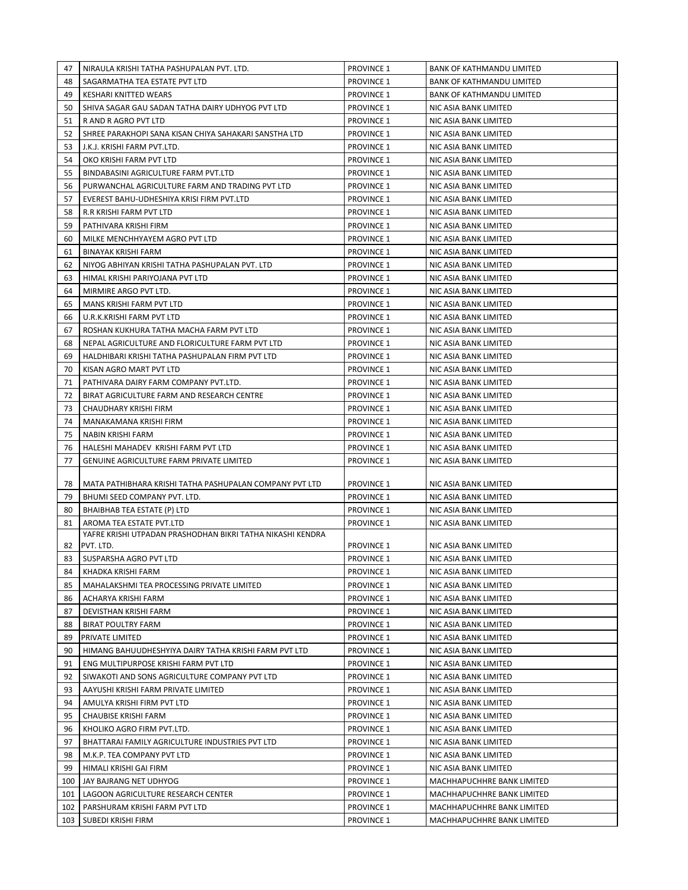| 47  | NIRAULA KRISHI TATHA PASHUPALAN PVT. LTD.                               | PROVINCE 1        | BANK OF KATHMANDU LIMITED        |
|-----|-------------------------------------------------------------------------|-------------------|----------------------------------|
| 48  | SAGARMATHA TEA ESTATE PVT LTD                                           | <b>PROVINCE 1</b> | <b>BANK OF KATHMANDU LIMITED</b> |
| 49  | KESHARI KNITTED WEARS                                                   | <b>PROVINCE 1</b> | <b>BANK OF KATHMANDU LIMITED</b> |
| 50  | SHIVA SAGAR GAU SADAN TATHA DAIRY UDHYOG PVT LTD                        | <b>PROVINCE 1</b> | NIC ASIA BANK LIMITED            |
| 51  | <b>RAND RAGRO PVT LTD</b>                                               | <b>PROVINCE 1</b> | NIC ASIA BANK LIMITED            |
| 52  | SHREE PARAKHOPI SANA KISAN CHIYA SAHAKARI SANSTHA LTD                   | <b>PROVINCE 1</b> | NIC ASIA BANK LIMITED            |
| 53  | J.K.J. KRISHI FARM PVT.LTD.                                             | <b>PROVINCE 1</b> | NIC ASIA BANK LIMITED            |
| 54  | OKO KRISHI FARM PVT LTD                                                 | <b>PROVINCE 1</b> | NIC ASIA BANK LIMITED            |
| 55  | BINDABASINI AGRICULTURE FARM PVT.LTD                                    | <b>PROVINCE 1</b> | NIC ASIA BANK LIMITED            |
| 56  | PURWANCHAL AGRICULTURE FARM AND TRADING PVT LTD                         | PROVINCE 1        | NIC ASIA BANK LIMITED            |
| 57  | EVEREST BAHU-UDHESHIYA KRISI FIRM PVT.LTD                               | <b>PROVINCE 1</b> | NIC ASIA BANK LIMITED            |
| 58  | R.R KRISHI FARM PVT LTD                                                 | <b>PROVINCE 1</b> | NIC ASIA BANK LIMITED            |
| 59  | PATHIVARA KRISHI FIRM                                                   | PROVINCE 1        | NIC ASIA BANK LIMITED            |
| 60  | MILKE MENCHHYAYEM AGRO PVT LTD                                          | <b>PROVINCE 1</b> | NIC ASIA BANK LIMITED            |
| 61  | <b>BINAYAK KRISHI FARM</b>                                              | <b>PROVINCE 1</b> | NIC ASIA BANK LIMITED            |
| 62  | NIYOG ABHIYAN KRISHI TATHA PASHUPALAN PVT. LTD                          | <b>PROVINCE 1</b> | NIC ASIA BANK LIMITED            |
| 63  | HIMAL KRISHI PARIYOJANA PVT LTD                                         | <b>PROVINCE 1</b> | NIC ASIA BANK LIMITED            |
| 64  | MIRMIRE ARGO PVT LTD.                                                   | PROVINCE 1        | NIC ASIA BANK LIMITED            |
| 65  | MANS KRISHI FARM PVT LTD                                                | PROVINCE 1        | NIC ASIA BANK LIMITED            |
| 66  | U.R.K.KRISHI FARM PVT LTD                                               | PROVINCE 1        | NIC ASIA BANK LIMITED            |
| 67  | ROSHAN KUKHURA TATHA MACHA FARM PVT LTD                                 | <b>PROVINCE 1</b> | NIC ASIA BANK LIMITED            |
| 68  | NEPAL AGRICULTURE AND FLORICULTURE FARM PVT LTD                         | <b>PROVINCE 1</b> | NIC ASIA BANK LIMITED            |
| 69  | HALDHIBARI KRISHI TATHA PASHUPALAN FIRM PVT LTD                         | <b>PROVINCE 1</b> | NIC ASIA BANK LIMITED            |
| 70  | KISAN AGRO MART PVT LTD                                                 | <b>PROVINCE 1</b> | NIC ASIA BANK LIMITED            |
| 71  | PATHIVARA DAIRY FARM COMPANY PVT.LTD.                                   | <b>PROVINCE 1</b> | NIC ASIA BANK LIMITED            |
| 72  | BIRAT AGRICULTURE FARM AND RESEARCH CENTRE                              | <b>PROVINCE 1</b> | NIC ASIA BANK LIMITED            |
| 73  | CHAUDHARY KRISHI FIRM                                                   | PROVINCE 1        | NIC ASIA BANK LIMITED            |
| 74  | MANAKAMANA KRISHI FIRM                                                  | <b>PROVINCE 1</b> | NIC ASIA BANK LIMITED            |
| 75  | NABIN KRISHI FARM                                                       | PROVINCE 1        | NIC ASIA BANK LIMITED            |
| 76  | HALESHI MAHADEV KRISHI FARM PVT LTD                                     | <b>PROVINCE 1</b> | NIC ASIA BANK LIMITED            |
| 77  | <b>GENUINE AGRICULTURE FARM PRIVATE LIMITED</b>                         | PROVINCE 1        | NIC ASIA BANK LIMITED            |
|     |                                                                         |                   |                                  |
| 78  | MATA PATHIBHARA KRISHI TATHA PASHUPALAN COMPANY PVT LTD                 | <b>PROVINCE 1</b> | NIC ASIA BANK LIMITED            |
| 79  | BHUMI SEED COMPANY PVT. LTD.                                            | <b>PROVINCE 1</b> | NIC ASIA BANK LIMITED            |
| 80  | BHAIBHAB TEA ESTATE (P) LTD                                             | <b>PROVINCE 1</b> | NIC ASIA BANK LIMITED            |
| 81  | AROMA TEA ESTATE PVT.LTD                                                | <b>PROVINCE 1</b> | NIC ASIA BANK LIMITED            |
| 82  | YAFRE KRISHI UTPADAN PRASHODHAN BIKRI TATHA NIKASHI KENDRA<br>PVT. LTD. | <b>PROVINCE 1</b> | NIC ASIA BANK LIMITED            |
| 83  | SUSPARSHA AGRO PVT LTD                                                  | <b>PROVINCE 1</b> | NIC ASIA BANK LIMITED            |
| 84  | KHADKA KRISHI FARM                                                      | <b>PROVINCE 1</b> | NIC ASIA BANK LIMITED            |
| 85  | MAHALAKSHMI TEA PROCESSING PRIVATE LIMITED                              | PROVINCE 1        | NIC ASIA BANK LIMITED            |
| 86  | ACHARYA KRISHI FARM                                                     | PROVINCE 1        | NIC ASIA BANK LIMITED            |
| 87  | DEVISTHAN KRISHI FARM                                                   | <b>PROVINCE 1</b> | NIC ASIA BANK LIMITED            |
| 88  | <b>BIRAT POULTRY FARM</b>                                               | <b>PROVINCE 1</b> | NIC ASIA BANK LIMITED            |
| 89  | PRIVATE LIMITED                                                         | PROVINCE 1        | NIC ASIA BANK LIMITED            |
| 90  | HIMANG BAHUUDHESHYIYA DAIRY TATHA KRISHI FARM PVT LTD                   | PROVINCE 1        | NIC ASIA BANK LIMITED            |
| 91  | ENG MULTIPURPOSE KRISHI FARM PVT LTD                                    | <b>PROVINCE 1</b> | NIC ASIA BANK LIMITED            |
| 92  | SIWAKOTI AND SONS AGRICULTURE COMPANY PVT LTD                           | <b>PROVINCE 1</b> | NIC ASIA BANK LIMITED            |
| 93  | AAYUSHI KRISHI FARM PRIVATE LIMITED                                     | <b>PROVINCE 1</b> | NIC ASIA BANK LIMITED            |
| 94  | AMULYA KRISHI FIRM PVT LTD                                              | <b>PROVINCE 1</b> | NIC ASIA BANK LIMITED            |
| 95  | CHAUBISE KRISHI FARM                                                    | <b>PROVINCE 1</b> | NIC ASIA BANK LIMITED            |
| 96  | KHOLIKO AGRO FIRM PVT.LTD.                                              | <b>PROVINCE 1</b> | NIC ASIA BANK LIMITED            |
| 97  | BHATTARAI FAMILY AGRICULTURE INDUSTRIES PVT LTD                         | <b>PROVINCE 1</b> | NIC ASIA BANK LIMITED            |
| 98  | M.K.P. TEA COMPANY PVT LTD                                              | <b>PROVINCE 1</b> | NIC ASIA BANK LIMITED            |
| 99  | HIMALI KRISHI GAI FIRM                                                  | <b>PROVINCE 1</b> | NIC ASIA BANK LIMITED            |
| 100 | JAY BAJRANG NET UDHYOG                                                  | <b>PROVINCE 1</b> | MACHHAPUCHHRE BANK LIMITED       |
| 101 | LAGOON AGRICULTURE RESEARCH CENTER                                      | <b>PROVINCE 1</b> | MACHHAPUCHHRE BANK LIMITED       |
| 102 | PARSHURAM KRISHI FARM PVT LTD                                           | PROVINCE 1        | MACHHAPUCHHRE BANK LIMITED       |
|     | 103   SUBEDI KRISHI FIRM                                                | <b>PROVINCE 1</b> | MACHHAPUCHHRE BANK LIMITED       |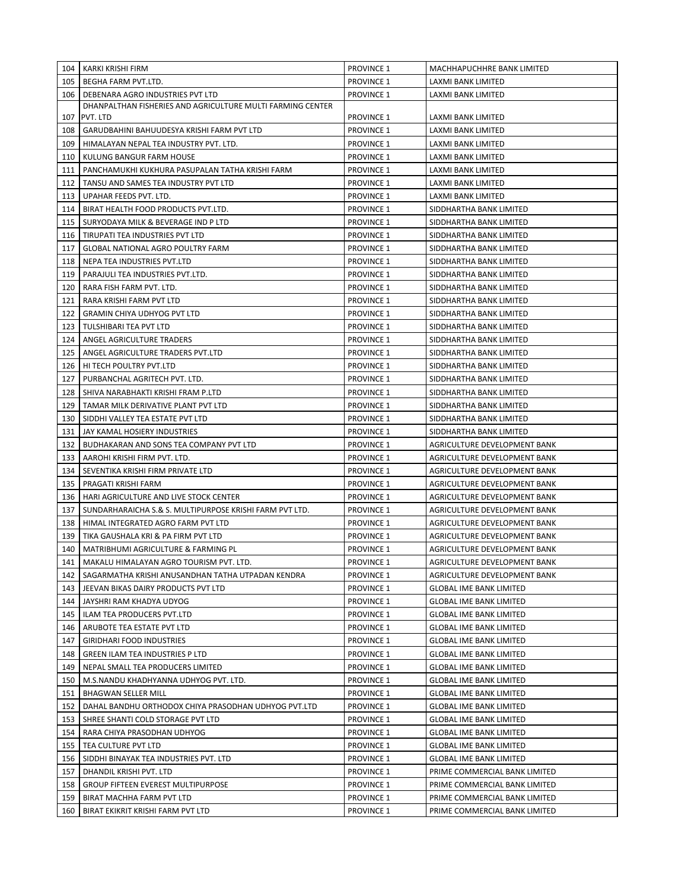|       | 104   KARKI KRISHI FIRM                                    | <b>PROVINCE 1</b> | MACHHAPUCHHRE BANK LIMITED     |
|-------|------------------------------------------------------------|-------------------|--------------------------------|
| 105 l | BEGHA FARM PVT.LTD.                                        | <b>PROVINCE 1</b> | LAXMI BANK LIMITED             |
| 106 I | DEBENARA AGRO INDUSTRIES PVT LTD                           | PROVINCE 1        | LAXMI BANK LIMITED             |
|       | DHANPALTHAN FISHERIES AND AGRICULTURE MULTI FARMING CENTER |                   |                                |
| 107   | PVT. LTD                                                   | <b>PROVINCE 1</b> | LAXMI BANK LIMITED             |
| 108   | GARUDBAHINI BAHUUDESYA KRISHI FARM PVT LTD                 | <b>PROVINCE 1</b> | LAXMI BANK LIMITED             |
| 109   | HIMALAYAN NEPAL TEA INDUSTRY PVT. LTD.                     | <b>PROVINCE 1</b> | <b>LAXMI BANK LIMITED</b>      |
| 110   | KULUNG BANGUR FARM HOUSE                                   | <b>PROVINCE 1</b> | LAXMI BANK LIMITED             |
| 111   | PANCHAMUKHI KUKHURA PASUPALAN TATHA KRISHI FARM            | <b>PROVINCE 1</b> | LAXMI BANK LIMITED             |
| 112   | TANSU AND SAMES TEA INDUSTRY PVT LTD                       | <b>PROVINCE 1</b> | LAXMI BANK LIMITED             |
| 113   | UPAHAR FEEDS PVT. LTD.                                     | <b>PROVINCE 1</b> | LAXMI BANK LIMITED             |
| 114   | BIRAT HEALTH FOOD PRODUCTS PVT.LTD.                        | <b>PROVINCE 1</b> | SIDDHARTHA BANK LIMITED        |
| 115   | SURYODAYA MILK & BEVERAGE IND P LTD                        | <b>PROVINCE 1</b> | SIDDHARTHA BANK LIMITED        |
| 116   | TIRUPATI TEA INDUSTRIES PVT LTD                            | <b>PROVINCE 1</b> | SIDDHARTHA BANK LIMITED        |
| 117   | <b>GLOBAL NATIONAL AGRO POULTRY FARM</b>                   | <b>PROVINCE 1</b> | SIDDHARTHA BANK LIMITED        |
| 118   | NEPA TEA INDUSTRIES PVT.LTD                                | <b>PROVINCE 1</b> | SIDDHARTHA BANK LIMITED        |
| 119   | PARAJULI TEA INDUSTRIES PVT.LTD.                           | <b>PROVINCE 1</b> | SIDDHARTHA BANK LIMITED        |
| 120   | RARA FISH FARM PVT. LTD.                                   | <b>PROVINCE 1</b> | SIDDHARTHA BANK LIMITED        |
| 121   | RARA KRISHI FARM PVT LTD                                   | <b>PROVINCE 1</b> | SIDDHARTHA BANK LIMITED        |
| 122   | <b>GRAMIN CHIYA UDHYOG PVT LTD</b>                         | <b>PROVINCE 1</b> | SIDDHARTHA BANK LIMITED        |
| 123   | TULSHIBARI TEA PVT LTD                                     | <b>PROVINCE 1</b> | SIDDHARTHA BANK LIMITED        |
| 124   | ANGEL AGRICULTURE TRADERS                                  | <b>PROVINCE 1</b> | SIDDHARTHA BANK LIMITED        |
| 125   | ANGEL AGRICULTURE TRADERS PVT.LTD                          | <b>PROVINCE 1</b> | SIDDHARTHA BANK LIMITED        |
| 126   | HI TECH POULTRY PVT.LTD                                    | <b>PROVINCE 1</b> | SIDDHARTHA BANK LIMITED        |
| 127   | PURBANCHAL AGRITECH PVT. LTD.                              | <b>PROVINCE 1</b> | SIDDHARTHA BANK LIMITED        |
| 128   | SHIVA NARABHAKTI KRISHI FRAM P.LTD                         | <b>PROVINCE 1</b> | SIDDHARTHA BANK LIMITED        |
| 129   | TAMAR MILK DERIVATIVE PLANT PVT LTD                        | <b>PROVINCE 1</b> | SIDDHARTHA BANK LIMITED        |
| 130   | SIDDHI VALLEY TEA ESTATE PVT LTD                           | <b>PROVINCE 1</b> | SIDDHARTHA BANK LIMITED        |
| 131   | JAY KAMAL HOSIERY INDUSTRIES                               | <b>PROVINCE 1</b> | SIDDHARTHA BANK LIMITED        |
| 132   | BUDHAKARAN AND SONS TEA COMPANY PVT LTD                    | <b>PROVINCE 1</b> | AGRICULTURE DEVELOPMENT BANK   |
| 133   | AAROHI KRISHI FIRM PVT. LTD.                               | <b>PROVINCE 1</b> | AGRICULTURE DEVELOPMENT BANK   |
| 134   | SEVENTIKA KRISHI FIRM PRIVATE LTD                          | <b>PROVINCE 1</b> | AGRICULTURE DEVELOPMENT BANK   |
| 135   | PRAGATI KRISHI FARM                                        | <b>PROVINCE 1</b> | AGRICULTURE DEVELOPMENT BANK   |
| 136   | HARI AGRICULTURE AND LIVE STOCK CENTER                     | <b>PROVINCE 1</b> | AGRICULTURE DEVELOPMENT BANK   |
| 137   | SUNDARHARAICHA S.& S. MULTIPURPOSE KRISHI FARM PVT LTD.    | <b>PROVINCE 1</b> | AGRICULTURE DEVELOPMENT BANK   |
| 138   | HIMAL INTEGRATED AGRO FARM PVT LTD                         | <b>PROVINCE 1</b> | AGRICULTURE DEVELOPMENT BANK   |
| 139   | TIKA GAUSHALA KRI & PA FIRM PVT LTD                        | <b>PROVINCE 1</b> | AGRICULTURE DEVELOPMENT BANK   |
| 140   | MATRIBHUMI AGRICULTURE & FARMING PL                        | <b>PROVINCE 1</b> | AGRICULTURE DEVELOPMENT BANK   |
| 141   | MAKALU HIMALAYAN AGRO TOURISM PVT. LTD.                    | PROVINCE 1        | AGRICULTURE DEVELOPMENT BANK   |
| 142   | SAGARMATHA KRISHI ANUSANDHAN TATHA UTPADAN KENDRA          | <b>PROVINCE 1</b> | AGRICULTURE DEVELOPMENT BANK   |
| 143   | JEEVAN BIKAS DAIRY PRODUCTS PVT LTD                        | <b>PROVINCE 1</b> | <b>GLOBAL IME BANK LIMITED</b> |
| 144   | JAYSHRI RAM KHADYA UDYOG                                   | <b>PROVINCE 1</b> | <b>GLOBAL IME BANK LIMITED</b> |
| 145   | ILAM TEA PRODUCERS PVT.LTD                                 | <b>PROVINCE 1</b> | <b>GLOBAL IME BANK LIMITED</b> |
| 146   | ARUBOTE TEA ESTATE PVT LTD                                 | <b>PROVINCE 1</b> | <b>GLOBAL IME BANK LIMITED</b> |
| 147   | GIRIDHARI FOOD INDUSTRIES                                  | <b>PROVINCE 1</b> | <b>GLOBAL IME BANK LIMITED</b> |
| 148   | GREEN ILAM TEA INDUSTRIES P LTD                            | <b>PROVINCE 1</b> | <b>GLOBAL IME BANK LIMITED</b> |
| 149   | NEPAL SMALL TEA PRODUCERS LIMITED                          | <b>PROVINCE 1</b> | <b>GLOBAL IME BANK LIMITED</b> |
| 150   | M.S.NANDU KHADHYANNA UDHYOG PVT. LTD.                      | <b>PROVINCE 1</b> | <b>GLOBAL IME BANK LIMITED</b> |
| 151   | <b>BHAGWAN SELLER MILL</b>                                 | <b>PROVINCE 1</b> | <b>GLOBAL IME BANK LIMITED</b> |
| 152   | DAHAL BANDHU ORTHODOX CHIYA PRASODHAN UDHYOG PVT.LTD       | <b>PROVINCE 1</b> | <b>GLOBAL IME BANK LIMITED</b> |
| 153   | SHREE SHANTI COLD STORAGE PVT LTD                          | <b>PROVINCE 1</b> | <b>GLOBAL IME BANK LIMITED</b> |
| 154   | RARA CHIYA PRASODHAN UDHYOG                                | <b>PROVINCE 1</b> | <b>GLOBAL IME BANK LIMITED</b> |
| 155   | TEA CULTURE PVT LTD                                        | PROVINCE 1        | <b>GLOBAL IME BANK LIMITED</b> |
| 156   | SIDDHI BINAYAK TEA INDUSTRIES PVT. LTD                     | <b>PROVINCE 1</b> | <b>GLOBAL IME BANK LIMITED</b> |
| 157   | DHANDIL KRISHI PVT. LTD                                    | <b>PROVINCE 1</b> | PRIME COMMERCIAL BANK LIMITED  |
| 158   | <b>GROUP FIFTEEN EVEREST MULTIPURPOSE</b>                  | <b>PROVINCE 1</b> | PRIME COMMERCIAL BANK LIMITED  |
| 159   | BIRAT MACHHA FARM PVT LTD                                  | <b>PROVINCE 1</b> | PRIME COMMERCIAL BANK LIMITED  |
| 160   | BIRAT EKIKRIT KRISHI FARM PVT LTD                          | <b>PROVINCE 1</b> | PRIME COMMERCIAL BANK LIMITED  |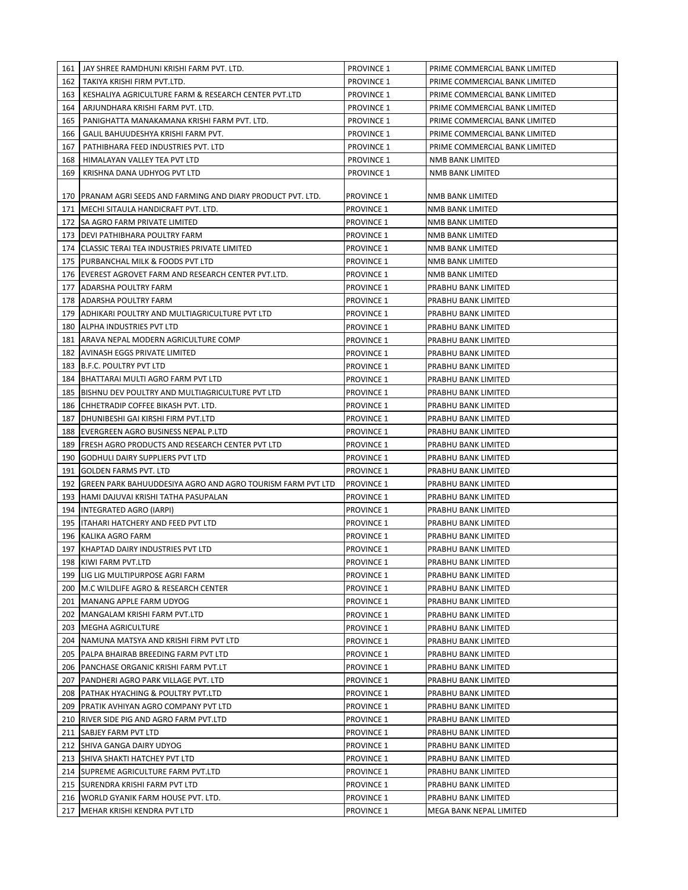| 161 | JAY SHREE RAMDHUNI KRISHI FARM PVT. LTD.                        | <b>PROVINCE 1</b> | PRIME COMMERCIAL BANK LIMITED |
|-----|-----------------------------------------------------------------|-------------------|-------------------------------|
| 162 | TAKIYA KRISHI FIRM PVT.LTD.                                     | <b>PROVINCE 1</b> | PRIME COMMERCIAL BANK LIMITED |
| 163 | KESHALIYA AGRICULTURE FARM & RESEARCH CENTER PVT.LTD            | PROVINCE 1        | PRIME COMMERCIAL BANK LIMITED |
| 164 | ARJUNDHARA KRISHI FARM PVT. LTD.                                | <b>PROVINCE 1</b> | PRIME COMMERCIAL BANK LIMITED |
| 165 | PANIGHATTA MANAKAMANA KRISHI FARM PVT. LTD.                     | <b>PROVINCE 1</b> | PRIME COMMERCIAL BANK LIMITED |
| 166 | GALIL BAHUUDESHYA KRISHI FARM PVT.                              | <b>PROVINCE 1</b> | PRIME COMMERCIAL BANK LIMITED |
| 167 | PATHIBHARA FEED INDUSTRIES PVT. LTD                             | <b>PROVINCE 1</b> | PRIME COMMERCIAL BANK LIMITED |
| 168 | HIMALAYAN VALLEY TEA PVT LTD                                    | <b>PROVINCE 1</b> | NMB BANK LIMITED              |
| 169 | KRISHNA DANA UDHYOG PVT LTD                                     | <b>PROVINCE 1</b> | NMB BANK LIMITED              |
|     |                                                                 |                   |                               |
|     | 170   PRANAM AGRI SEEDS AND FARMING AND DIARY PRODUCT PVT. LTD. | PROVINCE 1        | NMB BANK LIMITED              |
|     | 171   MECHI SITAULA HANDICRAFT PVT. LTD.                        | <b>PROVINCE 1</b> | NMB BANK LIMITED              |
|     | 172   SA AGRO FARM PRIVATE LIMITED                              | <b>PROVINCE 1</b> | NMB BANK LIMITED              |
|     | 173   DEVI PATHIBHARA POULTRY FARM                              | <b>PROVINCE 1</b> | NMB BANK LIMITED              |
| 174 | <b>CLASSIC TERAI TEA INDUSTRIES PRIVATE LIMITED</b>             | <b>PROVINCE 1</b> | NMB BANK LIMITED              |
| 175 | <b>PURBANCHAL MILK &amp; FOODS PVT LTD</b>                      | <b>PROVINCE 1</b> | NMB BANK LIMITED              |
| 176 | EVEREST AGROVET FARM AND RESEARCH CENTER PVT.LTD.               | <b>PROVINCE 1</b> | NMB BANK LIMITED              |
| 177 | <b>ADARSHA POULTRY FARM</b>                                     | <b>PROVINCE 1</b> | PRABHU BANK LIMITED           |
| 178 | <b>ADARSHA POULTRY FARM</b>                                     | <b>PROVINCE 1</b> | PRABHU BANK LIMITED           |
| 179 | ADHIKARI POULTRY AND MULTIAGRICULTURE PVT LTD                   | <b>PROVINCE 1</b> | PRABHU BANK LIMITED           |
|     | 180 ALPHA INDUSTRIES PVT LTD                                    | <b>PROVINCE 1</b> | PRABHU BANK LIMITED           |
| 181 | ARAVA NEPAL MODERN AGRICULTURE COMP                             | <b>PROVINCE 1</b> | PRABHU BANK LIMITED           |
| 182 | <b>AVINASH EGGS PRIVATE LIMITED</b>                             | <b>PROVINCE 1</b> | PRABHU BANK LIMITED           |
|     | 183 B.F.C. POULTRY PVT LTD                                      | <b>PROVINCE 1</b> | PRABHU BANK LIMITED           |
|     | 184   BHATTARAI MULTI AGRO FARM PVT LTD                         | <b>PROVINCE 1</b> | PRABHU BANK LIMITED           |
|     | 185 BISHNU DEV POULTRY AND MULTIAGRICULTURE PVT LTD             | <b>PROVINCE 1</b> | PRABHU BANK LIMITED           |
|     | 186 CHHETRADIP COFFEE BIKASH PVT. LTD.                          | PROVINCE 1        | PRABHU BANK LIMITED           |
| 187 | <b>DHUNIBESHI GAI KIRSHI FIRM PVT.LTD</b>                       | PROVINCE 1        | PRABHU BANK LIMITED           |
|     | 188 EVERGREEN AGRO BUSINESS NEPAL P.LTD                         | <b>PROVINCE 1</b> | PRABHU BANK LIMITED           |
| 189 | <b>FRESH AGRO PRODUCTS AND RESEARCH CENTER PVT LTD</b>          | <b>PROVINCE 1</b> | PRABHU BANK LIMITED           |
| 190 | GODHULI DAIRY SUPPLIERS PVT LTD                                 | <b>PROVINCE 1</b> | PRABHU BANK LIMITED           |
| 191 | <b>GOLDEN FARMS PVT. LTD</b>                                    | <b>PROVINCE 1</b> | <b>PRABHU BANK LIMITED</b>    |
| 192 | GREEN PARK BAHUUDDESIYA AGRO AND AGRO TOURISM FARM PVT LTD      | <b>PROVINCE 1</b> | PRABHU BANK LIMITED           |
| 193 | HAMI DAJUVAI KRISHI TATHA PASUPALAN                             | <b>PROVINCE 1</b> | PRABHU BANK LIMITED           |
| 194 | <b>INTEGRATED AGRO (IARPI)</b>                                  | <b>PROVINCE 1</b> | PRABHU BANK LIMITED           |
| 195 | <b>ITAHARI HATCHERY AND FEED PVT LTD</b>                        | <b>PROVINCE 1</b> | PRABHU BANK LIMITED           |
|     | 196 KALIKA AGRO FARM                                            | <b>PROVINCE 1</b> | PRABHU BANK LIMITED           |
|     | 197 KHAPTAD DAIRY INDUSTRIES PVT LTD                            | <b>PROVINCE 1</b> | PRABHU BANK LIMITED           |
|     | 198 KIWI FARM PVT.LTD                                           | PROVINCE 1        | PRABHU BANK LIMITED           |
| 199 | LIG LIG MULTIPURPOSE AGRI FARM                                  | PROVINCE 1        | PRABHU BANK LIMITED           |
| 200 | M.C WILDLIFE AGRO & RESEARCH CENTER                             | <b>PROVINCE 1</b> | PRABHU BANK LIMITED           |
|     | 201   MANANG APPLE FARM UDYOG                                   | PROVINCE 1        | PRABHU BANK LIMITED           |
|     | 202   MANGALAM KRISHI FARM PVT.LTD                              | PROVINCE 1        | PRABHU BANK LIMITED           |
|     | 203   MEGHA AGRICULTURE                                         | PROVINCE 1        | PRABHU BANK LIMITED           |
|     | 204   NAMUNA MATSYA AND KRISHI FIRM PVT LTD                     | PROVINCE 1        | PRABHU BANK LIMITED           |
|     | 205 PALPA BHAIRAB BREEDING FARM PVT LTD                         | PROVINCE 1        | PRABHU BANK LIMITED           |
|     | 206 PANCHASE ORGANIC KRISHI FARM PVT.LT                         | <b>PROVINCE 1</b> | PRABHU BANK LIMITED           |
|     | 207   PANDHERI AGRO PARK VILLAGE PVT. LTD                       | <b>PROVINCE 1</b> | PRABHU BANK LIMITED           |
|     | 208   PATHAK HYACHING & POULTRY PVT.LTD                         | <b>PROVINCE 1</b> | PRABHU BANK LIMITED           |
|     | 209   PRATIK AVHIYAN AGRO COMPANY PVT LTD                       | <b>PROVINCE 1</b> | PRABHU BANK LIMITED           |
|     | 210   RIVER SIDE PIG AND AGRO FARM PVT.LTD                      | <b>PROVINCE 1</b> | PRABHU BANK LIMITED           |
|     | 211 SABJEY FARM PVT LTD                                         | PROVINCE 1        | PRABHU BANK LIMITED           |
|     | 212 SHIVA GANGA DAIRY UDYOG                                     | PROVINCE 1        | PRABHU BANK LIMITED           |
|     | 213 SHIVA SHAKTI HATCHEY PVT LTD                                | <b>PROVINCE 1</b> | PRABHU BANK LIMITED           |
|     | 214 SUPREME AGRICULTURE FARM PVT.LTD                            | PROVINCE 1        | PRABHU BANK LIMITED           |
|     | 215   SURENDRA KRISHI FARM PVT LTD                              | PROVINCE 1        | PRABHU BANK LIMITED           |
|     | 216   WORLD GYANIK FARM HOUSE PVT. LTD.                         | <b>PROVINCE 1</b> | PRABHU BANK LIMITED           |
|     | 217   MEHAR KRISHI KENDRA PVT LTD                               | PROVINCE 1        | MEGA BANK NEPAL LIMITED       |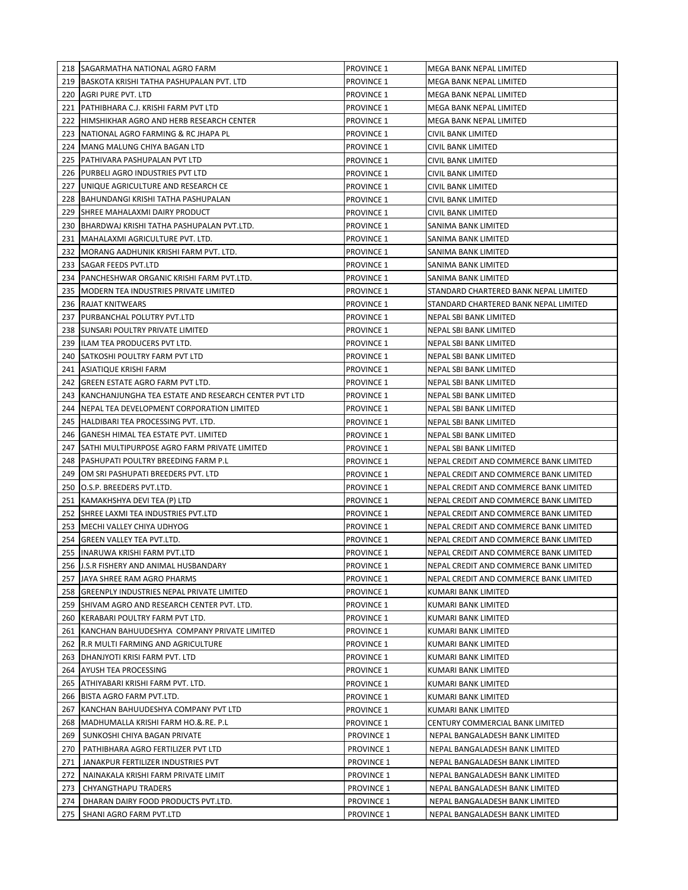|            | 218 SAGARMATHA NATIONAL AGRO FARM                                 | <b>PROVINCE 1</b>               | MEGA BANK NEPAL LIMITED                                          |
|------------|-------------------------------------------------------------------|---------------------------------|------------------------------------------------------------------|
|            | 219 BASKOTA KRISHI TATHA PASHUPALAN PVT. LTD                      | PROVINCE 1                      | MEGA BANK NEPAL LIMITED                                          |
|            | 220 AGRI PURE PVT. LTD                                            | PROVINCE 1                      | MEGA BANK NEPAL LIMITED                                          |
| 221        | PATHIBHARA C.J. KRISHI FARM PVT LTD                               | PROVINCE 1                      | MEGA BANK NEPAL LIMITED                                          |
| 222        | HIMSHIKHAR AGRO AND HERB RESEARCH CENTER                          | <b>PROVINCE 1</b>               | MEGA BANK NEPAL LIMITED                                          |
|            | 223   NATIONAL AGRO FARMING & RC JHAPA PL                         | <b>PROVINCE 1</b>               | CIVIL BANK LIMITED                                               |
| 224        | MANG MALUNG CHIYA BAGAN LTD                                       | <b>PROVINCE 1</b>               | <b>CIVIL BANK LIMITED</b>                                        |
| 225        | <b>PATHIVARA PASHUPALAN PVT LTD</b>                               | <b>PROVINCE 1</b>               | CIVIL BANK LIMITED                                               |
| 226        | <b>PURBELI AGRO INDUSTRIES PVT LTD</b>                            | <b>PROVINCE 1</b>               | CIVIL BANK LIMITED                                               |
| 227        | UNIQUE AGRICULTURE AND RESEARCH CE                                | <b>PROVINCE 1</b>               | CIVIL BANK LIMITED                                               |
| 228        | BAHUNDANGI KRISHI TATHA PASHUPALAN                                | <b>PROVINCE 1</b>               | CIVIL BANK LIMITED                                               |
| 229        | ISHREE MAHALAXMI DAIRY PRODUCT                                    | <b>PROVINCE 1</b>               | CIVIL BANK LIMITED                                               |
| 230        | BHARDWAJ KRISHI TATHA PASHUPALAN PVT.LTD.                         | <b>PROVINCE 1</b>               | SANIMA BANK LIMITED                                              |
| 231        | MAHALAXMI AGRICULTURE PVT. LTD.                                   | <b>PROVINCE 1</b>               | SANIMA BANK LIMITED                                              |
| 232        | MORANG AADHUNIK KRISHI FARM PVT. LTD.                             | <b>PROVINCE 1</b>               | SANIMA BANK LIMITED                                              |
| 233        | <b>SAGAR FEEDS PVT.LTD</b>                                        | <b>PROVINCE 1</b>               | SANIMA BANK LIMITED                                              |
| 234        | PANCHESHWAR ORGANIC KRISHI FARM PVT.LTD.                          | <b>PROVINCE 1</b>               | SANIMA BANK LIMITED                                              |
| 235        | MODERN TEA INDUSTRIES PRIVATE LIMITED                             | <b>PROVINCE 1</b>               | STANDARD CHARTERED BANK NEPAL LIMITED                            |
| 236        | <b>RAJAT KNITWEARS</b>                                            | <b>PROVINCE 1</b>               | STANDARD CHARTERED BANK NEPAL LIMITED                            |
| 237        | PURBANCHAL POLUTRY PVT.LTD                                        | PROVINCE 1                      | NEPAL SBI BANK LIMITED                                           |
| 238        | <b>SUNSARI POULTRY PRIVATE LIMITED</b>                            | PROVINCE 1                      | NEPAL SBI BANK LIMITED                                           |
|            | 239 ILAM TEA PRODUCERS PVT LTD.                                   | <b>PROVINCE 1</b>               | NEPAL SBI BANK LIMITED                                           |
| 240        | <b>SATKOSHI POULTRY FARM PVT LTD</b>                              | <b>PROVINCE 1</b>               | NEPAL SBI BANK LIMITED                                           |
| 241        | ASIATIQUE KRISHI FARM                                             | <b>PROVINCE 1</b>               | NEPAL SBI BANK LIMITED                                           |
| 242        | GREEN ESTATE AGRO FARM PVT LTD.                                   | <b>PROVINCE 1</b>               | NEPAL SBI BANK LIMITED                                           |
| 243        | KANCHANJUNGHA TEA ESTATE AND RESEARCH CENTER PVT LTD              | <b>PROVINCE 1</b>               | NEPAL SBI BANK LIMITED                                           |
| 244        | NEPAL TEA DEVELOPMENT CORPORATION LIMITED                         | <b>PROVINCE 1</b>               | NEPAL SBI BANK LIMITED                                           |
| 245        | HALDIBARI TEA PROCESSING PVT. LTD.                                | <b>PROVINCE 1</b>               | NEPAL SBI BANK LIMITED                                           |
| 246        | GANESH HIMAL TEA ESTATE PVT. LIMITED                              | <b>PROVINCE 1</b>               | NEPAL SBI BANK LIMITED                                           |
| 247        | SATHI MULTIPURPOSE AGRO FARM PRIVATE LIMITED                      | <b>PROVINCE 1</b>               | NEPAL SBI BANK LIMITED                                           |
| 248        | <b>PASHUPATI POULTRY BREEDING FARM P.L</b>                        | <b>PROVINCE 1</b>               | NEPAL CREDIT AND COMMERCE BANK LIMITED                           |
| 249        | OM SRI PASHUPATI BREEDERS PVT. LTD                                | <b>PROVINCE 1</b>               | NEPAL CREDIT AND COMMERCE BANK LIMITED                           |
| 250        | O.S.P. BREEDERS PVT.LTD.                                          | <b>PROVINCE 1</b>               | NEPAL CREDIT AND COMMERCE BANK LIMITED                           |
| 251        | KAMAKHSHYA DEVI TEA (P) LTD                                       | <b>PROVINCE 1</b>               | NEPAL CREDIT AND COMMERCE BANK LIMITED                           |
|            | 252 SHREE LAXMI TEA INDUSTRIES PVT.LTD                            | <b>PROVINCE 1</b>               | NEPAL CREDIT AND COMMERCE BANK LIMITED                           |
| 253        | MECHI VALLEY CHIYA UDHYOG                                         | <b>PROVINCE 1</b>               | NEPAL CREDIT AND COMMERCE BANK LIMITED                           |
| 254        | <b>GREEN VALLEY TEA PVT.LTD.</b>                                  | PROVINCE 1                      | NEPAL CREDIT AND COMMERCE BANK LIMITED                           |
|            | 255  INARUWA KRISHI FARM PVT.LTD                                  | <b>PROVINCE 1</b>               | NEPAL CREDIT AND COMMERCE BANK LIMITED                           |
|            | 256 J.S.R FISHERY AND ANIMAL HUSBANDARY                           | PROVINCE 1                      | NEPAL CREDIT AND COMMERCE BANK LIMITED                           |
|            | 257 JAYA SHREE RAM AGRO PHARMS                                    | <b>PROVINCE 1</b>               | NEPAL CREDIT AND COMMERCE BANK LIMITED                           |
|            | 258 GREENPLY INDUSTRIES NEPAL PRIVATE LIMITED                     | PROVINCE 1                      | KUMARI BANK LIMITED                                              |
|            | 259 SHIVAM AGRO AND RESEARCH CENTER PVT. LTD.                     | <b>PROVINCE 1</b>               | <b>KUMARI BANK LIMITED</b>                                       |
| 260        | KERABARI POULTRY FARM PVT LTD.                                    | <b>PROVINCE 1</b>               | KUMARI BANK LIMITED                                              |
| 261        | KANCHAN BAHUUDESHYA COMPANY PRIVATE LIMITED                       | <b>PROVINCE 1</b>               | KUMARI BANK LIMITED                                              |
|            | 262 R.R MULTI FARMING AND AGRICULTURE                             | PROVINCE 1                      | KUMARI BANK LIMITED                                              |
|            | 263   DHANJYOTI KRISI FARM PVT. LTD                               | PROVINCE 1                      | KUMARI BANK LIMITED                                              |
|            | 264 AYUSH TEA PROCESSING                                          | PROVINCE 1                      | KUMARI BANK LIMITED                                              |
|            | 265 ATHIYABARI KRISHI FARM PVT. LTD.                              | PROVINCE 1                      | KUMARI BANK LIMITED                                              |
|            | 266 BISTA AGRO FARM PVT.LTD.                                      | PROVINCE 1                      | KUMARI BANK LIMITED                                              |
| 267        | KANCHAN BAHUUDESHYA COMPANY PVT LTD                               | <b>PROVINCE 1</b>               | KUMARI BANK LIMITED                                              |
|            | 268   MADHUMALLA KRISHI FARM HO.&.RE. P.L                         | <b>PROVINCE 1</b>               | CENTURY COMMERCIAL BANK LIMITED                                  |
| 269        | SUNKOSHI CHIYA BAGAN PRIVATE                                      | <b>PROVINCE 1</b>               | NEPAL BANGALADESH BANK LIMITED                                   |
| 270        | PATHIBHARA AGRO FERTILIZER PVT LTD                                | <b>PROVINCE 1</b>               | NEPAL BANGALADESH BANK LIMITED                                   |
| 271        | JANAKPUR FERTILIZER INDUSTRIES PVT                                | <b>PROVINCE 1</b>               | NEPAL BANGALADESH BANK LIMITED                                   |
| 272<br>273 | NAINAKALA KRISHI FARM PRIVATE LIMIT<br><b>CHYANGTHAPU TRADERS</b> | <b>PROVINCE 1</b><br>PROVINCE 1 | NEPAL BANGALADESH BANK LIMITED<br>NEPAL BANGALADESH BANK LIMITED |
| 274        | DHARAN DAIRY FOOD PRODUCTS PVT.LTD.                               | PROVINCE 1                      | NEPAL BANGALADESH BANK LIMITED                                   |
| 275        | SHANI AGRO FARM PVT.LTD                                           | PROVINCE 1                      | NEPAL BANGALADESH BANK LIMITED                                   |
|            |                                                                   |                                 |                                                                  |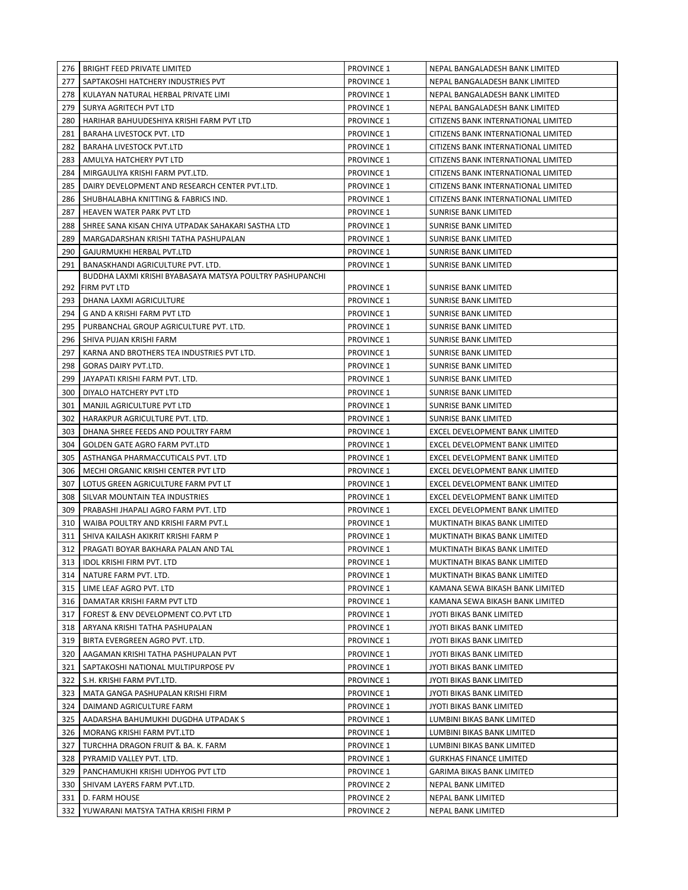|            | 276   BRIGHT FEED PRIVATE LIMITED                                  | <b>PROVINCE 1</b>                      | NEPAL BANGALADESH BANK LIMITED                              |
|------------|--------------------------------------------------------------------|----------------------------------------|-------------------------------------------------------------|
| 277        | SAPTAKOSHI HATCHERY INDUSTRIES PVT                                 | <b>PROVINCE 1</b>                      | NEPAL BANGALADESH BANK LIMITED                              |
|            | 278   KULAYAN NATURAL HERBAL PRIVATE LIMI                          | <b>PROVINCE 1</b>                      | NEPAL BANGALADESH BANK LIMITED                              |
| 279        | SURYA AGRITECH PVT LTD                                             | <b>PROVINCE 1</b>                      | NEPAL BANGALADESH BANK LIMITED                              |
| 280        | HARIHAR BAHUUDESHIYA KRISHI FARM PVT LTD                           | <b>PROVINCE 1</b>                      | CITIZENS BANK INTERNATIONAL LIMITED                         |
| 281        | <b>BARAHA LIVESTOCK PVT. LTD</b>                                   | <b>PROVINCE 1</b>                      | CITIZENS BANK INTERNATIONAL LIMITED                         |
| 282        | <b>BARAHA LIVESTOCK PVT.LTD</b>                                    | <b>PROVINCE 1</b>                      | CITIZENS BANK INTERNATIONAL LIMITED                         |
| 283        | AMULYA HATCHERY PVT LTD                                            | <b>PROVINCE 1</b>                      | CITIZENS BANK INTERNATIONAL LIMITED                         |
| 284        | MIRGAULIYA KRISHI FARM PVT.LTD.                                    | <b>PROVINCE 1</b>                      | CITIZENS BANK INTERNATIONAL LIMITED                         |
| 285        | DAIRY DEVELOPMENT AND RESEARCH CENTER PVT.LTD.                     | <b>PROVINCE 1</b>                      | CITIZENS BANK INTERNATIONAL LIMITED                         |
| 286        | SHUBHALABHA KNITTING & FABRICS IND.                                | <b>PROVINCE 1</b>                      | CITIZENS BANK INTERNATIONAL LIMITED                         |
| 287        | HEAVEN WATER PARK PVT LTD                                          | <b>PROVINCE 1</b>                      | <b>SUNRISE BANK LIMITED</b>                                 |
| 288        | SHREE SANA KISAN CHIYA UTPADAK SAHAKARI SASTHA LTD                 | <b>PROVINCE 1</b>                      | <b>SUNRISE BANK LIMITED</b>                                 |
| 289        | MARGADARSHAN KRISHI TATHA PASHUPALAN                               | <b>PROVINCE 1</b>                      | <b>SUNRISE BANK LIMITED</b>                                 |
| 290        | GAJURMUKHI HERBAL PVT.LTD                                          | <b>PROVINCE 1</b>                      | <b>SUNRISE BANK LIMITED</b>                                 |
| 291        | BANASKHANDI AGRICULTURE PVT. LTD.                                  | <b>PROVINCE 1</b>                      | <b>SUNRISE BANK LIMITED</b>                                 |
|            | BUDDHA LAXMI KRISHI BYABASAYA MATSYA POULTRY PASHUPANCHI           |                                        |                                                             |
| 292        | <b>FIRM PVT LTD</b>                                                | <b>PROVINCE 1</b>                      | <b>SUNRISE BANK LIMITED</b>                                 |
| 293        | DHANA LAXMI AGRICULTURE                                            | <b>PROVINCE 1</b>                      | <b>SUNRISE BANK LIMITED</b>                                 |
| 294        | G AND A KRISHI FARM PVT LTD                                        | <b>PROVINCE 1</b>                      | SUNRISE BANK LIMITED                                        |
| 295        | PURBANCHAL GROUP AGRICULTURE PVT. LTD.                             | <b>PROVINCE 1</b>                      | SUNRISE BANK LIMITED                                        |
| 296        | SHIVA PUJAN KRISHI FARM                                            | <b>PROVINCE 1</b>                      | <b>SUNRISE BANK LIMITED</b>                                 |
| 297        | KARNA AND BROTHERS TEA INDUSTRIES PVT LTD.                         | <b>PROVINCE 1</b>                      | <b>SUNRISE BANK LIMITED</b>                                 |
| 298        | <b>GORAS DAIRY PVT.LTD.</b>                                        | <b>PROVINCE 1</b>                      | <b>SUNRISE BANK LIMITED</b>                                 |
| 299        | JAYAPATI KRISHI FARM PVT. LTD.                                     | <b>PROVINCE 1</b>                      | <b>SUNRISE BANK LIMITED</b>                                 |
| 300        | DIYALO HATCHERY PVT LTD                                            | <b>PROVINCE 1</b>                      | SUNRISE BANK LIMITED                                        |
| 301        | MANJIL AGRICULTURE PVT LTD                                         | <b>PROVINCE 1</b>                      | SUNRISE BANK LIMITED                                        |
| 302        | HARAKPUR AGRICULTURE PVT. LTD.                                     | <b>PROVINCE 1</b>                      | <b>SUNRISE BANK LIMITED</b>                                 |
| 303        | DHANA SHREE FEEDS AND POULTRY FARM                                 | <b>PROVINCE 1</b>                      | EXCEL DEVELOPMENT BANK LIMITED                              |
| 304        | <b>GOLDEN GATE AGRO FARM PVT.LTD</b>                               | <b>PROVINCE 1</b>                      | EXCEL DEVELOPMENT BANK LIMITED                              |
| 305        | ASTHANGA PHARMACCUTICALS PVT. LTD                                  | <b>PROVINCE 1</b>                      | EXCEL DEVELOPMENT BANK LIMITED                              |
| 306        | MECHI ORGANIC KRISHI CENTER PVT LTD                                | <b>PROVINCE 1</b>                      | EXCEL DEVELOPMENT BANK LIMITED                              |
| 307        | LOTUS GREEN AGRICULTURE FARM PVT LT                                | <b>PROVINCE 1</b>                      | EXCEL DEVELOPMENT BANK LIMITED                              |
| 308        | SILVAR MOUNTAIN TEA INDUSTRIES                                     | <b>PROVINCE 1</b>                      | EXCEL DEVELOPMENT BANK LIMITED                              |
| 309        | PRABASHI JHAPALI AGRO FARM PVT. LTD                                | <b>PROVINCE 1</b>                      | EXCEL DEVELOPMENT BANK LIMITED                              |
| 310        | WAIBA POULTRY AND KRISHI FARM PVT.L                                | <b>PROVINCE 1</b>                      | MUKTINATH BIKAS BANK LIMITED                                |
| 311        | SHIVA KAILASH AKIKRIT KRISHI FARM P                                | <b>PROVINCE 1</b>                      | MUKTINATH BIKAS BANK LIMITED                                |
| 312<br>313 | PRAGATI BOYAR BAKHARA PALAN AND TAL                                | <b>PROVINCE 1</b><br><b>PROVINCE 1</b> | MUKTINATH BIKAS BANK LIMITED                                |
|            | IDOL KRISHI FIRM PVT. LTD                                          |                                        | MUKTINATH BIKAS BANK LIMITED                                |
| 314        | NATURE FARM PVT. LTD.                                              | <b>PROVINCE 1</b>                      | MUKTINATH BIKAS BANK LIMITED                                |
| 315        | LIME LEAF AGRO PVT. LTD                                            | <b>PROVINCE 1</b><br><b>PROVINCE 1</b> | KAMANA SEWA BIKASH BANK LIMITED                             |
| 316        | DAMATAR KRISHI FARM PVT LTD<br>FOREST & ENV DEVELOPMENT CO.PVT LTD | <b>PROVINCE 1</b>                      | KAMANA SEWA BIKASH BANK LIMITED<br>JYOTI BIKAS BANK LIMITED |
| 317<br>318 | ARYANA KRISHI TATHA PASHUPALAN                                     | <b>PROVINCE 1</b>                      | JYOTI BIKAS BANK LIMITED                                    |
| 319        | BIRTA EVERGREEN AGRO PVT. LTD.                                     | <b>PROVINCE 1</b>                      | JYOTI BIKAS BANK LIMITED                                    |
| 320        | AAGAMAN KRISHI TATHA PASHUPALAN PVT                                | <b>PROVINCE 1</b>                      | JYOTI BIKAS BANK LIMITED                                    |
| 321        | SAPTAKOSHI NATIONAL MULTIPURPOSE PV                                | <b>PROVINCE 1</b>                      | JYOTI BIKAS BANK LIMITED                                    |
| 322        | S.H. KRISHI FARM PVT.LTD.                                          | <b>PROVINCE 1</b>                      | JYOTI BIKAS BANK LIMITED                                    |
| 323        | MATA GANGA PASHUPALAN KRISHI FIRM                                  | <b>PROVINCE 1</b>                      | JYOTI BIKAS BANK LIMITED                                    |
| 324        | DAIMAND AGRICULTURE FARM                                           | <b>PROVINCE 1</b>                      | JYOTI BIKAS BANK LIMITED                                    |
| 325        | AADARSHA BAHUMUKHI DUGDHA UTPADAK S                                | <b>PROVINCE 1</b>                      | LUMBINI BIKAS BANK LIMITED                                  |
| 326        | MORANG KRISHI FARM PVT.LTD                                         | <b>PROVINCE 1</b>                      | LUMBINI BIKAS BANK LIMITED                                  |
| 327        | TURCHHA DRAGON FRUIT & BA. K. FARM                                 | <b>PROVINCE 1</b>                      | LUMBINI BIKAS BANK LIMITED                                  |
| 328        | PYRAMID VALLEY PVT. LTD.                                           | <b>PROVINCE 1</b>                      | <b>GURKHAS FINANCE LIMITED</b>                              |
| 329        | PANCHAMUKHI KRISHI UDHYOG PVT LTD                                  | <b>PROVINCE 1</b>                      | <b>GARIMA BIKAS BANK LIMITED</b>                            |
| 330        | SHIVAM LAYERS FARM PVT.LTD.                                        | <b>PROVINCE 2</b>                      | NEPAL BANK LIMITED                                          |
| 331        | D. FARM HOUSE                                                      | <b>PROVINCE 2</b>                      | NEPAL BANK LIMITED                                          |
|            | 332   YUWARANI MATSYA TATHA KRISHI FIRM P                          | <b>PROVINCE 2</b>                      | NEPAL BANK LIMITED                                          |
|            |                                                                    |                                        |                                                             |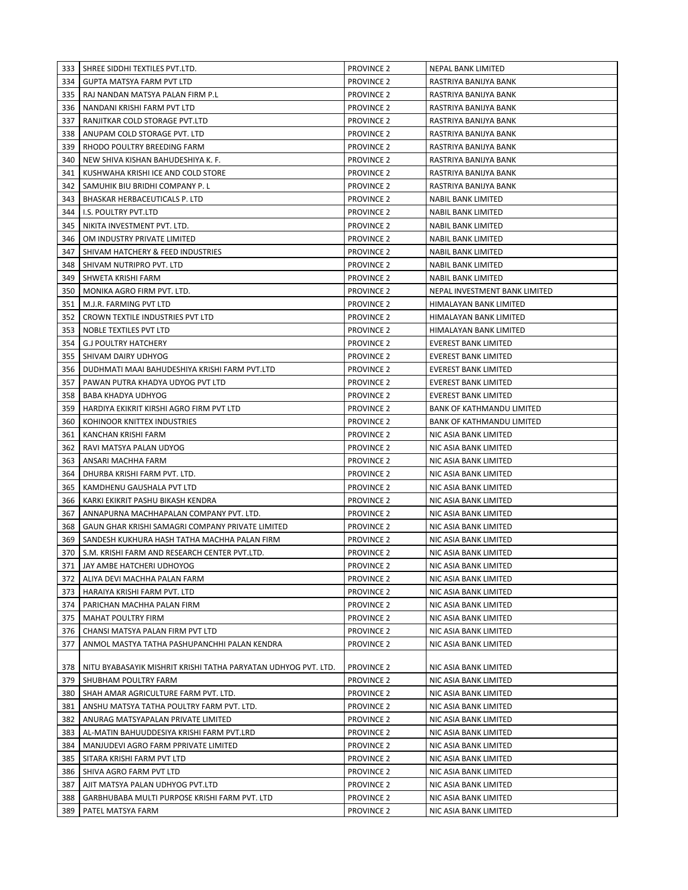|     | 333   SHREE SIDDHI TEXTILES PVT.LTD.                                 | <b>PROVINCE 2</b> | NEPAL BANK LIMITED               |
|-----|----------------------------------------------------------------------|-------------------|----------------------------------|
| 334 | GUPTA MATSYA FARM PVT LTD                                            | <b>PROVINCE 2</b> | RASTRIYA BANIJYA BANK            |
| 335 | RAJ NANDAN MATSYA PALAN FIRM P.L                                     | <b>PROVINCE 2</b> | RASTRIYA BANIJYA BANK            |
| 336 | NANDANI KRISHI FARM PVT LTD                                          | <b>PROVINCE 2</b> | RASTRIYA BANIJYA BANK            |
| 337 | RANJITKAR COLD STORAGE PVT.LTD                                       | <b>PROVINCE 2</b> | RASTRIYA BANIJYA BANK            |
| 338 | ANUPAM COLD STORAGE PVT. LTD                                         | <b>PROVINCE 2</b> | RASTRIYA BANIJYA BANK            |
| 339 | RHODO POULTRY BREEDING FARM                                          | <b>PROVINCE 2</b> | RASTRIYA BANIJYA BANK            |
| 340 | NEW SHIVA KISHAN BAHUDESHIYA K. F.                                   | <b>PROVINCE 2</b> | RASTRIYA BANIJYA BANK            |
| 341 | KUSHWAHA KRISHI ICE AND COLD STORE                                   | <b>PROVINCE 2</b> | RASTRIYA BANIJYA BANK            |
| 342 | SAMUHIK BIU BRIDHI COMPANY P. L                                      | <b>PROVINCE 2</b> | RASTRIYA BANIJYA BANK            |
| 343 | <b>BHASKAR HERBACEUTICALS P. LTD</b>                                 | <b>PROVINCE 2</b> | <b>NABIL BANK LIMITED</b>        |
| 344 | I.S. POULTRY PVT.LTD                                                 | <b>PROVINCE 2</b> | NABIL BANK LIMITED               |
| 345 | NIKITA INVESTMENT PVT. LTD.                                          | <b>PROVINCE 2</b> | NABIL BANK LIMITED               |
| 346 | OM INDUSTRY PRIVATE LIMITED                                          | <b>PROVINCE 2</b> | <b>NABIL BANK LIMITED</b>        |
| 347 | SHIVAM HATCHERY & FEED INDUSTRIES                                    | <b>PROVINCE 2</b> | <b>NABIL BANK LIMITED</b>        |
| 348 | SHIVAM NUTRIPRO PVT. LTD                                             | <b>PROVINCE 2</b> | NABIL BANK LIMITED               |
| 349 | SHWETA KRISHI FARM                                                   | <b>PROVINCE 2</b> | NABIL BANK LIMITED               |
| 350 | MONIKA AGRO FIRM PVT. LTD.                                           | <b>PROVINCE 2</b> | NEPAL INVESTMENT BANK LIMITED    |
| 351 | M.J.R. FARMING PVT LTD                                               | <b>PROVINCE 2</b> | HIMALAYAN BANK LIMITED           |
| 352 | CROWN TEXTILE INDUSTRIES PVT LTD                                     | <b>PROVINCE 2</b> | HIMALAYAN BANK LIMITED           |
| 353 | NOBLE TEXTILES PVT LTD                                               | <b>PROVINCE 2</b> | HIMALAYAN BANK LIMITED           |
| 354 | <b>G.J POULTRY HATCHERY</b>                                          | <b>PROVINCE 2</b> | <b>EVEREST BANK LIMITED</b>      |
| 355 | SHIVAM DAIRY UDHYOG                                                  | <b>PROVINCE 2</b> | <b>EVEREST BANK LIMITED</b>      |
| 356 | DUDHMATI MAAI BAHUDESHIYA KRISHI FARM PVT.LTD                        | PROVINCE 2        | <b>EVEREST BANK LIMITED</b>      |
| 357 | PAWAN PUTRA KHADYA UDYOG PVT LTD                                     | <b>PROVINCE 2</b> | <b>EVEREST BANK LIMITED</b>      |
| 358 | <b>BABA KHADYA UDHYOG</b>                                            | <b>PROVINCE 2</b> | <b>EVEREST BANK LIMITED</b>      |
| 359 | HARDIYA EKIKRIT KIRSHI AGRO FIRM PVT LTD                             | <b>PROVINCE 2</b> | <b>BANK OF KATHMANDU LIMITED</b> |
| 360 | KOHINOOR KNITTEX INDUSTRIES                                          | <b>PROVINCE 2</b> | <b>BANK OF KATHMANDU LIMITED</b> |
| 361 | KANCHAN KRISHI FARM                                                  | <b>PROVINCE 2</b> | NIC ASIA BANK LIMITED            |
| 362 | RAVI MATSYA PALAN UDYOG                                              | <b>PROVINCE 2</b> | NIC ASIA BANK LIMITED            |
| 363 | ANSARI MACHHA FARM                                                   | <b>PROVINCE 2</b> | NIC ASIA BANK LIMITED            |
| 364 | DHURBA KRISHI FARM PVT. LTD.                                         | <b>PROVINCE 2</b> | NIC ASIA BANK LIMITED            |
| 365 | KAMDHENU GAUSHALA PVT LTD                                            | <b>PROVINCE 2</b> | NIC ASIA BANK LIMITED            |
| 366 | KARKI EKIKRIT PASHU BIKASH KENDRA                                    | <b>PROVINCE 2</b> | NIC ASIA BANK LIMITED            |
| 367 | ANNAPURNA MACHHAPALAN COMPANY PVT. LTD.                              | <b>PROVINCE 2</b> | NIC ASIA BANK LIMITED            |
| 368 | GAUN GHAR KRISHI SAMAGRI COMPANY PRIVATE LIMITED                     | <b>PROVINCE 2</b> | NIC ASIA BANK LIMITED            |
| 369 | SANDESH KUKHURA HASH TATHA MACHHA PALAN FIRM                         | <b>PROVINCE 2</b> | NIC ASIA BANK LIMITED            |
|     | 370   S.M. KRISHI FARM AND RESEARCH CENTER PVT.LTD.                  | <b>PROVINCE 2</b> | NIC ASIA BANK LIMITED            |
|     | 371 JAY AMBE HATCHERI UDHOYOG                                        | PROVINCE 2        | NIC ASIA BANK LIMITED            |
| 372 | ALIYA DEVI MACHHA PALAN FARM                                         | <b>PROVINCE 2</b> | NIC ASIA BANK LIMITED            |
| 373 | HARAIYA KRISHI FARM PVT. LTD                                         | <b>PROVINCE 2</b> | NIC ASIA BANK LIMITED            |
| 374 | PARICHAN MACHHA PALAN FIRM                                           | <b>PROVINCE 2</b> | NIC ASIA BANK LIMITED            |
| 375 | MAHAT POULTRY FIRM                                                   | <b>PROVINCE 2</b> | NIC ASIA BANK LIMITED            |
| 376 | CHANSI MATSYA PALAN FIRM PVT LTD                                     | <b>PROVINCE 2</b> | NIC ASIA BANK LIMITED            |
| 377 | ANMOL MASTYA TATHA PASHUPANCHHI PALAN KENDRA                         | <b>PROVINCE 2</b> | NIC ASIA BANK LIMITED            |
|     | 378   NITU BYABASAYIK MISHRIT KRISHI TATHA PARYATAN UDHYOG PVT. LTD. | <b>PROVINCE 2</b> | NIC ASIA BANK LIMITED            |
| 379 | SHUBHAM POULTRY FARM                                                 | <b>PROVINCE 2</b> | NIC ASIA BANK LIMITED            |
|     | 380   SHAH AMAR AGRICULTURE FARM PVT. LTD.                           | <b>PROVINCE 2</b> | NIC ASIA BANK LIMITED            |
| 381 | ANSHU MATSYA TATHA POULTRY FARM PVT. LTD.                            | <b>PROVINCE 2</b> | NIC ASIA BANK LIMITED            |
| 382 | ANURAG MATSYAPALAN PRIVATE LIMITED                                   | <b>PROVINCE 2</b> | NIC ASIA BANK LIMITED            |
| 383 | AL-MATIN BAHUUDDESIYA KRISHI FARM PVT.LRD                            | <b>PROVINCE 2</b> | NIC ASIA BANK LIMITED            |
| 384 | MANJUDEVI AGRO FARM PPRIVATE LIMITED                                 | <b>PROVINCE 2</b> | NIC ASIA BANK LIMITED            |
| 385 | SITARA KRISHI FARM PVT LTD                                           | <b>PROVINCE 2</b> | NIC ASIA BANK LIMITED            |
| 386 | SHIVA AGRO FARM PVT LTD                                              | <b>PROVINCE 2</b> | NIC ASIA BANK LIMITED            |
| 387 | AJIT MATSYA PALAN UDHYOG PVT.LTD                                     | <b>PROVINCE 2</b> | NIC ASIA BANK LIMITED            |
| 388 | GARBHUBABA MULTI PURPOSE KRISHI FARM PVT. LTD                        | <b>PROVINCE 2</b> | NIC ASIA BANK LIMITED            |
| 389 | PATEL MATSYA FARM                                                    | <b>PROVINCE 2</b> | NIC ASIA BANK LIMITED            |
|     |                                                                      |                   |                                  |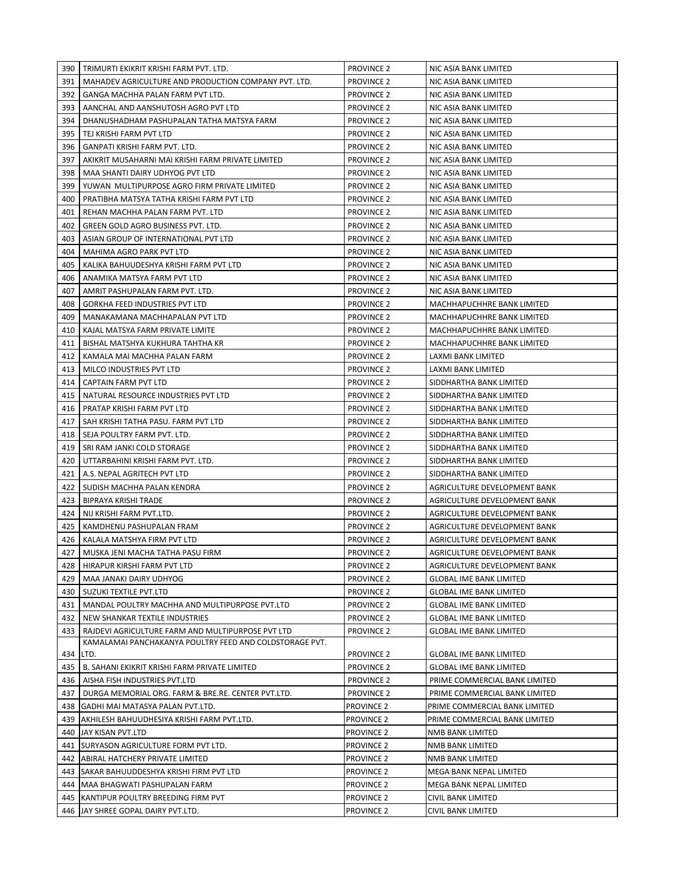| 390 | TRIMURTI EKIKRIT KRISHI FARM PVT. LTD.                  | <b>PROVINCE 2</b> | NIC ASIA BANK LIMITED          |
|-----|---------------------------------------------------------|-------------------|--------------------------------|
| 391 | MAHADEV AGRICULTURE AND PRODUCTION COMPANY PVT. LTD.    | PROVINCE 2        | NIC ASIA BANK LIMITED          |
| 392 | GANGA MACHHA PALAN FARM PVT LTD.                        | <b>PROVINCE 2</b> | NIC ASIA BANK LIMITED          |
| 393 | AANCHAL AND AANSHUTOSH AGRO PVT LTD                     | <b>PROVINCE 2</b> | NIC ASIA BANK LIMITED          |
| 394 | DHANUSHADHAM PASHUPALAN TATHA MATSYA FARM               | <b>PROVINCE 2</b> | NIC ASIA BANK LIMITED          |
| 395 | TEJ KRISHI FARM PVT LTD                                 | PROVINCE 2        | NIC ASIA BANK LIMITED          |
| 396 | GANPATI KRISHI FARM PVT. LTD.                           | <b>PROVINCE 2</b> | NIC ASIA BANK LIMITED          |
| 397 | AKIKRIT MUSAHARNI MAI KRISHI FARM PRIVATE LIMITED       | <b>PROVINCE 2</b> | NIC ASIA BANK LIMITED          |
| 398 | MAA SHANTI DAIRY UDHYOG PVT LTD                         | <b>PROVINCE 2</b> | NIC ASIA BANK LIMITED          |
| 399 | YUWAN MULTIPURPOSE AGRO FIRM PRIVATE LIMITED            | <b>PROVINCE 2</b> | NIC ASIA BANK LIMITED          |
| 400 | PRATIBHA MATSYA TATHA KRISHI FARM PVT LTD               | <b>PROVINCE 2</b> | NIC ASIA BANK LIMITED          |
| 401 | REHAN MACHHA PALAN FARM PVT. LTD                        | <b>PROVINCE 2</b> | NIC ASIA BANK LIMITED          |
| 402 | GREEN GOLD AGRO BUSINESS PVT. LTD.                      | <b>PROVINCE 2</b> | NIC ASIA BANK LIMITED          |
| 403 | ASIAN GROUP OF INTERNATIONAL PVT LTD                    | <b>PROVINCE 2</b> | NIC ASIA BANK LIMITED          |
| 404 | MAHIMA AGRO PARK PVT LTD                                | <b>PROVINCE 2</b> | NIC ASIA BANK LIMITED          |
| 405 | KALIKA BAHUUDESHYA KRISHI FARM PVT LTD                  | <b>PROVINCE 2</b> | NIC ASIA BANK LIMITED          |
| 406 | ANAMIKA MATSYA FARM PVT LTD                             | <b>PROVINCE 2</b> | NIC ASIA BANK LIMITED          |
| 407 | AMRIT PASHUPALAN FARM PVT. LTD.                         | <b>PROVINCE 2</b> | NIC ASIA BANK LIMITED          |
| 408 | <b>GORKHA FEED INDUSTRIES PVT LTD</b>                   | <b>PROVINCE 2</b> | MACHHAPUCHHRE BANK LIMITED     |
| 409 | MANAKAMANA MACHHAPALAN PVT LTD                          | <b>PROVINCE 2</b> | MACHHAPUCHHRE BANK LIMITED     |
| 410 | KAJAL MATSYA FARM PRIVATE LIMITE                        | <b>PROVINCE 2</b> | MACHHAPUCHHRE BANK LIMITED     |
| 411 | BISHAL MATSHYA KUKHURA TAHTHA KR                        | <b>PROVINCE 2</b> | MACHHAPUCHHRE BANK LIMITED     |
| 412 | KAMALA MAI MACHHA PALAN FARM                            | <b>PROVINCE 2</b> | LAXMI BANK LIMITED             |
| 413 | MILCO INDUSTRIES PVT LTD                                | <b>PROVINCE 2</b> | LAXMI BANK LIMITED             |
| 414 | CAPTAIN FARM PVT LTD                                    | <b>PROVINCE 2</b> | SIDDHARTHA BANK LIMITED        |
| 415 | NATURAL RESOURCE INDUSTRIES PVT LTD                     | <b>PROVINCE 2</b> | SIDDHARTHA BANK LIMITED        |
| 416 | PRATAP KRISHI FARM PVT LTD                              | <b>PROVINCE 2</b> | SIDDHARTHA BANK LIMITED        |
| 417 | SAH KRISHI TATHA PASU. FARM PVT LTD                     | <b>PROVINCE 2</b> | SIDDHARTHA BANK LIMITED        |
| 418 | SEJA POULTRY FARM PVT. LTD.                             | <b>PROVINCE 2</b> | SIDDHARTHA BANK LIMITED        |
| 419 | SRI RAM JANKI COLD STORAGE                              | <b>PROVINCE 2</b> | SIDDHARTHA BANK LIMITED        |
| 420 | UTTARBAHINI KRISHI FARM PVT. LTD.                       | <b>PROVINCE 2</b> | SIDDHARTHA BANK LIMITED        |
| 421 | A.S. NEPAL AGRITECH PVT LTD                             | <b>PROVINCE 2</b> | SIDDHARTHA BANK LIMITED        |
| 422 | SUDISH MACHHA PALAN KENDRA                              | <b>PROVINCE 2</b> | AGRICULTURE DEVELOPMENT BANK   |
| 423 | <b>BIPRAYA KRISHI TRADE</b>                             | <b>PROVINCE 2</b> | AGRICULTURE DEVELOPMENT BANK   |
| 424 | NIJ KRISHI FARM PVT.LTD.                                | PROVINCE 2        | AGRICULTURE DEVELOPMENT BANK   |
| 425 | KAMDHENU PASHUPALAN FRAM                                | <b>PROVINCE 2</b> | AGRICULTURE DEVELOPMENT BANK   |
| 426 | KALALA MATSHYA FIRM PVT LTD                             | <b>PROVINCE 2</b> | AGRICULTURE DEVELOPMENT BANK   |
| 427 | MUSKA JENI MACHA TATHA PASU FIRM                        | <b>PROVINCE 2</b> | AGRICULTURE DEVELOPMENT BANK   |
|     | 428   HIRAPUR KIRSHI FARM PVT LTD                       | PROVINCE 2        | AGRICULTURE DEVELOPMENT BANK   |
| 429 | MAA JANAKI DAIRY UDHYOG                                 | <b>PROVINCE 2</b> | <b>GLOBAL IME BANK LIMITED</b> |
| 430 | SUZUKI TEXTILE PVT.LTD                                  | <b>PROVINCE 2</b> | <b>GLOBAL IME BANK LIMITED</b> |
| 431 | MANDAL POULTRY MACHHA AND MULTIPURPOSE PVT.LTD          | <b>PROVINCE 2</b> | <b>GLOBAL IME BANK LIMITED</b> |
| 432 | NEW SHANKAR TEXTILE INDUSTRIES                          | <b>PROVINCE 2</b> | <b>GLOBAL IME BANK LIMITED</b> |
| 433 | RAJDEVI AGRICULTURE FARM AND MULTIPURPOSE PVT LTD       | <b>PROVINCE 2</b> | <b>GLOBAL IME BANK LIMITED</b> |
|     | KAMALAMAI PANCHAKANYA POULTRY FEED AND COLDSTORAGE PVT. |                   |                                |
|     | 434 LTD.                                                | <b>PROVINCE 2</b> | <b>GLOBAL IME BANK LIMITED</b> |
| 435 | B. SAHANI EKIKRIT KRISHI FARM PRIVATE LIMITED           | <b>PROVINCE 2</b> | <b>GLOBAL IME BANK LIMITED</b> |
| 436 | AISHA FISH INDUSTRIES PVT.LTD                           | <b>PROVINCE 2</b> | PRIME COMMERCIAL BANK LIMITED  |
| 437 | DURGA MEMORIAL ORG. FARM & BRE.RE. CENTER PVT.LTD.      | <b>PROVINCE 2</b> | PRIME COMMERCIAL BANK LIMITED  |
|     | 438 GADHI MAI MATASYA PALAN PVT.LTD.                    | <b>PROVINCE 2</b> | PRIME COMMERCIAL BANK LIMITED  |
|     | 439   AKHILESH BAHUUDHESIYA KRISHI FARM PVT.LTD.        | <b>PROVINCE 2</b> | PRIME COMMERCIAL BANK LIMITED  |
|     | 440 JAY KISAN PVT.LTD                                   | PROVINCE 2        | NMB BANK LIMITED               |
| 441 | SURYASON AGRICULTURE FORM PVT LTD.                      | PROVINCE 2        | NMB BANK LIMITED               |
|     | 442 ABIRAL HATCHERY PRIVATE LIMITED                     | PROVINCE 2        | NMB BANK LIMITED               |
|     | 443 SAKAR BAHUUDDESHYA KRISHI FIRM PVT LTD              | <b>PROVINCE 2</b> | MEGA BANK NEPAL LIMITED        |
|     | 444   MAA BHAGWATI PASHUPALAN FARM                      | <b>PROVINCE 2</b> | MEGA BANK NEPAL LIMITED        |
|     | 445   KANTIPUR POULTRY BREEDING FIRM PVT                | <b>PROVINCE 2</b> | CIVIL BANK LIMITED             |
|     | 446 JAY SHREE GOPAL DAIRY PVT.LTD.                      | PROVINCE 2        | CIVIL BANK LIMITED             |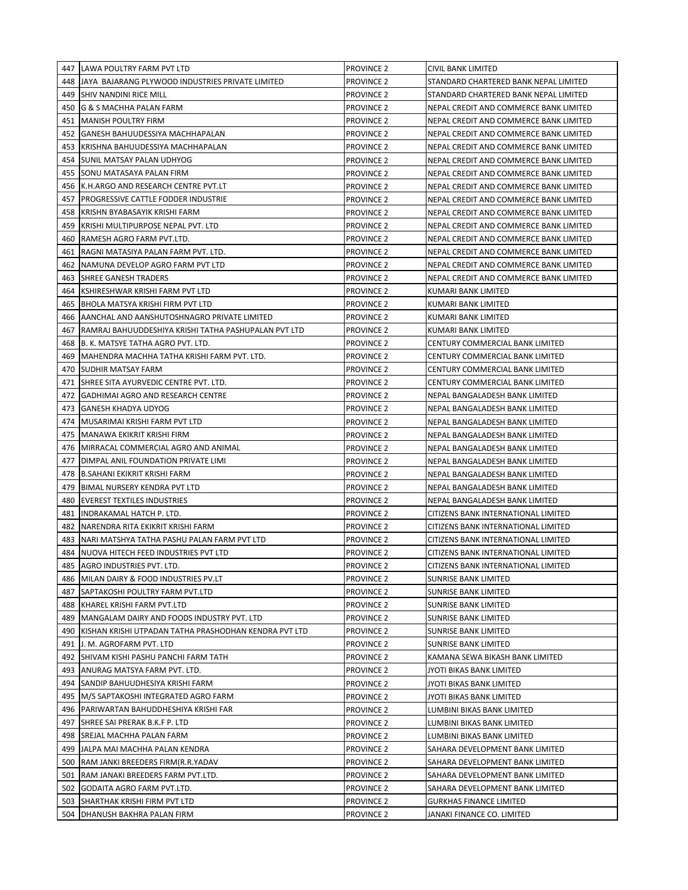|     | 447 LAWA POULTRY FARM PVT LTD                         | PROVINCE 2        | CIVIL BANK LIMITED                     |
|-----|-------------------------------------------------------|-------------------|----------------------------------------|
|     | 448 JJAYA BAJARANG PLYWOOD INDUSTRIES PRIVATE LIMITED | PROVINCE 2        | STANDARD CHARTERED BANK NEPAL LIMITED  |
|     | 449 SHIV NANDINI RICE MILL                            | <b>PROVINCE 2</b> | STANDARD CHARTERED BANK NEPAL LIMITED  |
|     | 450 G & S MACHHA PALAN FARM                           | <b>PROVINCE 2</b> | NEPAL CREDIT AND COMMERCE BANK LIMITED |
| 451 | <b>MANISH POULTRY FIRM</b>                            | PROVINCE 2        | NEPAL CREDIT AND COMMERCE BANK LIMITED |
| 452 | GANESH BAHUUDESSIYA MACHHAPALAN                       | PROVINCE 2        | NEPAL CREDIT AND COMMERCE BANK LIMITED |
| 453 | KRISHNA BAHUUDESSIYA MACHHAPALAN                      | <b>PROVINCE 2</b> | NEPAL CREDIT AND COMMERCE BANK LIMITED |
| 454 | SUNIL MATSAY PALAN UDHYOG                             | <b>PROVINCE 2</b> | NEPAL CREDIT AND COMMERCE BANK LIMITED |
| 455 | SONU MATASAYA PALAN FIRM                              | <b>PROVINCE 2</b> | NEPAL CREDIT AND COMMERCE BANK LIMITED |
| 456 | K.H.ARGO AND RESEARCH CENTRE PVT.LT                   | <b>PROVINCE 2</b> | NEPAL CREDIT AND COMMERCE BANK LIMITED |
| 457 | <b>PROGRESSIVE CATTLE FODDER INDUSTRIE</b>            | <b>PROVINCE 2</b> | NEPAL CREDIT AND COMMERCE BANK LIMITED |
| 458 | KRISHN BYABASAYIK KRISHI FARM                         | <b>PROVINCE 2</b> | NEPAL CREDIT AND COMMERCE BANK LIMITED |
| 459 | KRISHI MULTIPURPOSE NEPAL PVT. LTD                    | <b>PROVINCE 2</b> | NEPAL CREDIT AND COMMERCE BANK LIMITED |
| 460 | RAMESH AGRO FARM PVT.LTD.                             | <b>PROVINCE 2</b> | NEPAL CREDIT AND COMMERCE BANK LIMITED |
| 461 | RAGNI MATASIYA PALAN FARM PVT. LTD.                   | <b>PROVINCE 2</b> | NEPAL CREDIT AND COMMERCE BANK LIMITED |
| 462 | NAMUNA DEVELOP AGRO FARM PVT LTD                      | <b>PROVINCE 2</b> |                                        |
|     |                                                       |                   | NEPAL CREDIT AND COMMERCE BANK LIMITED |
| 463 | <b>ISHREE GANESH TRADERS</b>                          | PROVINCE 2        | NEPAL CREDIT AND COMMERCE BANK LIMITED |
| 464 | KSHIRESHWAR KRISHI FARM PVT LTD                       | <b>PROVINCE 2</b> | KUMARI BANK LIMITED                    |
| 465 | BHOLA MATSYA KRISHI FIRM PVT LTD                      | <b>PROVINCE 2</b> | KUMARI BANK LIMITED                    |
| 466 | <b>JAANCHAL AND AANSHUTOSHNAGRO PRIVATE LIMITED</b>   | <b>PROVINCE 2</b> | KUMARI BANK LIMITED                    |
| 467 | RAMRAJ BAHUUDDESHIYA KRISHI TATHA PASHUPALAN PVT LTD  | <b>PROVINCE 2</b> | KUMARI BANK LIMITED                    |
| 468 | <b>B. K. MATSYE TATHA AGRO PVT. LTD.</b>              | PROVINCE 2        | CENTURY COMMERCIAL BANK LIMITED        |
| 469 | MAHENDRA MACHHA TATHA KRISHI FARM PVT. LTD.           | <b>PROVINCE 2</b> | CENTURY COMMERCIAL BANK LIMITED        |
| 470 | <b>SUDHIR MATSAY FARM</b>                             | <b>PROVINCE 2</b> | CENTURY COMMERCIAL BANK LIMITED        |
| 471 | SHREE SITA AYURVEDIC CENTRE PVT. LTD.                 | <b>PROVINCE 2</b> | <b>CENTURY COMMERCIAL BANK LIMITED</b> |
| 472 | GADHIMAI AGRO AND RESEARCH CENTRE                     | <b>PROVINCE 2</b> | NEPAL BANGALADESH BANK LIMITED         |
| 473 | <b>GANESH KHADYA UDYOG</b>                            | <b>PROVINCE 2</b> | NEPAL BANGALADESH BANK LIMITED         |
| 474 | MUSARIMAI KRISHI FARM PVT LTD                         | <b>PROVINCE 2</b> | NEPAL BANGALADESH BANK LIMITED         |
| 475 | MANAWA EKIKRIT KRISHI FIRM                            | <b>PROVINCE 2</b> | NEPAL BANGALADESH BANK LIMITED         |
| 476 | MIRRACAL COMMERCIAL AGRO AND ANIMAL                   | <b>PROVINCE 2</b> | NEPAL BANGALADESH BANK LIMITED         |
| 477 | DIMPAL ANIL FOUNDATION PRIVATE LIMI                   | <b>PROVINCE 2</b> | NEPAL BANGALADESH BANK LIMITED         |
| 478 | <b>B.SAHANI EKIKRIT KRISHI FARM</b>                   | <b>PROVINCE 2</b> | NEPAL BANGALADESH BANK LIMITED         |
| 479 | <b>BIMAL NURSERY KENDRA PVT LTD</b>                   | PROVINCE 2        | NEPAL BANGALADESH BANK LIMITED         |
| 480 | EVEREST TEXTILES INDUSTRIES                           | <b>PROVINCE 2</b> | NEPAL BANGALADESH BANK LIMITED         |
| 481 | <b>INDRAKAMAL HATCH P. LTD.</b>                       | <b>PROVINCE 2</b> | CITIZENS BANK INTERNATIONAL LIMITED    |
| 482 | NARENDRA RITA EKIKRIT KRISHI FARM                     | <b>PROVINCE 2</b> | CITIZENS BANK INTERNATIONAL LIMITED    |
| 483 | INARI MATSHYA TATHA PASHU PALAN FARM PVT LTD          | <b>PROVINCE 2</b> | CITIZENS BANK INTERNATIONAL LIMITED    |
| 484 | NUOVA HITECH FEED INDUSTRIES PVT LTD                  | <b>PROVINCE 2</b> | CITIZENS BANK INTERNATIONAL LIMITED    |
|     | 485 AGRO INDUSTRIES PVT. LTD.                         | PROVINCE 2        | CITIZENS BANK INTERNATIONAL LIMITED    |
|     | 486   MILAN DAIRY & FOOD INDUSTRIES PV.LT             | <b>PROVINCE 2</b> | <b>SUNRISE BANK LIMITED</b>            |
| 487 | SAPTAKOSHI POULTRY FARM PVT.LTD                       | PROVINCE 2        | <b>SUNRISE BANK LIMITED</b>            |
| 488 | KHAREL KRISHI FARM PVT.LTD                            | PROVINCE 2        | <b>SUNRISE BANK LIMITED</b>            |
| 489 | MANGALAM DAIRY AND FOODS INDUSTRY PVT. LTD            | PROVINCE 2        | SUNRISE BANK LIMITED                   |
| 490 | KISHAN KRISHI UTPADAN TATHA PRASHODHAN KENDRA PVT LTD | PROVINCE 2        | SUNRISE BANK LIMITED                   |
| 491 | J. M. AGROFARM PVT. LTD                               | <b>PROVINCE 2</b> | SUNRISE BANK LIMITED                   |
| 492 | SHIVAM KISHI PASHU PANCHI FARM TATH                   | <b>PROVINCE 2</b> | KAMANA SEWA BIKASH BANK LIMITED        |
| 493 | ANURAG MATSYA FARM PVT. LTD.                          | PROVINCE 2        | JYOTI BIKAS BANK LIMITED               |
| 494 | SANDIP BAHUUDHESIYA KRISHI FARM                       | <b>PROVINCE 2</b> | JYOTI BIKAS BANK LIMITED               |
|     | 495   M/S SAPTAKOSHI INTEGRATED AGRO FARM             | <b>PROVINCE 2</b> | JYOTI BIKAS BANK LIMITED               |
|     | 496   PARIWARTAN BAHUDDHESHIYA KRISHI FAR             | PROVINCE 2        | LUMBINI BIKAS BANK LIMITED             |
| 497 | SHREE SAI PRERAK B.K.F P. LTD                         | <b>PROVINCE 2</b> | LUMBINI BIKAS BANK LIMITED             |
|     |                                                       |                   |                                        |
| 498 | <b>SREJAL MACHHA PALAN FARM</b>                       | <b>PROVINCE 2</b> | LUMBINI BIKAS BANK LIMITED             |
| 499 | JALPA MAI MACHHA PALAN KENDRA                         | PROVINCE 2        | SAHARA DEVELOPMENT BANK LIMITED        |
| 500 | RAM JANKI BREEDERS FIRM(R.R.YADAV                     | PROVINCE 2        | SAHARA DEVELOPMENT BANK LIMITED        |
| 501 | RAM JANAKI BREEDERS FARM PVT.LTD.                     | PROVINCE 2        | SAHARA DEVELOPMENT BANK LIMITED        |
| 502 | GODAITA AGRO FARM PVT.LTD.                            | PROVINCE 2        | SAHARA DEVELOPMENT BANK LIMITED        |
| 503 | <b>SHARTHAK KRISHI FIRM PVT LTD</b>                   | PROVINCE 2        | <b>GURKHAS FINANCE LIMITED</b>         |
|     | 504   DHANUSH BAKHRA PALAN FIRM                       | PROVINCE 2        | JANAKI FINANCE CO. LIMITED             |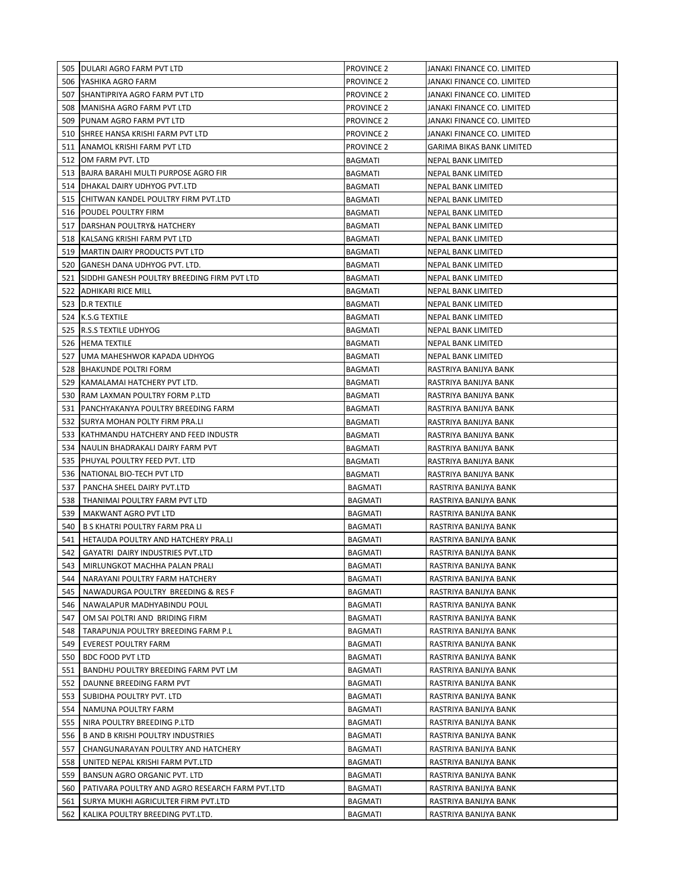| PROVINCE 2<br>506 YASHIKA AGRO FARM<br>JANAKI FINANCE CO. LIMITED<br><b>PROVINCE 2</b><br>507 SHANTIPRIYA AGRO FARM PVT LTD<br>JANAKI FINANCE CO. LIMITED<br>508   MANISHA AGRO FARM PVT LTD<br>PROVINCE 2<br>JANAKI FINANCE CO. LIMITED<br>509 PUNAM AGRO FARM PVT LTD<br><b>PROVINCE 2</b><br>JANAKI FINANCE CO. LIMITED<br>510 SHREE HANSA KRISHI FARM PVT LTD<br><b>PROVINCE 2</b><br>JANAKI FINANCE CO. LIMITED<br>511 ANAMOL KRISHI FARM PVT LTD<br><b>PROVINCE 2</b><br><b>GARIMA BIKAS BANK LIMITED</b><br>512<br>OM FARM PVT. LTD<br><b>BAGMATI</b><br><b>NEPAL BANK LIMITED</b><br>513 BAJRA BARAHI MULTI PURPOSE AGRO FIR<br><b>BAGMATI</b><br><b>NEPAL BANK LIMITED</b><br>514   DHAKAL DAIRY UDHYOG PVT.LTD<br><b>BAGMATI</b><br><b>NEPAL BANK LIMITED</b><br>CHITWAN KANDEL POULTRY FIRM PVT.LTD<br>515<br><b>BAGMATI</b><br><b>NEPAL BANK LIMITED</b><br>516 POUDEL POULTRY FIRM<br>BAGMATI<br>NEPAL BANK LIMITED<br>517<br>DARSHAN POULTRY& HATCHERY<br>BAGMATI<br>NEPAL BANK LIMITED<br>KALSANG KRISHI FARM PVT LTD<br>BAGMATI<br><b>NEPAL BANK LIMITED</b><br>518<br>519<br>MARTIN DAIRY PRODUCTS PVT LTD<br><b>NEPAL BANK LIMITED</b><br>BAGMATI<br>520<br>GANESH DANA UDHYOG PVT. LTD.<br>BAGMATI<br>NEPAL BANK LIMITED<br>SIDDHI GANESH POULTRY BREEDING FIRM PVT LTD<br>521<br>NEPAL BANK LIMITED<br>BAGMATI<br>522<br><b>ADHIKARI RICE MILL</b><br>BAGMATI<br>NEPAL BANK LIMITED<br>523 D.R TEXTILE<br>BAGMATI<br>NEPAL BANK LIMITED<br>524 K.S.G TEXTILE<br>BAGMATI<br>NEPAL BANK LIMITED<br>525   R.S.S TEXTILE UDHYOG<br>BAGMATI<br>NEPAL BANK LIMITED<br>526   HEMA TEXTILE<br>BAGMATI<br><b>NEPAL BANK LIMITED</b><br>527<br>BAGMATI<br>JUMA MAHESHWOR KAPADA UDHYOG<br>NEPAL BANK LIMITED<br>528 BHAKUNDE POLTRI FORM<br><b>BAGMATI</b><br>RASTRIYA BANIJYA BANK<br>529<br><b>BAGMATI</b><br>KAMALAMAI HATCHERY PVT LTD.<br>RASTRIYA BANIJYA BANK<br>530<br><b>RAM LAXMAN POULTRY FORM P.LTD</b><br><b>BAGMATI</b><br>RASTRIYA BANIJYA BANK<br>531<br>PANCHYAKANYA POULTRY BREEDING FARM<br><b>BAGMATI</b><br>RASTRIYA BANIJYA BANK<br>532<br>SURYA MOHAN POLTY FIRM PRA.LI<br><b>BAGMATI</b><br>RASTRIYA BANIJYA BANK<br>533<br>KATHMANDU HATCHERY AND FEED INDUSTR<br><b>BAGMATI</b><br>RASTRIYA BANIJYA BANK<br>534<br>NAULIN BHADRAKALI DAIRY FARM PVT<br>BAGMATI<br>RASTRIYA BANIJYA BANK<br>535<br>PHUYAL POULTRY FEED PVT. LTD<br>BAGMATI<br>RASTRIYA BANIJYA BANK<br>NATIONAL BIO-TECH PVT LTD<br>RASTRIYA BANIJYA BANK<br>536<br>BAGMATI<br>537<br>PANCHA SHEEL DAIRY PVT.LTD<br>RASTRIYA BANIJYA BANK<br>BAGMATI<br>THANIMAI POULTRY FARM PVT LTD<br>RASTRIYA BANIJYA BANK<br>538<br><b>BAGMATI</b><br>539<br>MAKWANT AGRO PVT LTD<br><b>BAGMATI</b><br>RASTRIYA BANIJYA BANK<br>540<br>B S KHATRI POULTRY FARM PRA LI<br>BAGMATI<br>RASTRIYA BANIJYA BANK<br>541<br>HETAUDA POULTRY AND HATCHERY PRA.LI<br><b>BAGMATI</b><br>RASTRIYA BANIJYA BANK<br>542<br>GAYATRI DAIRY INDUSTRIES PVT.LTD<br><b>BAGMATI</b><br>RASTRIYA BANIJYA BANK<br>543 MIRLUNGKOT MACHHA PALAN PRALI<br><b>BAGMATI</b><br>RASTRIYA BANIJYA BANK<br>NARAYANI POULTRY FARM HATCHERY<br>BAGMATI<br>544  <br>RASTRIYA BANIJYA BANK<br>545<br>NAWADURGA POULTRY BREEDING & RES F<br>BAGMATI<br>RASTRIYA BANIJYA BANK<br>546   NAWALAPUR MADHYABINDU POUL<br>BAGMATI<br>RASTRIYA BANIJYA BANK<br>547<br>OM SAI POLTRI AND BRIDING FIRM<br><b>BAGMATI</b><br>RASTRIYA BANIJYA BANK<br>548   TARAPUNJA POULTRY BREEDING FARM P.L<br>BAGMATI<br>RASTRIYA BANIJYA BANK |
|-------------------------------------------------------------------------------------------------------------------------------------------------------------------------------------------------------------------------------------------------------------------------------------------------------------------------------------------------------------------------------------------------------------------------------------------------------------------------------------------------------------------------------------------------------------------------------------------------------------------------------------------------------------------------------------------------------------------------------------------------------------------------------------------------------------------------------------------------------------------------------------------------------------------------------------------------------------------------------------------------------------------------------------------------------------------------------------------------------------------------------------------------------------------------------------------------------------------------------------------------------------------------------------------------------------------------------------------------------------------------------------------------------------------------------------------------------------------------------------------------------------------------------------------------------------------------------------------------------------------------------------------------------------------------------------------------------------------------------------------------------------------------------------------------------------------------------------------------------------------------------------------------------------------------------------------------------------------------------------------------------------------------------------------------------------------------------------------------------------------------------------------------------------------------------------------------------------------------------------------------------------------------------------------------------------------------------------------------------------------------------------------------------------------------------------------------------------------------------------------------------------------------------------------------------------------------------------------------------------------------------------------------------------------------------------------------------------------------------------------------------------------------------------------------------------------------------------------------------------------------------------------------------------------------------------------------------------------------------------------------------------------------------------------------------------------------------------------------------------------------------------------------------------------------------------------------------------------------------------------------------------------------------------------------------------------------------------------------------------------------------------------------------------------------------------------------------------------------------|
|                                                                                                                                                                                                                                                                                                                                                                                                                                                                                                                                                                                                                                                                                                                                                                                                                                                                                                                                                                                                                                                                                                                                                                                                                                                                                                                                                                                                                                                                                                                                                                                                                                                                                                                                                                                                                                                                                                                                                                                                                                                                                                                                                                                                                                                                                                                                                                                                                                                                                                                                                                                                                                                                                                                                                                                                                                                                                                                                                                                                                                                                                                                                                                                                                                                                                                                                                                                                                                                                               |
|                                                                                                                                                                                                                                                                                                                                                                                                                                                                                                                                                                                                                                                                                                                                                                                                                                                                                                                                                                                                                                                                                                                                                                                                                                                                                                                                                                                                                                                                                                                                                                                                                                                                                                                                                                                                                                                                                                                                                                                                                                                                                                                                                                                                                                                                                                                                                                                                                                                                                                                                                                                                                                                                                                                                                                                                                                                                                                                                                                                                                                                                                                                                                                                                                                                                                                                                                                                                                                                                               |
|                                                                                                                                                                                                                                                                                                                                                                                                                                                                                                                                                                                                                                                                                                                                                                                                                                                                                                                                                                                                                                                                                                                                                                                                                                                                                                                                                                                                                                                                                                                                                                                                                                                                                                                                                                                                                                                                                                                                                                                                                                                                                                                                                                                                                                                                                                                                                                                                                                                                                                                                                                                                                                                                                                                                                                                                                                                                                                                                                                                                                                                                                                                                                                                                                                                                                                                                                                                                                                                                               |
|                                                                                                                                                                                                                                                                                                                                                                                                                                                                                                                                                                                                                                                                                                                                                                                                                                                                                                                                                                                                                                                                                                                                                                                                                                                                                                                                                                                                                                                                                                                                                                                                                                                                                                                                                                                                                                                                                                                                                                                                                                                                                                                                                                                                                                                                                                                                                                                                                                                                                                                                                                                                                                                                                                                                                                                                                                                                                                                                                                                                                                                                                                                                                                                                                                                                                                                                                                                                                                                                               |
|                                                                                                                                                                                                                                                                                                                                                                                                                                                                                                                                                                                                                                                                                                                                                                                                                                                                                                                                                                                                                                                                                                                                                                                                                                                                                                                                                                                                                                                                                                                                                                                                                                                                                                                                                                                                                                                                                                                                                                                                                                                                                                                                                                                                                                                                                                                                                                                                                                                                                                                                                                                                                                                                                                                                                                                                                                                                                                                                                                                                                                                                                                                                                                                                                                                                                                                                                                                                                                                                               |
|                                                                                                                                                                                                                                                                                                                                                                                                                                                                                                                                                                                                                                                                                                                                                                                                                                                                                                                                                                                                                                                                                                                                                                                                                                                                                                                                                                                                                                                                                                                                                                                                                                                                                                                                                                                                                                                                                                                                                                                                                                                                                                                                                                                                                                                                                                                                                                                                                                                                                                                                                                                                                                                                                                                                                                                                                                                                                                                                                                                                                                                                                                                                                                                                                                                                                                                                                                                                                                                                               |
|                                                                                                                                                                                                                                                                                                                                                                                                                                                                                                                                                                                                                                                                                                                                                                                                                                                                                                                                                                                                                                                                                                                                                                                                                                                                                                                                                                                                                                                                                                                                                                                                                                                                                                                                                                                                                                                                                                                                                                                                                                                                                                                                                                                                                                                                                                                                                                                                                                                                                                                                                                                                                                                                                                                                                                                                                                                                                                                                                                                                                                                                                                                                                                                                                                                                                                                                                                                                                                                                               |
|                                                                                                                                                                                                                                                                                                                                                                                                                                                                                                                                                                                                                                                                                                                                                                                                                                                                                                                                                                                                                                                                                                                                                                                                                                                                                                                                                                                                                                                                                                                                                                                                                                                                                                                                                                                                                                                                                                                                                                                                                                                                                                                                                                                                                                                                                                                                                                                                                                                                                                                                                                                                                                                                                                                                                                                                                                                                                                                                                                                                                                                                                                                                                                                                                                                                                                                                                                                                                                                                               |
|                                                                                                                                                                                                                                                                                                                                                                                                                                                                                                                                                                                                                                                                                                                                                                                                                                                                                                                                                                                                                                                                                                                                                                                                                                                                                                                                                                                                                                                                                                                                                                                                                                                                                                                                                                                                                                                                                                                                                                                                                                                                                                                                                                                                                                                                                                                                                                                                                                                                                                                                                                                                                                                                                                                                                                                                                                                                                                                                                                                                                                                                                                                                                                                                                                                                                                                                                                                                                                                                               |
|                                                                                                                                                                                                                                                                                                                                                                                                                                                                                                                                                                                                                                                                                                                                                                                                                                                                                                                                                                                                                                                                                                                                                                                                                                                                                                                                                                                                                                                                                                                                                                                                                                                                                                                                                                                                                                                                                                                                                                                                                                                                                                                                                                                                                                                                                                                                                                                                                                                                                                                                                                                                                                                                                                                                                                                                                                                                                                                                                                                                                                                                                                                                                                                                                                                                                                                                                                                                                                                                               |
|                                                                                                                                                                                                                                                                                                                                                                                                                                                                                                                                                                                                                                                                                                                                                                                                                                                                                                                                                                                                                                                                                                                                                                                                                                                                                                                                                                                                                                                                                                                                                                                                                                                                                                                                                                                                                                                                                                                                                                                                                                                                                                                                                                                                                                                                                                                                                                                                                                                                                                                                                                                                                                                                                                                                                                                                                                                                                                                                                                                                                                                                                                                                                                                                                                                                                                                                                                                                                                                                               |
|                                                                                                                                                                                                                                                                                                                                                                                                                                                                                                                                                                                                                                                                                                                                                                                                                                                                                                                                                                                                                                                                                                                                                                                                                                                                                                                                                                                                                                                                                                                                                                                                                                                                                                                                                                                                                                                                                                                                                                                                                                                                                                                                                                                                                                                                                                                                                                                                                                                                                                                                                                                                                                                                                                                                                                                                                                                                                                                                                                                                                                                                                                                                                                                                                                                                                                                                                                                                                                                                               |
|                                                                                                                                                                                                                                                                                                                                                                                                                                                                                                                                                                                                                                                                                                                                                                                                                                                                                                                                                                                                                                                                                                                                                                                                                                                                                                                                                                                                                                                                                                                                                                                                                                                                                                                                                                                                                                                                                                                                                                                                                                                                                                                                                                                                                                                                                                                                                                                                                                                                                                                                                                                                                                                                                                                                                                                                                                                                                                                                                                                                                                                                                                                                                                                                                                                                                                                                                                                                                                                                               |
|                                                                                                                                                                                                                                                                                                                                                                                                                                                                                                                                                                                                                                                                                                                                                                                                                                                                                                                                                                                                                                                                                                                                                                                                                                                                                                                                                                                                                                                                                                                                                                                                                                                                                                                                                                                                                                                                                                                                                                                                                                                                                                                                                                                                                                                                                                                                                                                                                                                                                                                                                                                                                                                                                                                                                                                                                                                                                                                                                                                                                                                                                                                                                                                                                                                                                                                                                                                                                                                                               |
|                                                                                                                                                                                                                                                                                                                                                                                                                                                                                                                                                                                                                                                                                                                                                                                                                                                                                                                                                                                                                                                                                                                                                                                                                                                                                                                                                                                                                                                                                                                                                                                                                                                                                                                                                                                                                                                                                                                                                                                                                                                                                                                                                                                                                                                                                                                                                                                                                                                                                                                                                                                                                                                                                                                                                                                                                                                                                                                                                                                                                                                                                                                                                                                                                                                                                                                                                                                                                                                                               |
|                                                                                                                                                                                                                                                                                                                                                                                                                                                                                                                                                                                                                                                                                                                                                                                                                                                                                                                                                                                                                                                                                                                                                                                                                                                                                                                                                                                                                                                                                                                                                                                                                                                                                                                                                                                                                                                                                                                                                                                                                                                                                                                                                                                                                                                                                                                                                                                                                                                                                                                                                                                                                                                                                                                                                                                                                                                                                                                                                                                                                                                                                                                                                                                                                                                                                                                                                                                                                                                                               |
|                                                                                                                                                                                                                                                                                                                                                                                                                                                                                                                                                                                                                                                                                                                                                                                                                                                                                                                                                                                                                                                                                                                                                                                                                                                                                                                                                                                                                                                                                                                                                                                                                                                                                                                                                                                                                                                                                                                                                                                                                                                                                                                                                                                                                                                                                                                                                                                                                                                                                                                                                                                                                                                                                                                                                                                                                                                                                                                                                                                                                                                                                                                                                                                                                                                                                                                                                                                                                                                                               |
|                                                                                                                                                                                                                                                                                                                                                                                                                                                                                                                                                                                                                                                                                                                                                                                                                                                                                                                                                                                                                                                                                                                                                                                                                                                                                                                                                                                                                                                                                                                                                                                                                                                                                                                                                                                                                                                                                                                                                                                                                                                                                                                                                                                                                                                                                                                                                                                                                                                                                                                                                                                                                                                                                                                                                                                                                                                                                                                                                                                                                                                                                                                                                                                                                                                                                                                                                                                                                                                                               |
|                                                                                                                                                                                                                                                                                                                                                                                                                                                                                                                                                                                                                                                                                                                                                                                                                                                                                                                                                                                                                                                                                                                                                                                                                                                                                                                                                                                                                                                                                                                                                                                                                                                                                                                                                                                                                                                                                                                                                                                                                                                                                                                                                                                                                                                                                                                                                                                                                                                                                                                                                                                                                                                                                                                                                                                                                                                                                                                                                                                                                                                                                                                                                                                                                                                                                                                                                                                                                                                                               |
|                                                                                                                                                                                                                                                                                                                                                                                                                                                                                                                                                                                                                                                                                                                                                                                                                                                                                                                                                                                                                                                                                                                                                                                                                                                                                                                                                                                                                                                                                                                                                                                                                                                                                                                                                                                                                                                                                                                                                                                                                                                                                                                                                                                                                                                                                                                                                                                                                                                                                                                                                                                                                                                                                                                                                                                                                                                                                                                                                                                                                                                                                                                                                                                                                                                                                                                                                                                                                                                                               |
|                                                                                                                                                                                                                                                                                                                                                                                                                                                                                                                                                                                                                                                                                                                                                                                                                                                                                                                                                                                                                                                                                                                                                                                                                                                                                                                                                                                                                                                                                                                                                                                                                                                                                                                                                                                                                                                                                                                                                                                                                                                                                                                                                                                                                                                                                                                                                                                                                                                                                                                                                                                                                                                                                                                                                                                                                                                                                                                                                                                                                                                                                                                                                                                                                                                                                                                                                                                                                                                                               |
|                                                                                                                                                                                                                                                                                                                                                                                                                                                                                                                                                                                                                                                                                                                                                                                                                                                                                                                                                                                                                                                                                                                                                                                                                                                                                                                                                                                                                                                                                                                                                                                                                                                                                                                                                                                                                                                                                                                                                                                                                                                                                                                                                                                                                                                                                                                                                                                                                                                                                                                                                                                                                                                                                                                                                                                                                                                                                                                                                                                                                                                                                                                                                                                                                                                                                                                                                                                                                                                                               |
|                                                                                                                                                                                                                                                                                                                                                                                                                                                                                                                                                                                                                                                                                                                                                                                                                                                                                                                                                                                                                                                                                                                                                                                                                                                                                                                                                                                                                                                                                                                                                                                                                                                                                                                                                                                                                                                                                                                                                                                                                                                                                                                                                                                                                                                                                                                                                                                                                                                                                                                                                                                                                                                                                                                                                                                                                                                                                                                                                                                                                                                                                                                                                                                                                                                                                                                                                                                                                                                                               |
|                                                                                                                                                                                                                                                                                                                                                                                                                                                                                                                                                                                                                                                                                                                                                                                                                                                                                                                                                                                                                                                                                                                                                                                                                                                                                                                                                                                                                                                                                                                                                                                                                                                                                                                                                                                                                                                                                                                                                                                                                                                                                                                                                                                                                                                                                                                                                                                                                                                                                                                                                                                                                                                                                                                                                                                                                                                                                                                                                                                                                                                                                                                                                                                                                                                                                                                                                                                                                                                                               |
|                                                                                                                                                                                                                                                                                                                                                                                                                                                                                                                                                                                                                                                                                                                                                                                                                                                                                                                                                                                                                                                                                                                                                                                                                                                                                                                                                                                                                                                                                                                                                                                                                                                                                                                                                                                                                                                                                                                                                                                                                                                                                                                                                                                                                                                                                                                                                                                                                                                                                                                                                                                                                                                                                                                                                                                                                                                                                                                                                                                                                                                                                                                                                                                                                                                                                                                                                                                                                                                                               |
|                                                                                                                                                                                                                                                                                                                                                                                                                                                                                                                                                                                                                                                                                                                                                                                                                                                                                                                                                                                                                                                                                                                                                                                                                                                                                                                                                                                                                                                                                                                                                                                                                                                                                                                                                                                                                                                                                                                                                                                                                                                                                                                                                                                                                                                                                                                                                                                                                                                                                                                                                                                                                                                                                                                                                                                                                                                                                                                                                                                                                                                                                                                                                                                                                                                                                                                                                                                                                                                                               |
|                                                                                                                                                                                                                                                                                                                                                                                                                                                                                                                                                                                                                                                                                                                                                                                                                                                                                                                                                                                                                                                                                                                                                                                                                                                                                                                                                                                                                                                                                                                                                                                                                                                                                                                                                                                                                                                                                                                                                                                                                                                                                                                                                                                                                                                                                                                                                                                                                                                                                                                                                                                                                                                                                                                                                                                                                                                                                                                                                                                                                                                                                                                                                                                                                                                                                                                                                                                                                                                                               |
|                                                                                                                                                                                                                                                                                                                                                                                                                                                                                                                                                                                                                                                                                                                                                                                                                                                                                                                                                                                                                                                                                                                                                                                                                                                                                                                                                                                                                                                                                                                                                                                                                                                                                                                                                                                                                                                                                                                                                                                                                                                                                                                                                                                                                                                                                                                                                                                                                                                                                                                                                                                                                                                                                                                                                                                                                                                                                                                                                                                                                                                                                                                                                                                                                                                                                                                                                                                                                                                                               |
|                                                                                                                                                                                                                                                                                                                                                                                                                                                                                                                                                                                                                                                                                                                                                                                                                                                                                                                                                                                                                                                                                                                                                                                                                                                                                                                                                                                                                                                                                                                                                                                                                                                                                                                                                                                                                                                                                                                                                                                                                                                                                                                                                                                                                                                                                                                                                                                                                                                                                                                                                                                                                                                                                                                                                                                                                                                                                                                                                                                                                                                                                                                                                                                                                                                                                                                                                                                                                                                                               |
|                                                                                                                                                                                                                                                                                                                                                                                                                                                                                                                                                                                                                                                                                                                                                                                                                                                                                                                                                                                                                                                                                                                                                                                                                                                                                                                                                                                                                                                                                                                                                                                                                                                                                                                                                                                                                                                                                                                                                                                                                                                                                                                                                                                                                                                                                                                                                                                                                                                                                                                                                                                                                                                                                                                                                                                                                                                                                                                                                                                                                                                                                                                                                                                                                                                                                                                                                                                                                                                                               |
|                                                                                                                                                                                                                                                                                                                                                                                                                                                                                                                                                                                                                                                                                                                                                                                                                                                                                                                                                                                                                                                                                                                                                                                                                                                                                                                                                                                                                                                                                                                                                                                                                                                                                                                                                                                                                                                                                                                                                                                                                                                                                                                                                                                                                                                                                                                                                                                                                                                                                                                                                                                                                                                                                                                                                                                                                                                                                                                                                                                                                                                                                                                                                                                                                                                                                                                                                                                                                                                                               |
|                                                                                                                                                                                                                                                                                                                                                                                                                                                                                                                                                                                                                                                                                                                                                                                                                                                                                                                                                                                                                                                                                                                                                                                                                                                                                                                                                                                                                                                                                                                                                                                                                                                                                                                                                                                                                                                                                                                                                                                                                                                                                                                                                                                                                                                                                                                                                                                                                                                                                                                                                                                                                                                                                                                                                                                                                                                                                                                                                                                                                                                                                                                                                                                                                                                                                                                                                                                                                                                                               |
|                                                                                                                                                                                                                                                                                                                                                                                                                                                                                                                                                                                                                                                                                                                                                                                                                                                                                                                                                                                                                                                                                                                                                                                                                                                                                                                                                                                                                                                                                                                                                                                                                                                                                                                                                                                                                                                                                                                                                                                                                                                                                                                                                                                                                                                                                                                                                                                                                                                                                                                                                                                                                                                                                                                                                                                                                                                                                                                                                                                                                                                                                                                                                                                                                                                                                                                                                                                                                                                                               |
|                                                                                                                                                                                                                                                                                                                                                                                                                                                                                                                                                                                                                                                                                                                                                                                                                                                                                                                                                                                                                                                                                                                                                                                                                                                                                                                                                                                                                                                                                                                                                                                                                                                                                                                                                                                                                                                                                                                                                                                                                                                                                                                                                                                                                                                                                                                                                                                                                                                                                                                                                                                                                                                                                                                                                                                                                                                                                                                                                                                                                                                                                                                                                                                                                                                                                                                                                                                                                                                                               |
|                                                                                                                                                                                                                                                                                                                                                                                                                                                                                                                                                                                                                                                                                                                                                                                                                                                                                                                                                                                                                                                                                                                                                                                                                                                                                                                                                                                                                                                                                                                                                                                                                                                                                                                                                                                                                                                                                                                                                                                                                                                                                                                                                                                                                                                                                                                                                                                                                                                                                                                                                                                                                                                                                                                                                                                                                                                                                                                                                                                                                                                                                                                                                                                                                                                                                                                                                                                                                                                                               |
|                                                                                                                                                                                                                                                                                                                                                                                                                                                                                                                                                                                                                                                                                                                                                                                                                                                                                                                                                                                                                                                                                                                                                                                                                                                                                                                                                                                                                                                                                                                                                                                                                                                                                                                                                                                                                                                                                                                                                                                                                                                                                                                                                                                                                                                                                                                                                                                                                                                                                                                                                                                                                                                                                                                                                                                                                                                                                                                                                                                                                                                                                                                                                                                                                                                                                                                                                                                                                                                                               |
|                                                                                                                                                                                                                                                                                                                                                                                                                                                                                                                                                                                                                                                                                                                                                                                                                                                                                                                                                                                                                                                                                                                                                                                                                                                                                                                                                                                                                                                                                                                                                                                                                                                                                                                                                                                                                                                                                                                                                                                                                                                                                                                                                                                                                                                                                                                                                                                                                                                                                                                                                                                                                                                                                                                                                                                                                                                                                                                                                                                                                                                                                                                                                                                                                                                                                                                                                                                                                                                                               |
|                                                                                                                                                                                                                                                                                                                                                                                                                                                                                                                                                                                                                                                                                                                                                                                                                                                                                                                                                                                                                                                                                                                                                                                                                                                                                                                                                                                                                                                                                                                                                                                                                                                                                                                                                                                                                                                                                                                                                                                                                                                                                                                                                                                                                                                                                                                                                                                                                                                                                                                                                                                                                                                                                                                                                                                                                                                                                                                                                                                                                                                                                                                                                                                                                                                                                                                                                                                                                                                                               |
|                                                                                                                                                                                                                                                                                                                                                                                                                                                                                                                                                                                                                                                                                                                                                                                                                                                                                                                                                                                                                                                                                                                                                                                                                                                                                                                                                                                                                                                                                                                                                                                                                                                                                                                                                                                                                                                                                                                                                                                                                                                                                                                                                                                                                                                                                                                                                                                                                                                                                                                                                                                                                                                                                                                                                                                                                                                                                                                                                                                                                                                                                                                                                                                                                                                                                                                                                                                                                                                                               |
|                                                                                                                                                                                                                                                                                                                                                                                                                                                                                                                                                                                                                                                                                                                                                                                                                                                                                                                                                                                                                                                                                                                                                                                                                                                                                                                                                                                                                                                                                                                                                                                                                                                                                                                                                                                                                                                                                                                                                                                                                                                                                                                                                                                                                                                                                                                                                                                                                                                                                                                                                                                                                                                                                                                                                                                                                                                                                                                                                                                                                                                                                                                                                                                                                                                                                                                                                                                                                                                                               |
|                                                                                                                                                                                                                                                                                                                                                                                                                                                                                                                                                                                                                                                                                                                                                                                                                                                                                                                                                                                                                                                                                                                                                                                                                                                                                                                                                                                                                                                                                                                                                                                                                                                                                                                                                                                                                                                                                                                                                                                                                                                                                                                                                                                                                                                                                                                                                                                                                                                                                                                                                                                                                                                                                                                                                                                                                                                                                                                                                                                                                                                                                                                                                                                                                                                                                                                                                                                                                                                                               |
|                                                                                                                                                                                                                                                                                                                                                                                                                                                                                                                                                                                                                                                                                                                                                                                                                                                                                                                                                                                                                                                                                                                                                                                                                                                                                                                                                                                                                                                                                                                                                                                                                                                                                                                                                                                                                                                                                                                                                                                                                                                                                                                                                                                                                                                                                                                                                                                                                                                                                                                                                                                                                                                                                                                                                                                                                                                                                                                                                                                                                                                                                                                                                                                                                                                                                                                                                                                                                                                                               |
|                                                                                                                                                                                                                                                                                                                                                                                                                                                                                                                                                                                                                                                                                                                                                                                                                                                                                                                                                                                                                                                                                                                                                                                                                                                                                                                                                                                                                                                                                                                                                                                                                                                                                                                                                                                                                                                                                                                                                                                                                                                                                                                                                                                                                                                                                                                                                                                                                                                                                                                                                                                                                                                                                                                                                                                                                                                                                                                                                                                                                                                                                                                                                                                                                                                                                                                                                                                                                                                                               |
| 549<br><b>BAGMATI</b><br><b>EVEREST POULTRY FARM</b><br>RASTRIYA BANIJYA BANK                                                                                                                                                                                                                                                                                                                                                                                                                                                                                                                                                                                                                                                                                                                                                                                                                                                                                                                                                                                                                                                                                                                                                                                                                                                                                                                                                                                                                                                                                                                                                                                                                                                                                                                                                                                                                                                                                                                                                                                                                                                                                                                                                                                                                                                                                                                                                                                                                                                                                                                                                                                                                                                                                                                                                                                                                                                                                                                                                                                                                                                                                                                                                                                                                                                                                                                                                                                                 |
| 550<br><b>BDC FOOD PVT LTD</b><br>BAGMATI<br>RASTRIYA BANIJYA BANK                                                                                                                                                                                                                                                                                                                                                                                                                                                                                                                                                                                                                                                                                                                                                                                                                                                                                                                                                                                                                                                                                                                                                                                                                                                                                                                                                                                                                                                                                                                                                                                                                                                                                                                                                                                                                                                                                                                                                                                                                                                                                                                                                                                                                                                                                                                                                                                                                                                                                                                                                                                                                                                                                                                                                                                                                                                                                                                                                                                                                                                                                                                                                                                                                                                                                                                                                                                                            |
| 551<br>BANDHU POULTRY BREEDING FARM PVT LM<br>BAGMATI<br>RASTRIYA BANIJYA BANK                                                                                                                                                                                                                                                                                                                                                                                                                                                                                                                                                                                                                                                                                                                                                                                                                                                                                                                                                                                                                                                                                                                                                                                                                                                                                                                                                                                                                                                                                                                                                                                                                                                                                                                                                                                                                                                                                                                                                                                                                                                                                                                                                                                                                                                                                                                                                                                                                                                                                                                                                                                                                                                                                                                                                                                                                                                                                                                                                                                                                                                                                                                                                                                                                                                                                                                                                                                                |
| 552<br>DAUNNE BREEDING FARM PVT<br>BAGMATI<br>RASTRIYA BANIJYA BANK                                                                                                                                                                                                                                                                                                                                                                                                                                                                                                                                                                                                                                                                                                                                                                                                                                                                                                                                                                                                                                                                                                                                                                                                                                                                                                                                                                                                                                                                                                                                                                                                                                                                                                                                                                                                                                                                                                                                                                                                                                                                                                                                                                                                                                                                                                                                                                                                                                                                                                                                                                                                                                                                                                                                                                                                                                                                                                                                                                                                                                                                                                                                                                                                                                                                                                                                                                                                           |
| 553<br>BAGMATI<br>SUBIDHA POULTRY PVT. LTD<br>RASTRIYA BANIJYA BANK                                                                                                                                                                                                                                                                                                                                                                                                                                                                                                                                                                                                                                                                                                                                                                                                                                                                                                                                                                                                                                                                                                                                                                                                                                                                                                                                                                                                                                                                                                                                                                                                                                                                                                                                                                                                                                                                                                                                                                                                                                                                                                                                                                                                                                                                                                                                                                                                                                                                                                                                                                                                                                                                                                                                                                                                                                                                                                                                                                                                                                                                                                                                                                                                                                                                                                                                                                                                           |
| 554<br>NAMUNA POULTRY FARM<br>BAGMATI<br>RASTRIYA BANIJYA BANK                                                                                                                                                                                                                                                                                                                                                                                                                                                                                                                                                                                                                                                                                                                                                                                                                                                                                                                                                                                                                                                                                                                                                                                                                                                                                                                                                                                                                                                                                                                                                                                                                                                                                                                                                                                                                                                                                                                                                                                                                                                                                                                                                                                                                                                                                                                                                                                                                                                                                                                                                                                                                                                                                                                                                                                                                                                                                                                                                                                                                                                                                                                                                                                                                                                                                                                                                                                                                |
| 555   NIRA POULTRY BREEDING P.LTD<br>BAGMATI<br>RASTRIYA BANIJYA BANK                                                                                                                                                                                                                                                                                                                                                                                                                                                                                                                                                                                                                                                                                                                                                                                                                                                                                                                                                                                                                                                                                                                                                                                                                                                                                                                                                                                                                                                                                                                                                                                                                                                                                                                                                                                                                                                                                                                                                                                                                                                                                                                                                                                                                                                                                                                                                                                                                                                                                                                                                                                                                                                                                                                                                                                                                                                                                                                                                                                                                                                                                                                                                                                                                                                                                                                                                                                                         |
| 556   B AND B KRISHI POULTRY INDUSTRIES<br>BAGMATI<br>RASTRIYA BANIJYA BANK                                                                                                                                                                                                                                                                                                                                                                                                                                                                                                                                                                                                                                                                                                                                                                                                                                                                                                                                                                                                                                                                                                                                                                                                                                                                                                                                                                                                                                                                                                                                                                                                                                                                                                                                                                                                                                                                                                                                                                                                                                                                                                                                                                                                                                                                                                                                                                                                                                                                                                                                                                                                                                                                                                                                                                                                                                                                                                                                                                                                                                                                                                                                                                                                                                                                                                                                                                                                   |
| 557<br>BAGMATI<br>CHANGUNARAYAN POULTRY AND HATCHERY<br>RASTRIYA BANIJYA BANK                                                                                                                                                                                                                                                                                                                                                                                                                                                                                                                                                                                                                                                                                                                                                                                                                                                                                                                                                                                                                                                                                                                                                                                                                                                                                                                                                                                                                                                                                                                                                                                                                                                                                                                                                                                                                                                                                                                                                                                                                                                                                                                                                                                                                                                                                                                                                                                                                                                                                                                                                                                                                                                                                                                                                                                                                                                                                                                                                                                                                                                                                                                                                                                                                                                                                                                                                                                                 |
| 558<br><b>BAGMATI</b><br>UNITED NEPAL KRISHI FARM PVT.LTD<br>RASTRIYA BANIJYA BANK                                                                                                                                                                                                                                                                                                                                                                                                                                                                                                                                                                                                                                                                                                                                                                                                                                                                                                                                                                                                                                                                                                                                                                                                                                                                                                                                                                                                                                                                                                                                                                                                                                                                                                                                                                                                                                                                                                                                                                                                                                                                                                                                                                                                                                                                                                                                                                                                                                                                                                                                                                                                                                                                                                                                                                                                                                                                                                                                                                                                                                                                                                                                                                                                                                                                                                                                                                                            |
| 559<br>BANSUN AGRO ORGANIC PVT. LTD<br><b>BAGMATI</b><br>RASTRIYA BANIJYA BANK                                                                                                                                                                                                                                                                                                                                                                                                                                                                                                                                                                                                                                                                                                                                                                                                                                                                                                                                                                                                                                                                                                                                                                                                                                                                                                                                                                                                                                                                                                                                                                                                                                                                                                                                                                                                                                                                                                                                                                                                                                                                                                                                                                                                                                                                                                                                                                                                                                                                                                                                                                                                                                                                                                                                                                                                                                                                                                                                                                                                                                                                                                                                                                                                                                                                                                                                                                                                |
| 560<br>BAGMATI<br>PATIVARA POULTRY AND AGRO RESEARCH FARM PVT.LTD<br>RASTRIYA BANIJYA BANK                                                                                                                                                                                                                                                                                                                                                                                                                                                                                                                                                                                                                                                                                                                                                                                                                                                                                                                                                                                                                                                                                                                                                                                                                                                                                                                                                                                                                                                                                                                                                                                                                                                                                                                                                                                                                                                                                                                                                                                                                                                                                                                                                                                                                                                                                                                                                                                                                                                                                                                                                                                                                                                                                                                                                                                                                                                                                                                                                                                                                                                                                                                                                                                                                                                                                                                                                                                    |
| <b>BAGMATI</b><br>561<br>SURYA MUKHI AGRICULTER FIRM PVT.LTD<br>RASTRIYA BANIJYA BANK                                                                                                                                                                                                                                                                                                                                                                                                                                                                                                                                                                                                                                                                                                                                                                                                                                                                                                                                                                                                                                                                                                                                                                                                                                                                                                                                                                                                                                                                                                                                                                                                                                                                                                                                                                                                                                                                                                                                                                                                                                                                                                                                                                                                                                                                                                                                                                                                                                                                                                                                                                                                                                                                                                                                                                                                                                                                                                                                                                                                                                                                                                                                                                                                                                                                                                                                                                                         |
| 562   KALIKA POULTRY BREEDING PVT.LTD.<br>BAGMATI<br>RASTRIYA BANIJYA BANK                                                                                                                                                                                                                                                                                                                                                                                                                                                                                                                                                                                                                                                                                                                                                                                                                                                                                                                                                                                                                                                                                                                                                                                                                                                                                                                                                                                                                                                                                                                                                                                                                                                                                                                                                                                                                                                                                                                                                                                                                                                                                                                                                                                                                                                                                                                                                                                                                                                                                                                                                                                                                                                                                                                                                                                                                                                                                                                                                                                                                                                                                                                                                                                                                                                                                                                                                                                                    |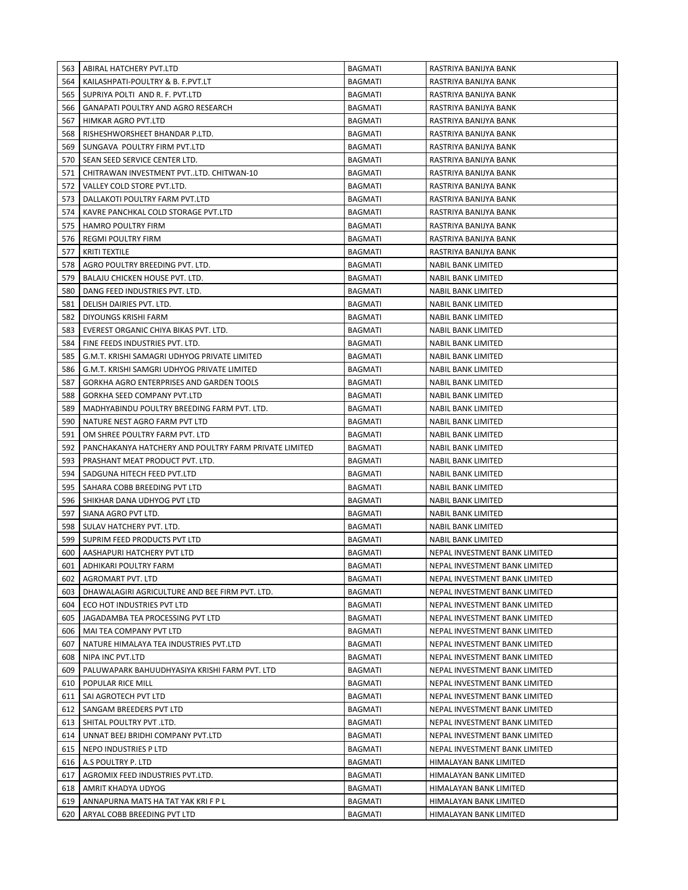| 563        | ABIRAL HATCHERY PVT.LTD                                          | <b>BAGMATI</b>                   | RASTRIYA BANIJYA BANK                            |
|------------|------------------------------------------------------------------|----------------------------------|--------------------------------------------------|
| 564        | KAILASHPATI-POULTRY & B. F.PVT.LT                                | <b>BAGMATI</b>                   | RASTRIYA BANIJYA BANK                            |
| 565        | SUPRIYA POLTI AND R. F. PVT.LTD                                  | <b>BAGMATI</b>                   | RASTRIYA BANIJYA BANK                            |
| 566        | GANAPATI POULTRY AND AGRO RESEARCH                               | <b>BAGMATI</b>                   | RASTRIYA BANIJYA BANK                            |
| 567        | HIMKAR AGRO PVT.LTD                                              | <b>BAGMATI</b>                   | RASTRIYA BANIJYA BANK                            |
| 568        | RISHESHWORSHEET BHANDAR P.LTD.                                   | <b>BAGMATI</b>                   | RASTRIYA BANIJYA BANK                            |
| 569        | SUNGAVA POULTRY FIRM PVT.LTD                                     | <b>BAGMATI</b>                   | RASTRIYA BANIJYA BANK                            |
| 570        | SEAN SEED SERVICE CENTER LTD.                                    | <b>BAGMATI</b>                   | RASTRIYA BANIJYA BANK                            |
| 571        | CHITRAWAN INVESTMENT PVTLTD. CHITWAN-10                          | <b>BAGMATI</b>                   | RASTRIYA BANIJYA BANK                            |
| 572        | VALLEY COLD STORE PVT.LTD.                                       | <b>BAGMATI</b>                   | RASTRIYA BANIJYA BANK                            |
| 573        | DALLAKOTI POULTRY FARM PVT.LTD                                   | <b>BAGMATI</b>                   | RASTRIYA BANIJYA BANK                            |
| 574        | KAVRE PANCHKAL COLD STORAGE PVT.LTD                              | <b>BAGMATI</b>                   | RASTRIYA BANIJYA BANK                            |
| 575        | <b>HAMRO POULTRY FIRM</b>                                        | BAGMATI                          | RASTRIYA BANIJYA BANK                            |
| 576        | <b>REGMI POULTRY FIRM</b>                                        | BAGMATI                          | RASTRIYA BANIJYA BANK                            |
| 577        | KRITI TEXTILE                                                    | BAGMATI                          | RASTRIYA BANIJYA BANK                            |
| 578        | AGRO POULTRY BREEDING PVT. LTD.                                  | BAGMATI                          | NABIL BANK LIMITED                               |
| 579        | BALAJU CHICKEN HOUSE PVT. LTD.                                   | BAGMATI                          | NABIL BANK LIMITED                               |
| 580        | DANG FEED INDUSTRIES PVT. LTD.                                   | <b>BAGMATI</b>                   | NABIL BANK LIMITED                               |
| 581        | DELISH DAIRIES PVT. LTD.                                         | BAGMATI                          | <b>NABIL BANK LIMITED</b>                        |
| 582        | DIYOUNGS KRISHI FARM                                             | <b>BAGMATI</b>                   | NABIL BANK LIMITED                               |
| 583        | EVEREST ORGANIC CHIYA BIKAS PVT. LTD.                            | BAGMATI                          | NABIL BANK LIMITED                               |
| 584        | FINE FEEDS INDUSTRIES PVT. LTD.                                  | <b>BAGMATI</b>                   | NABIL BANK LIMITED                               |
| 585        | G.M.T. KRISHI SAMAGRI UDHYOG PRIVATE LIMITED                     | BAGMATI                          | <b>NABIL BANK LIMITED</b>                        |
| 586        | G.M.T. KRISHI SAMGRI UDHYOG PRIVATE LIMITED                      | BAGMATI                          | NABIL BANK LIMITED                               |
| 587        | GORKHA AGRO ENTERPRISES AND GARDEN TOOLS                         | <b>BAGMATI</b>                   | NABIL BANK LIMITED                               |
| 588        | GORKHA SEED COMPANY PVT.LTD                                      | <b>BAGMATI</b>                   | NABIL BANK LIMITED                               |
| 589        | MADHYABINDU POULTRY BREEDING FARM PVT. LTD.                      | <b>BAGMATI</b>                   | NABIL BANK LIMITED                               |
| 590        | NATURE NEST AGRO FARM PVT LTD                                    | <b>BAGMATI</b>                   | NABIL BANK LIMITED                               |
| 591        | OM SHREE POULTRY FARM PVT. LTD                                   | BAGMATI                          | NABIL BANK LIMITED                               |
| 592        | PANCHAKANYA HATCHERY AND POULTRY FARM PRIVATE LIMITED            | BAGMATI                          | NABIL BANK LIMITED                               |
| 593        |                                                                  |                                  |                                                  |
|            | PRASHANT MEAT PRODUCT PVT. LTD.                                  | BAGMATI                          | NABIL BANK LIMITED                               |
| 594        | SADGUNA HITECH FEED PVT.LTD                                      | BAGMATI                          | NABIL BANK LIMITED                               |
| 595        | SAHARA COBB BREEDING PVT LTD                                     | <b>BAGMATI</b>                   | NABIL BANK LIMITED                               |
| 596        | SHIKHAR DANA UDHYOG PVT LTD                                      | BAGMATI                          | <b>NABIL BANK LIMITED</b>                        |
| 597        | SIANA AGRO PVT LTD.                                              | <b>BAGMATI</b>                   | NABIL BANK LIMITED                               |
| 598        | SULAV HATCHERY PVT. LTD.                                         | BAGMATI                          | NABIL BANK LIMITED                               |
| 599        | SUPRIM FEED PRODUCTS PVT LTD                                     | <b>BAGMATI</b>                   | NABIL BANK LIMITED                               |
| 600        | AASHAPURI HATCHERY PVT LTD                                       | <b>BAGMATI</b>                   | NEPAL INVESTMENT BANK LIMITED                    |
|            | 601 ADHIKARI POULTRY FARM                                        | <b>BAGMATI</b>                   | NEPAL INVESTMENT BANK LIMITED                    |
| 602        | AGROMART PVT. LTD                                                | BAGMATI                          | NEPAL INVESTMENT BANK LIMITED                    |
| 603        | DHAWALAGIRI AGRICULTURE AND BEE FIRM PVT. LTD.                   | <b>BAGMATI</b>                   | NEPAL INVESTMENT BANK LIMITED                    |
| 604        | ECO HOT INDUSTRIES PVT LTD                                       | <b>BAGMATI</b>                   | NEPAL INVESTMENT BANK LIMITED                    |
| 605        | JAGADAMBA TEA PROCESSING PVT LTD                                 | <b>BAGMATI</b>                   | NEPAL INVESTMENT BANK LIMITED                    |
| 606        | MAI TEA COMPANY PVT LTD                                          | BAGMATI                          | NEPAL INVESTMENT BANK LIMITED                    |
| 607        | NATURE HIMALAYA TEA INDUSTRIES PVT.LTD                           | BAGMATI                          | NEPAL INVESTMENT BANK LIMITED                    |
| 608        | NIPA INC PVT.LTD                                                 | BAGMATI                          | NEPAL INVESTMENT BANK LIMITED                    |
| 609        | PALUWAPARK BAHUUDHYASIYA KRISHI FARM PVT. LTD                    | BAGMATI                          | NEPAL INVESTMENT BANK LIMITED                    |
| 610        | POPULAR RICE MILL                                                | BAGMATI                          | NEPAL INVESTMENT BANK LIMITED                    |
| 611        | SAI AGROTECH PVT LTD                                             | BAGMATI                          | NEPAL INVESTMENT BANK LIMITED                    |
| 612        | SANGAM BREEDERS PVT LTD                                          | BAGMATI                          | NEPAL INVESTMENT BANK LIMITED                    |
| 613        | SHITAL POULTRY PVT .LTD.                                         | BAGMATI                          | NEPAL INVESTMENT BANK LIMITED                    |
| 614        | UNNAT BEEJ BRIDHI COMPANY PVT.LTD                                | BAGMATI                          | NEPAL INVESTMENT BANK LIMITED                    |
| 615        | NEPO INDUSTRIES P LTD                                            | BAGMATI                          | NEPAL INVESTMENT BANK LIMITED                    |
| 616        | A.S POULTRY P. LTD                                               | BAGMATI                          | HIMALAYAN BANK LIMITED                           |
| 617        | AGROMIX FEED INDUSTRIES PVT.LTD.                                 | <b>BAGMATI</b>                   | HIMALAYAN BANK LIMITED                           |
| 618        | AMRIT KHADYA UDYOG                                               | <b>BAGMATI</b>                   | HIMALAYAN BANK LIMITED                           |
| 619<br>620 | ANNAPURNA MATS HA TAT YAK KRIFP L<br>ARYAL COBB BREEDING PVT LTD | <b>BAGMATI</b><br><b>BAGMATI</b> | HIMALAYAN BANK LIMITED<br>HIMALAYAN BANK LIMITED |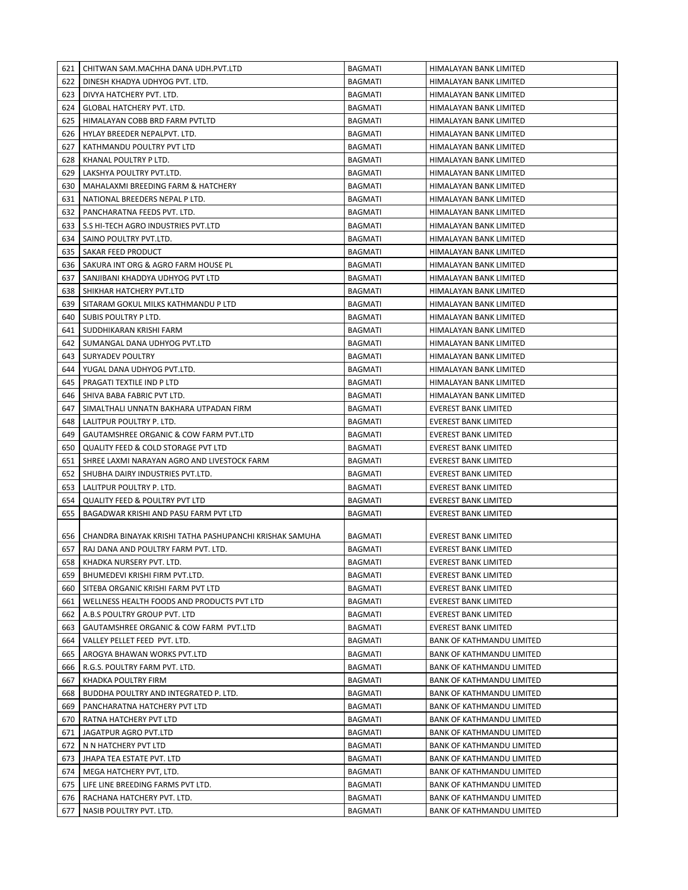| 621 | CHITWAN SAM.MACHHA DANA UDH.PVT.LTD                     | <b>BAGMATI</b> | HIMALAYAN BANK LIMITED           |
|-----|---------------------------------------------------------|----------------|----------------------------------|
| 622 | DINESH KHADYA UDHYOG PVT. LTD.                          | <b>BAGMATI</b> | HIMALAYAN BANK LIMITED           |
| 623 | DIVYA HATCHERY PVT. LTD.                                | <b>BAGMATI</b> | HIMALAYAN BANK LIMITED           |
| 624 | GLOBAL HATCHERY PVT. LTD.                               | <b>BAGMATI</b> | HIMALAYAN BANK LIMITED           |
| 625 | HIMALAYAN COBB BRD FARM PVTLTD                          | <b>BAGMATI</b> | HIMALAYAN BANK LIMITED           |
| 626 | HYLAY BREEDER NEPALPVT. LTD.                            | <b>BAGMATI</b> | HIMALAYAN BANK LIMITED           |
| 627 | KATHMANDU POULTRY PVT LTD                               | <b>BAGMATI</b> | HIMALAYAN BANK LIMITED           |
| 628 | KHANAL POULTRY P LTD.                                   | <b>BAGMATI</b> | HIMALAYAN BANK LIMITED           |
| 629 | LAKSHYA POULTRY PVT.LTD.                                | <b>BAGMATI</b> | HIMALAYAN BANK LIMITED           |
| 630 | MAHALAXMI BREEDING FARM & HATCHERY                      | <b>BAGMATI</b> | HIMALAYAN BANK LIMITED           |
| 631 | NATIONAL BREEDERS NEPAL P LTD.                          | <b>BAGMATI</b> | HIMALAYAN BANK LIMITED           |
| 632 | PANCHARATNA FEEDS PVT. LTD.                             | <b>BAGMATI</b> | <b>HIMALAYAN BANK LIMITED</b>    |
| 633 | S.S HI-TECH AGRO INDUSTRIES PVT.LTD                     | <b>BAGMATI</b> | HIMALAYAN BANK LIMITED           |
| 634 | SAINO POULTRY PVT.LTD.                                  | <b>BAGMATI</b> | HIMALAYAN BANK LIMITED           |
| 635 | SAKAR FEED PRODUCT                                      | <b>BAGMATI</b> | HIMALAYAN BANK LIMITED           |
| 636 | SAKURA INT ORG & AGRO FARM HOUSE PL                     | <b>BAGMATI</b> | HIMALAYAN BANK LIMITED           |
| 637 | SANJIBANI KHADDYA UDHYOG PVT LTD                        | BAGMATI        | HIMALAYAN BANK LIMITED           |
| 638 | SHIKHAR HATCHERY PVT.LTD                                | <b>BAGMATI</b> | HIMALAYAN BANK LIMITED           |
| 639 | SITARAM GOKUL MILKS KATHMANDU P LTD                     | <b>BAGMATI</b> | HIMALAYAN BANK LIMITED           |
| 640 | SUBIS POULTRY P LTD.                                    | <b>BAGMATI</b> | HIMALAYAN BANK LIMITED           |
| 641 | SUDDHIKARAN KRISHI FARM                                 | <b>BAGMATI</b> | HIMALAYAN BANK LIMITED           |
| 642 | SUMANGAL DANA UDHYOG PVT.LTD                            | <b>BAGMATI</b> | <b>HIMALAYAN BANK LIMITED</b>    |
| 643 | <b>SURYADEV POULTRY</b>                                 | <b>BAGMATI</b> | HIMALAYAN BANK LIMITED           |
| 644 | YUGAL DANA UDHYOG PVT.LTD.                              | <b>BAGMATI</b> | HIMALAYAN BANK LIMITED           |
| 645 | PRAGATI TEXTILE IND P LTD                               | <b>BAGMATI</b> | HIMALAYAN BANK LIMITED           |
| 646 | SHIVA BABA FABRIC PVT LTD.                              | BAGMATI        | HIMALAYAN BANK LIMITED           |
| 647 | SIMALTHALI UNNATN BAKHARA UTPADAN FIRM                  | BAGMATI        | <b>EVEREST BANK LIMITED</b>      |
| 648 | LALITPUR POULTRY P. LTD.                                | BAGMATI        | <b>EVEREST BANK LIMITED</b>      |
| 649 | GAUTAMSHREE ORGANIC & COW FARM PVT.LTD                  | <b>BAGMATI</b> | EVEREST BANK LIMITED             |
| 650 | <b>QUALITY FEED &amp; COLD STORAGE PVT LTD</b>          | <b>BAGMATI</b> | <b>EVEREST BANK LIMITED</b>      |
| 651 | SHREE LAXMI NARAYAN AGRO AND LIVESTOCK FARM             | BAGMATI        | <b>EVEREST BANK LIMITED</b>      |
| 652 | SHUBHA DAIRY INDUSTRIES PVT.LTD.                        | BAGMATI        | <b>EVEREST BANK LIMITED</b>      |
| 653 | LALITPUR POULTRY P. LTD.                                | <b>BAGMATI</b> | <b>EVEREST BANK LIMITED</b>      |
| 654 | <b>QUALITY FEED &amp; POULTRY PVT LTD</b>               | <b>BAGMATI</b> | <b>EVEREST BANK LIMITED</b>      |
| 655 | BAGADWAR KRISHI AND PASU FARM PVT LTD                   | <b>BAGMATI</b> | <b>EVEREST BANK LIMITED</b>      |
|     |                                                         |                |                                  |
| 656 | CHANDRA BINAYAK KRISHI TATHA PASHUPANCHI KRISHAK SAMUHA | BAGMATI        | EVEREST BANK LIMITED             |
| 657 | RAJ DANA AND POULTRY FARM PVT. LTD.                     | <b>BAGMATI</b> | <b>EVEREST BANK LIMITED</b>      |
| 658 | KHADKA NURSERY PVT. LTD.                                | <b>BAGMATI</b> | <b>EVEREST BANK LIMITED</b>      |
| 659 | BHUMEDEVI KRISHI FIRM PVT.LTD.                          | <b>BAGMATI</b> | <b>EVEREST BANK LIMITED</b>      |
| 660 | SITEBA ORGANIC KRISHI FARM PVT LTD                      | <b>BAGMATI</b> | <b>EVEREST BANK LIMITED</b>      |
| 661 | WELLNESS HEALTH FOODS AND PRODUCTS PVT LTD              | BAGMATI        | <b>EVEREST BANK LIMITED</b>      |
| 662 | A.B.S POULTRY GROUP PVT. LTD                            | BAGMATI        | <b>EVEREST BANK LIMITED</b>      |
| 663 | GAUTAMSHREE ORGANIC & COW FARM PVT.LTD                  | BAGMATI        | <b>EVEREST BANK LIMITED</b>      |
| 664 | VALLEY PELLET FEED PVT. LTD.                            | BAGMATI        | <b>BANK OF KATHMANDU LIMITED</b> |
| 665 | AROGYA BHAWAN WORKS PVT.LTD                             | <b>BAGMATI</b> | <b>BANK OF KATHMANDU LIMITED</b> |
| 666 | R.G.S. POULTRY FARM PVT. LTD.                           | <b>BAGMATI</b> | <b>BANK OF KATHMANDU LIMITED</b> |
| 667 | KHADKA POULTRY FIRM                                     | <b>BAGMATI</b> | <b>BANK OF KATHMANDU LIMITED</b> |
| 668 | BUDDHA POULTRY AND INTEGRATED P. LTD.                   | <b>BAGMATI</b> | <b>BANK OF KATHMANDU LIMITED</b> |
| 669 | PANCHARATNA HATCHERY PVT LTD                            | <b>BAGMATI</b> | <b>BANK OF KATHMANDU LIMITED</b> |
| 670 | RATNA HATCHERY PVT LTD                                  | BAGMATI        | <b>BANK OF KATHMANDU LIMITED</b> |
| 671 | JAGATPUR AGRO PVT.LTD                                   | BAGMATI        | BANK OF KATHMANDU LIMITED        |
| 672 | N N HATCHERY PVT LTD                                    | BAGMATI        | BANK OF KATHMANDU LIMITED        |
| 673 | JHAPA TEA ESTATE PVT. LTD                               | BAGMATI        | BANK OF KATHMANDU LIMITED        |
| 674 | MEGA HATCHERY PVT, LTD.                                 | BAGMATI        | BANK OF KATHMANDU LIMITED        |
| 675 | LIFE LINE BREEDING FARMS PVT LTD.                       | BAGMATI        | <b>BANK OF KATHMANDU LIMITED</b> |
| 676 | RACHANA HATCHERY PVT. LTD.                              | BAGMATI        | BANK OF KATHMANDU LIMITED        |
| 677 | NASIB POULTRY PVT. LTD.                                 | BAGMATI        | BANK OF KATHMANDU LIMITED        |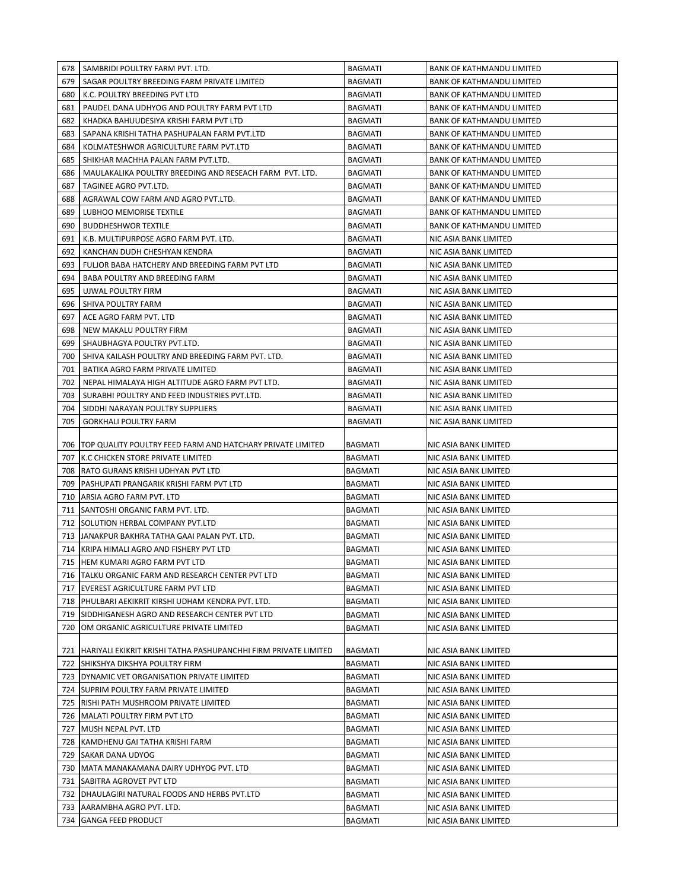| 678 | SAMBRIDI POULTRY FARM PVT. LTD.                                       | <b>BAGMATI</b> | <b>BANK OF KATHMANDU LIMITED</b> |
|-----|-----------------------------------------------------------------------|----------------|----------------------------------|
| 679 | SAGAR POULTRY BREEDING FARM PRIVATE LIMITED                           | <b>BAGMATI</b> | BANK OF KATHMANDU LIMITED        |
| 680 | K.C. POULTRY BREEDING PVT LTD                                         | <b>BAGMATI</b> | BANK OF KATHMANDU LIMITED        |
| 681 | PAUDEL DANA UDHYOG AND POULTRY FARM PVT LTD                           | <b>BAGMATI</b> | <b>BANK OF KATHMANDU LIMITED</b> |
| 682 | KHADKA BAHUUDESIYA KRISHI FARM PVT LTD                                | <b>BAGMATI</b> | <b>BANK OF KATHMANDU LIMITED</b> |
| 683 | SAPANA KRISHI TATHA PASHUPALAN FARM PVT.LTD                           | <b>BAGMATI</b> | <b>BANK OF KATHMANDU LIMITED</b> |
| 684 | KOLMATESHWOR AGRICULTURE FARM PVT.LTD                                 | <b>BAGMATI</b> | <b>BANK OF KATHMANDU LIMITED</b> |
| 685 | SHIKHAR MACHHA PALAN FARM PVT.LTD.                                    | <b>BAGMATI</b> | <b>BANK OF KATHMANDU LIMITED</b> |
| 686 | MAULAKALIKA POULTRY BREEDING AND RESEACH FARM PVT. LTD.               | <b>BAGMATI</b> | <b>BANK OF KATHMANDU LIMITED</b> |
| 687 | TAGINEE AGRO PVT.LTD.                                                 | <b>BAGMATI</b> | <b>BANK OF KATHMANDU LIMITED</b> |
| 688 | AGRAWAL COW FARM AND AGRO PVT.LTD.                                    | <b>BAGMATI</b> | <b>BANK OF KATHMANDU LIMITED</b> |
| 689 | LUBHOO MEMORISE TEXTILE                                               | <b>BAGMATI</b> | <b>BANK OF KATHMANDU LIMITED</b> |
|     |                                                                       |                |                                  |
| 690 | <b>BUDDHESHWOR TEXTILE</b>                                            | BAGMATI        | <b>BANK OF KATHMANDU LIMITED</b> |
| 691 | K.B. MULTIPURPOSE AGRO FARM PVT. LTD.                                 | BAGMATI        | NIC ASIA BANK LIMITED            |
| 692 | KANCHAN DUDH CHESHYAN KENDRA                                          | BAGMATI        | NIC ASIA BANK LIMITED            |
| 693 | FULJOR BABA HATCHERY AND BREEDING FARM PVT LTD                        | <b>BAGMATI</b> | NIC ASIA BANK LIMITED            |
| 694 | BABA POULTRY AND BREEDING FARM                                        | <b>BAGMATI</b> | NIC ASIA BANK LIMITED            |
| 695 | UJWAL POULTRY FIRM                                                    | <b>BAGMATI</b> | NIC ASIA BANK LIMITED            |
| 696 | SHIVA POULTRY FARM                                                    | BAGMATI        | NIC ASIA BANK LIMITED            |
| 697 | ACE AGRO FARM PVT. LTD                                                | <b>BAGMATI</b> | NIC ASIA BANK LIMITED            |
| 698 | NEW MAKALU POULTRY FIRM                                               | <b>BAGMATI</b> | NIC ASIA BANK LIMITED            |
| 699 | SHAUBHAGYA POULTRY PVT.LTD.                                           | <b>BAGMATI</b> | NIC ASIA BANK LIMITED            |
| 700 | SHIVA KAILASH POULTRY AND BREEDING FARM PVT. LTD.                     | <b>BAGMATI</b> | NIC ASIA BANK LIMITED            |
| 701 | BATIKA AGRO FARM PRIVATE LIMITED                                      | <b>BAGMATI</b> | NIC ASIA BANK LIMITED            |
| 702 | NEPAL HIMALAYA HIGH ALTITUDE AGRO FARM PVT LTD.                       | <b>BAGMATI</b> | NIC ASIA BANK LIMITED            |
| 703 | SURABHI POULTRY AND FEED INDUSTRIES PVT.LTD.                          | <b>BAGMATI</b> | NIC ASIA BANK LIMITED            |
| 704 | SIDDHI NARAYAN POULTRY SUPPLIERS                                      | <b>BAGMATI</b> | NIC ASIA BANK LIMITED            |
| 705 | <b>GORKHALI POULTRY FARM</b>                                          | <b>BAGMATI</b> | NIC ASIA BANK LIMITED            |
|     |                                                                       |                |                                  |
|     | 706   TOP QUALITY POULTRY FEED FARM AND HATCHARY PRIVATE LIMITED      | BAGMATI        | NIC ASIA BANK LIMITED            |
|     | 707 K.C CHICKEN STORE PRIVATE LIMITED                                 | <b>BAGMATI</b> | NIC ASIA BANK LIMITED            |
|     | 708   RATO GURANS KRISHI UDHYAN PVT LTD                               | <b>BAGMATI</b> | NIC ASIA BANK LIMITED            |
| 709 | PASHUPATI PRANGARIK KRISHI FARM PVT LTD                               | <b>BAGMATI</b> | NIC ASIA BANK LIMITED            |
| 710 | ARSIA AGRO FARM PVT. LTD                                              | <b>BAGMATI</b> | NIC ASIA BANK LIMITED            |
| 711 | SANTOSHI ORGANIC FARM PVT. LTD.                                       | <b>BAGMATI</b> | NIC ASIA BANK LIMITED            |
|     | 712 SOLUTION HERBAL COMPANY PVT.LTD                                   | <b>BAGMATI</b> | NIC ASIA BANK LIMITED            |
|     | 713 JJANAKPUR BAKHRA TATHA GAAI PALAN PVT. LTD.                       | <b>BAGMATI</b> | NIC ASIA BANK LIMITED            |
|     | 714 KRIPA HIMALI AGRO AND FISHERY PVT LTD                             | <b>BAGMATI</b> | NIC ASIA BANK LIMITED            |
|     | 715 HEM KUMARI AGRO FARM PVT LTD                                      | BAGMATI        | NIC ASIA BANK LIMITED            |
|     | 716   TALKU ORGANIC FARM AND RESEARCH CENTER PVT LTD                  | <b>BAGMATI</b> | NIC ASIA BANK LIMITED            |
|     | 717 EVEREST AGRICULTURE FARM PVT LTD                                  | BAGMATI        | NIC ASIA BANK LIMITED            |
|     | 718   PHULBARI AEKIKRIT KIRSHI UDHAM KENDRA PVT. LTD.                 | BAGMATI        | NIC ASIA BANK LIMITED            |
|     | 719 SIDDHIGANESH AGRO AND RESEARCH CENTER PVT LTD                     | <b>BAGMATI</b> | NIC ASIA BANK LIMITED            |
|     |                                                                       |                |                                  |
|     | 720 OM ORGANIC AGRICULTURE PRIVATE LIMITED                            | BAGMATI        | NIC ASIA BANK LIMITED            |
|     | 721   HARIYALI EKIKRIT KRISHI TATHA PASHUPANCHHI FIRM PRIVATE LIMITED | BAGMATI        | NIC ASIA BANK LIMITED            |
|     | 722 SHIKSHYA DIKSHYA POULTRY FIRM                                     | <b>BAGMATI</b> | NIC ASIA BANK LIMITED            |
|     | 723 DYNAMIC VET ORGANISATION PRIVATE LIMITED                          | BAGMATI        | NIC ASIA BANK LIMITED            |
|     | 724 SUPRIM POULTRY FARM PRIVATE LIMITED                               | BAGMATI        | NIC ASIA BANK LIMITED            |
|     | 725   RISHI PATH MUSHROOM PRIVATE LIMITED                             |                | NIC ASIA BANK LIMITED            |
|     |                                                                       | BAGMATI        |                                  |
|     | 726   MALATI POULTRY FIRM PVT LTD                                     | BAGMATI        | NIC ASIA BANK LIMITED            |
|     | 727 MUSH NEPAL PVT. LTD                                               | BAGMATI        | NIC ASIA BANK LIMITED            |
|     | 728 KAMDHENU GAI TATHA KRISHI FARM                                    | BAGMATI        | NIC ASIA BANK LIMITED            |
|     | 729 SAKAR DANA UDYOG                                                  | BAGMATI        | NIC ASIA BANK LIMITED            |
|     | 730   MATA MANAKAMANA DAIRY UDHYOG PVT. LTD                           | BAGMATI        | NIC ASIA BANK LIMITED            |
|     | 731 SABITRA AGROVET PVT LTD                                           | <b>BAGMATI</b> | NIC ASIA BANK LIMITED            |
|     | 732   DHAULAGIRI NATURAL FOODS AND HERBS PVT.LTD                      | <b>BAGMATI</b> | NIC ASIA BANK LIMITED            |
|     | 733 AARAMBHA AGRO PVT. LTD.                                           | <b>BAGMATI</b> | NIC ASIA BANK LIMITED            |
|     | 734 GANGA FEED PRODUCT                                                | <b>BAGMATI</b> | NIC ASIA BANK LIMITED            |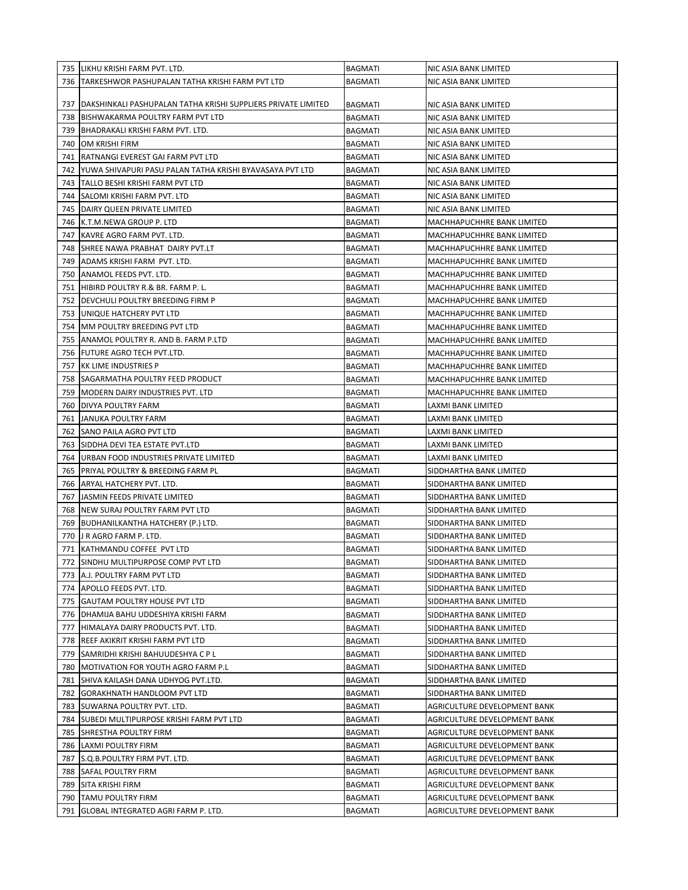|     | 735   LIKHU KRISHI FARM PVT. LTD.                                   | BAGMATI        | NIC ASIA BANK LIMITED        |
|-----|---------------------------------------------------------------------|----------------|------------------------------|
|     | 736 TARKESHWOR PASHUPALAN TATHA KRISHI FARM PVT LTD                 | BAGMATI        | NIC ASIA BANK LIMITED        |
|     |                                                                     |                |                              |
|     | 737   DAKSHINKALI PASHUPALAN TATHA KRISHI SUPPLIERS PRIVATE LIMITED | <b>BAGMATI</b> | NIC ASIA BANK LIMITED        |
|     | 738  BISHWAKARMA POULTRY FARM PVT LTD                               | BAGMATI        | NIC ASIA BANK LIMITED        |
|     | 739 BHADRAKALI KRISHI FARM PVT. LTD.                                | BAGMATI        | NIC ASIA BANK LIMITED        |
| 740 | OM KRISHI FIRM                                                      | BAGMATI        | NIC ASIA BANK LIMITED        |
|     | 741   RATNANGI EVEREST GAI FARM PVT LTD                             | <b>BAGMATI</b> | NIC ASIA BANK LIMITED        |
|     | 742 YUWA SHIVAPURI PASU PALAN TATHA KRISHI BYAVASAYA PVT LTD        | BAGMATI        | NIC ASIA BANK LIMITED        |
|     | 743   TALLO BESHI KRISHI FARM PVT LTD                               | BAGMATI        | NIC ASIA BANK LIMITED        |
|     | 744   SALOMI KRISHI FARM PVT. LTD                                   | BAGMATI        | NIC ASIA BANK LIMITED        |
|     | 745   DAIRY QUEEN PRIVATE LIMITED                                   | <b>BAGMATI</b> | NIC ASIA BANK LIMITED        |
|     | 746 K.T.M.NEWA GROUP P. LTD                                         | <b>BAGMATI</b> | MACHHAPUCHHRE BANK LIMITED   |
|     | 747 KAVRE AGRO FARM PVT. LTD.                                       | <b>BAGMATI</b> | MACHHAPUCHHRE BANK LIMITED   |
|     | 748 SHREE NAWA PRABHAT DAIRY PVT.LT                                 | BAGMATI        | MACHHAPUCHHRE BANK LIMITED   |
| 749 | ADAMS KRISHI FARM PVT. LTD.                                         | <b>BAGMATI</b> | MACHHAPUCHHRE BANK LIMITED   |
| 750 | ANAMOL FEEDS PVT. LTD.                                              | <b>BAGMATI</b> | MACHHAPUCHHRE BANK LIMITED   |
|     | 751 HIBIRD POULTRY R.& BR. FARM P.L.                                | <b>BAGMATI</b> | MACHHAPUCHHRE BANK LIMITED   |
|     | 752   DEVCHULI POULTRY BREEDING FIRM P                              | <b>BAGMATI</b> | MACHHAPUCHHRE BANK LIMITED   |
|     | 753 UNIQUE HATCHERY PVT LTD                                         | BAGMATI        | MACHHAPUCHHRE BANK LIMITED   |
| 754 | MM POULTRY BREEDING PVT LTD                                         | <b>BAGMATI</b> | MACHHAPUCHHRE BANK LIMITED   |
|     | 755   ANAMOL POULTRY R. AND B. FARM P.LTD                           | BAGMATI        | MACHHAPUCHHRE BANK LIMITED   |
|     | 756 FUTURE AGRO TECH PVT.LTD.                                       | BAGMATI        | MACHHAPUCHHRE BANK LIMITED   |
|     | 757 KK LIME INDUSTRIES P                                            | <b>BAGMATI</b> | MACHHAPUCHHRE BANK LIMITED   |
|     | 758 SAGARMATHA POULTRY FEED PRODUCT                                 | <b>BAGMATI</b> | MACHHAPUCHHRE BANK LIMITED   |
|     | 759 IMODERN DAIRY INDUSTRIES PVT. LTD                               | BAGMATI        | MACHHAPUCHHRE BANK LIMITED   |
|     | 760 DIVYA POULTRY FARM                                              | BAGMATI        | LAXMI BANK LIMITED           |
|     | 761 JANUKA POULTRY FARM                                             | <b>BAGMATI</b> |                              |
|     |                                                                     | <b>BAGMATI</b> | LAXMI BANK LIMITED           |
|     | 762 SANO PAILA AGRO PVT LTD                                         |                | LAXMI BANK LIMITED           |
|     | 763   SIDDHA DEVI TEA ESTATE PVT.LTD                                | <b>BAGMATI</b> | LAXMI BANK LIMITED           |
|     | 764   URBAN FOOD INDUSTRIES PRIVATE LIMITED                         | <b>BAGMATI</b> | LAXMI BANK LIMITED           |
|     | 765 PRIYAL POULTRY & BREEDING FARM PL                               | <b>BAGMATI</b> | SIDDHARTHA BANK LIMITED      |
|     | 766 ARYAL HATCHERY PVT. LTD.                                        | <b>BAGMATI</b> | SIDDHARTHA BANK LIMITED      |
| 767 | JASMIN FEEDS PRIVATE LIMITED                                        | <b>BAGMATI</b> | SIDDHARTHA BANK LIMITED      |
|     | 768 INEW SURAJ POULTRY FARM PVT LTD                                 | <b>BAGMATI</b> | SIDDHARTHA BANK LIMITED      |
|     | 769 BUDHANILKANTHA HATCHERY (P.) LTD.                               | <b>BAGMATI</b> | SIDDHARTHA BANK LIMITED      |
|     | 770 J R AGRO FARM P. LTD.                                           | BAGMATI        | SIDDHARTHA BANK LIMITED      |
|     | 771 KATHMANDU COFFEE PVT LTD                                        | BAGMATI        | SIDDHARTHA BANK LIMITED      |
|     | 772 SINDHU MULTIPURPOSE COMP PVT LTD                                | <b>BAGMATI</b> | SIDDHARTHA BANK LIMITED      |
|     | 773 A.J. POULTRY FARM PVT LTD                                       | BAGMATI        | SIDDHARTHA BANK LIMITED      |
|     | 774 APOLLO FEEDS PVT. LTD.                                          | <b>BAGMATI</b> | SIDDHARTHA BANK LIMITED      |
|     | 775 GAUTAM POULTRY HOUSE PVT LTD                                    | <b>BAGMATI</b> | SIDDHARTHA BANK LIMITED      |
|     | 776   DHAMIJA BAHU UDDESHIYA KRISHI FARM                            | BAGMATI        | SIDDHARTHA BANK LIMITED      |
| 777 | HIMALAYA DAIRY PRODUCTS PVT. LTD.                                   | BAGMATI        | SIDDHARTHA BANK LIMITED      |
|     | 778 REEF AKIKRIT KRISHI FARM PVT LTD                                | BAGMATI        | SIDDHARTHA BANK LIMITED      |
|     | 779 SAMRIDHI KRISHI BAHUUDESHYA C P L                               | <b>BAGMATI</b> | SIDDHARTHA BANK LIMITED      |
|     | 780   MOTIVATION FOR YOUTH AGRO FARM P.L                            | <b>BAGMATI</b> | SIDDHARTHA BANK LIMITED      |
|     | 781 SHIVA KAILASH DANA UDHYOG PVT.LTD.                              | <b>BAGMATI</b> | SIDDHARTHA BANK LIMITED      |
|     | 782 GORAKHNATH HANDLOOM PVT LTD                                     | <b>BAGMATI</b> | SIDDHARTHA BANK LIMITED      |
|     | 783   SUWARNA POULTRY PVT. LTD.                                     | <b>BAGMATI</b> | AGRICULTURE DEVELOPMENT BANK |
|     | 784   SUBEDI MULTIPURPOSE KRISHI FARM PVT LTD                       | BAGMATI        | AGRICULTURE DEVELOPMENT BANK |
|     | 785 SHRESTHA POULTRY FIRM                                           | BAGMATI        | AGRICULTURE DEVELOPMENT BANK |
|     | 786 LAXMI POULTRY FIRM                                              | BAGMATI        | AGRICULTURE DEVELOPMENT BANK |
|     | 787 S.Q.B.POULTRY FIRM PVT. LTD.                                    | BAGMATI        | AGRICULTURE DEVELOPMENT BANK |
|     | 788 SAFAL POULTRY FIRM                                              | BAGMATI        | AGRICULTURE DEVELOPMENT BANK |
|     | 789 SITA KRISHI FIRM                                                | BAGMATI        | AGRICULTURE DEVELOPMENT BANK |
|     | 790 TAMU POULTRY FIRM                                               | BAGMATI        | AGRICULTURE DEVELOPMENT BANK |
|     | 791   GLOBAL INTEGRATED AGRI FARM P. LTD.                           | <b>BAGMATI</b> | AGRICULTURE DEVELOPMENT BANK |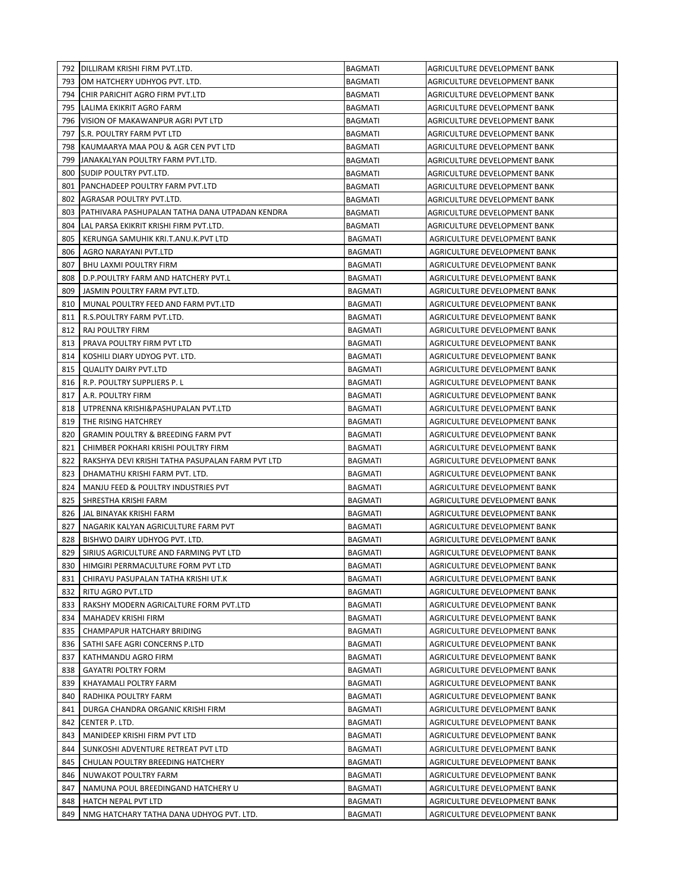|     | 792 DILLIRAM KRISHI FIRM PVT.LTD.                | <b>BAGMATI</b> | AGRICULTURE DEVELOPMENT BANK |
|-----|--------------------------------------------------|----------------|------------------------------|
|     | 793   OM HATCHERY UDHYOG PVT. LTD.               | <b>BAGMATI</b> | AGRICULTURE DEVELOPMENT BANK |
|     | 794 CHIR PARICHIT AGRO FIRM PVT.LTD              | <b>BAGMATI</b> | AGRICULTURE DEVELOPMENT BANK |
|     | 795 LALIMA EKIKRIT AGRO FARM                     | <b>BAGMATI</b> | AGRICULTURE DEVELOPMENT BANK |
| 796 | VISION OF MAKAWANPUR AGRI PVT LTD                | <b>BAGMATI</b> | AGRICULTURE DEVELOPMENT BANK |
| 797 | S.R. POULTRY FARM PVT LTD                        | BAGMATI        | AGRICULTURE DEVELOPMENT BANK |
| 798 | KAUMAARYA MAA POU & AGR CEN PVT LTD              | <b>BAGMATI</b> | AGRICULTURE DEVELOPMENT BANK |
| 799 | JANAKALYAN POULTRY FARM PVT.LTD.                 | <b>BAGMATI</b> | AGRICULTURE DEVELOPMENT BANK |
| 800 | <b>SUDIP POULTRY PVT.LTD.</b>                    | <b>BAGMATI</b> | AGRICULTURE DEVELOPMENT BANK |
| 801 | PANCHADEEP POULTRY FARM PVT.LTD                  | <b>BAGMATI</b> | AGRICULTURE DEVELOPMENT BANK |
| 802 | AGRASAR POULTRY PVT.LTD.                         | <b>BAGMATI</b> | AGRICULTURE DEVELOPMENT BANK |
| 803 | IPATHIVARA PASHUPALAN TATHA DANA UTPADAN KENDRA  | <b>BAGMATI</b> | AGRICULTURE DEVELOPMENT BANK |
| 804 | LAL PARSA EKIKRIT KRISHI FIRM PVT.LTD.           | BAGMATI        | AGRICULTURE DEVELOPMENT BANK |
| 805 | KERUNGA SAMUHIK KRI.T.ANU.K.PVT LTD              | <b>BAGMATI</b> | AGRICULTURE DEVELOPMENT BANK |
| 806 | AGRO NARAYANI PVT.LTD                            | BAGMATI        | AGRICULTURE DEVELOPMENT BANK |
| 807 | <b>BHU LAXMI POULTRY FIRM</b>                    | BAGMATI        | AGRICULTURE DEVELOPMENT BANK |
| 808 | D.P. POULTRY FARM AND HATCHERY PVT.L             | BAGMATI        | AGRICULTURE DEVELOPMENT BANK |
| 809 | JASMIN POULTRY FARM PVT.LTD.                     | <b>BAGMATI</b> | AGRICULTURE DEVELOPMENT BANK |
| 810 | MUNAL POULTRY FEED AND FARM PVT.LTD              | <b>BAGMATI</b> | AGRICULTURE DEVELOPMENT BANK |
| 811 | R.S.POULTRY FARM PVT.LTD.                        | <b>BAGMATI</b> | AGRICULTURE DEVELOPMENT BANK |
| 812 | <b>RAJ POULTRY FIRM</b>                          | <b>BAGMATI</b> | AGRICULTURE DEVELOPMENT BANK |
| 813 | PRAVA POULTRY FIRM PVT LTD                       | <b>BAGMATI</b> | AGRICULTURE DEVELOPMENT BANK |
| 814 | KOSHILI DIARY UDYOG PVT. LTD.                    | <b>BAGMATI</b> | AGRICULTURE DEVELOPMENT BANK |
| 815 | <b>QUALITY DAIRY PVT.LTD</b>                     | <b>BAGMATI</b> | AGRICULTURE DEVELOPMENT BANK |
| 816 | R.P. POULTRY SUPPLIERS P.L                       | <b>BAGMATI</b> | AGRICULTURE DEVELOPMENT BANK |
| 817 | A.R. POULTRY FIRM                                | <b>BAGMATI</b> | AGRICULTURE DEVELOPMENT BANK |
| 818 | UTPRENNA KRISHI&PASHUPALAN PVT.LTD               | BAGMATI        | AGRICULTURE DEVELOPMENT BANK |
| 819 | THE RISING HATCHREY                              | BAGMATI        | AGRICULTURE DEVELOPMENT BANK |
| 820 | <b>GRAMIN POULTRY &amp; BREEDING FARM PVT</b>    | BAGMATI        | AGRICULTURE DEVELOPMENT BANK |
| 821 | CHIMBER POKHARI KRISHI POULTRY FIRM              | <b>BAGMATI</b> | AGRICULTURE DEVELOPMENT BANK |
| 822 | RAKSHYA DEVI KRISHI TATHA PASUPALAN FARM PVT LTD | <b>BAGMATI</b> | AGRICULTURE DEVELOPMENT BANK |
| 823 | DHAMATHU KRISHI FARM PVT. LTD.                   | <b>BAGMATI</b> | AGRICULTURE DEVELOPMENT BANK |
| 824 | MANJU FEED & POULTRY INDUSTRIES PVT              | <b>BAGMATI</b> | AGRICULTURE DEVELOPMENT BANK |
| 825 | SHRESTHA KRISHI FARM                             | BAGMATI        | AGRICULTURE DEVELOPMENT BANK |
| 826 | JAL BINAYAK KRISHI FARM                          | <b>BAGMATI</b> | AGRICULTURE DEVELOPMENT BANK |
| 827 | NAGARIK KALYAN AGRICULTURE FARM PVT              | <b>BAGMATI</b> | AGRICULTURE DEVELOPMENT BANK |
| 828 | BISHWO DAIRY UDHYOG PVT. LTD.                    | <b>BAGMATI</b> | AGRICULTURE DEVELOPMENT BANK |
| 829 | SIRIUS AGRICULTURE AND FARMING PVT LTD           | <b>BAGMATI</b> | AGRICULTURE DEVELOPMENT BANK |
|     | 830   HIMGIRI PERRMACULTURE FORM PVT LTD         | BAGMATI        | AGRICULTURE DEVELOPMENT BANK |
| 831 | CHIRAYU PASUPALAN TATHA KRISHI UT.K              | <b>BAGMATI</b> | AGRICULTURE DEVELOPMENT BANK |
| 832 | RITU AGRO PVT.LTD                                | <b>BAGMATI</b> | AGRICULTURE DEVELOPMENT BANK |
| 833 | RAKSHY MODERN AGRICALTURE FORM PVT.LTD           | BAGMATI        | AGRICULTURE DEVELOPMENT BANK |
| 834 | MAHADEV KRISHI FIRM                              | BAGMATI        | AGRICULTURE DEVELOPMENT BANK |
| 835 | CHAMPAPUR HATCHARY BRIDING                       | BAGMATI        | AGRICULTURE DEVELOPMENT BANK |
| 836 | SATHI SAFE AGRI CONCERNS P.LTD                   | BAGMATI        | AGRICULTURE DEVELOPMENT BANK |
| 837 | KATHMANDU AGRO FIRM                              | BAGMATI        | AGRICULTURE DEVELOPMENT BANK |
| 838 | <b>GAYATRI POLTRY FORM</b>                       | <b>BAGMATI</b> | AGRICULTURE DEVELOPMENT BANK |
| 839 | KHAYAMALI POLTRY FARM                            | <b>BAGMATI</b> | AGRICULTURE DEVELOPMENT BANK |
| 840 | RADHIKA POULTRY FARM                             | <b>BAGMATI</b> | AGRICULTURE DEVELOPMENT BANK |
| 841 | DURGA CHANDRA ORGANIC KRISHI FIRM                | <b>BAGMATI</b> | AGRICULTURE DEVELOPMENT BANK |
| 842 | CENTER P. LTD.                                   | BAGMATI        | AGRICULTURE DEVELOPMENT BANK |
| 843 | MANIDEEP KRISHI FIRM PVT LTD                     | <b>BAGMATI</b> | AGRICULTURE DEVELOPMENT BANK |
| 844 | SUNKOSHI ADVENTURE RETREAT PVT LTD               | BAGMATI        | AGRICULTURE DEVELOPMENT BANK |
| 845 | CHULAN POULTRY BREEDING HATCHERY                 | <b>BAGMATI</b> | AGRICULTURE DEVELOPMENT BANK |
| 846 | NUWAKOT POULTRY FARM                             | <b>BAGMATI</b> | AGRICULTURE DEVELOPMENT BANK |
| 847 | NAMUNA POUL BREEDINGAND HATCHERY U               | <b>BAGMATI</b> | AGRICULTURE DEVELOPMENT BANK |
| 848 | HATCH NEPAL PVT LTD                              | <b>BAGMATI</b> | AGRICULTURE DEVELOPMENT BANK |
| 849 | NMG HATCHARY TATHA DANA UDHYOG PVT. LTD.         | <b>BAGMATI</b> | AGRICULTURE DEVELOPMENT BANK |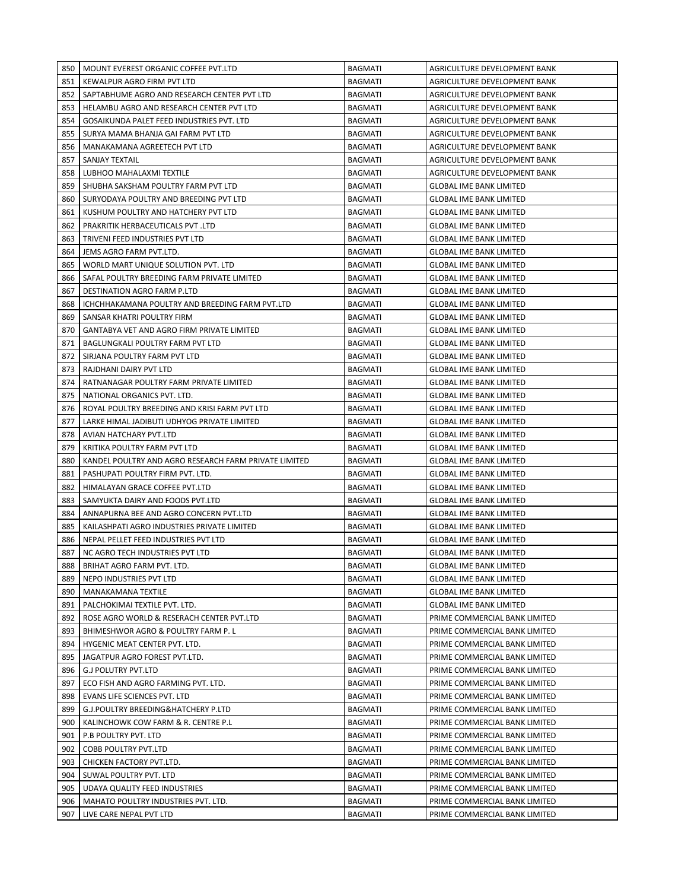| 850 | MOUNT EVEREST ORGANIC COFFEE PVT.LTD                  | <b>BAGMATI</b> | AGRICULTURE DEVELOPMENT BANK   |
|-----|-------------------------------------------------------|----------------|--------------------------------|
| 851 | KEWALPUR AGRO FIRM PVT LTD                            | <b>BAGMATI</b> | AGRICULTURE DEVELOPMENT BANK   |
| 852 | SAPTABHUME AGRO AND RESEARCH CENTER PVT LTD           | <b>BAGMATI</b> | AGRICULTURE DEVELOPMENT BANK   |
| 853 | HELAMBU AGRO AND RESEARCH CENTER PVT LTD              | <b>BAGMATI</b> | AGRICULTURE DEVELOPMENT BANK   |
| 854 | GOSAIKUNDA PALET FEED INDUSTRIES PVT. LTD             | <b>BAGMATI</b> | AGRICULTURE DEVELOPMENT BANK   |
| 855 | SURYA MAMA BHANJA GAI FARM PVT LTD                    | <b>BAGMATI</b> | AGRICULTURE DEVELOPMENT BANK   |
| 856 | MANAKAMANA AGREETECH PVT LTD                          | <b>BAGMATI</b> | AGRICULTURE DEVELOPMENT BANK   |
| 857 | SANJAY TEXTAIL                                        | <b>BAGMATI</b> | AGRICULTURE DEVELOPMENT BANK   |
| 858 | LUBHOO MAHALAXMI TEXTILE                              | <b>BAGMATI</b> | AGRICULTURE DEVELOPMENT BANK   |
| 859 | SHUBHA SAKSHAM POULTRY FARM PVT LTD                   | <b>BAGMATI</b> | <b>GLOBAL IME BANK LIMITED</b> |
| 860 | SURYODAYA POULTRY AND BREEDING PVT LTD                | BAGMATI        | <b>GLOBAL IME BANK LIMITED</b> |
| 861 | KUSHUM POULTRY AND HATCHERY PVT LTD                   | BAGMATI        | <b>GLOBAL IME BANK LIMITED</b> |
| 862 | PRAKRITIK HERBACEUTICALS PVT .LTD                     | <b>BAGMATI</b> | <b>GLOBAL IME BANK LIMITED</b> |
| 863 | TRIVENI FEED INDUSTRIES PVT LTD                       | <b>BAGMATI</b> | <b>GLOBAL IME BANK LIMITED</b> |
| 864 | JEMS AGRO FARM PVT.LTD.                               | <b>BAGMATI</b> | <b>GLOBAL IME BANK LIMITED</b> |
| 865 | WORLD MART UNIQUE SOLUTION PVT. LTD                   | <b>BAGMATI</b> | <b>GLOBAL IME BANK LIMITED</b> |
| 866 | SAFAL POULTRY BREEDING FARM PRIVATE LIMITED           | BAGMATI        | <b>GLOBAL IME BANK LIMITED</b> |
| 867 | DESTINATION AGRO FARM P.LTD                           | <b>BAGMATI</b> | <b>GLOBAL IME BANK LIMITED</b> |
| 868 | ICHCHHAKAMANA POULTRY AND BREEDING FARM PVT.LTD       | <b>BAGMATI</b> | <b>GLOBAL IME BANK LIMITED</b> |
| 869 | SANSAR KHATRI POULTRY FIRM                            | <b>BAGMATI</b> | <b>GLOBAL IME BANK LIMITED</b> |
| 870 | <b>GANTABYA VET AND AGRO FIRM PRIVATE LIMITED</b>     | <b>BAGMATI</b> | <b>GLOBAL IME BANK LIMITED</b> |
| 871 | BAGLUNGKALI POULTRY FARM PVT LTD                      | <b>BAGMATI</b> | <b>GLOBAL IME BANK LIMITED</b> |
| 872 | SIRJANA POULTRY FARM PVT LTD                          | <b>BAGMATI</b> | <b>GLOBAL IME BANK LIMITED</b> |
| 873 | RAJDHANI DAIRY PVT LTD                                | <b>BAGMATI</b> | <b>GLOBAL IME BANK LIMITED</b> |
| 874 | RATNANAGAR POULTRY FARM PRIVATE LIMITED               | <b>BAGMATI</b> | <b>GLOBAL IME BANK LIMITED</b> |
| 875 | NATIONAL ORGANICS PVT. LTD.                           | <b>BAGMATI</b> | <b>GLOBAL IME BANK LIMITED</b> |
| 876 | ROYAL POULTRY BREEDING AND KRISI FARM PVT LTD         | BAGMATI        | <b>GLOBAL IME BANK LIMITED</b> |
| 877 | LARKE HIMAL JADIBUTI UDHYOG PRIVATE LIMITED           | <b>BAGMATI</b> | <b>GLOBAL IME BANK LIMITED</b> |
| 878 | AVIAN HATCHARY PVT.LTD                                | BAGMATI        | <b>GLOBAL IME BANK LIMITED</b> |
| 879 | KRITIKA POULTRY FARM PVT LTD                          | <b>BAGMATI</b> | <b>GLOBAL IME BANK LIMITED</b> |
| 880 | KANDEL POULTRY AND AGRO RESEARCH FARM PRIVATE LIMITED | <b>BAGMATI</b> | <b>GLOBAL IME BANK LIMITED</b> |
| 881 | PASHUPATI POULTRY FIRM PVT. LTD.                      | BAGMATI        | <b>GLOBAL IME BANK LIMITED</b> |
| 882 | HIMALAYAN GRACE COFFEE PVT.LTD                        | <b>BAGMATI</b> | <b>GLOBAL IME BANK LIMITED</b> |
| 883 | SAMYUKTA DAIRY AND FOODS PVT.LTD                      | <b>BAGMATI</b> | <b>GLOBAL IME BANK LIMITED</b> |
| 884 | ANNAPURNA BEE AND AGRO CONCERN PVT.LTD                | <b>BAGMATI</b> | <b>GLOBAL IME BANK LIMITED</b> |
| 885 | KAILASHPATI AGRO INDUSTRIES PRIVATE LIMITED           | <b>BAGMATI</b> | <b>GLOBAL IME BANK LIMITED</b> |
| 886 | NEPAL PELLET FEED INDUSTRIES PVT LTD                  | <b>BAGMATI</b> | <b>GLOBAL IME BANK LIMITED</b> |
| 887 | NC AGRO TECH INDUSTRIES PVT LTD                       | <b>BAGMATI</b> | <b>GLOBAL IME BANK LIMITED</b> |
| 888 | BRIHAT AGRO FARM PVT. LTD.                            | BAGMATI        | <b>GLOBAL IME BANK LIMITED</b> |
| 889 | NEPO INDUSTRIES PVT LTD                               | <b>BAGMATI</b> | <b>GLOBAL IME BANK LIMITED</b> |
| 890 | MANAKAMANA TEXTILE                                    | <b>BAGMATI</b> | <b>GLOBAL IME BANK LIMITED</b> |
| 891 | PALCHOKIMAI TEXTILE PVT. LTD.                         | <b>BAGMATI</b> | GLOBAL IME BANK LIMITED        |
| 892 | ROSE AGRO WORLD & RESERACH CENTER PVT.LTD             | <b>BAGMATI</b> | PRIME COMMERCIAL BANK LIMITED  |
| 893 | BHIMESHWOR AGRO & POULTRY FARM P. L                   | BAGMATI        | PRIME COMMERCIAL BANK LIMITED  |
| 894 | HYGENIC MEAT CENTER PVT. LTD.                         | <b>BAGMATI</b> | PRIME COMMERCIAL BANK LIMITED  |
| 895 | JAGATPUR AGRO FOREST PVT.LTD.                         | BAGMATI        | PRIME COMMERCIAL BANK LIMITED  |
| 896 | <b>G.J POLUTRY PVT.LTD</b>                            | BAGMATI        | PRIME COMMERCIAL BANK LIMITED  |
| 897 | ECO FISH AND AGRO FARMING PVT. LTD.                   | BAGMATI        | PRIME COMMERCIAL BANK LIMITED  |
| 898 | EVANS LIFE SCIENCES PVT. LTD                          | <b>BAGMATI</b> | PRIME COMMERCIAL BANK LIMITED  |
| 899 | G.J.POULTRY BREEDING&HATCHERY P.LTD                   | <b>BAGMATI</b> | PRIME COMMERCIAL BANK LIMITED  |
| 900 | KALINCHOWK COW FARM & R. CENTRE P.L                   | BAGMATI        | PRIME COMMERCIAL BANK LIMITED  |
| 901 | P.B POULTRY PVT. LTD                                  | <b>BAGMATI</b> | PRIME COMMERCIAL BANK LIMITED  |
| 902 | COBB POULTRY PVT.LTD                                  | <b>BAGMATI</b> | PRIME COMMERCIAL BANK LIMITED  |
| 903 | CHICKEN FACTORY PVT.LTD.                              | <b>BAGMATI</b> | PRIME COMMERCIAL BANK LIMITED  |
| 904 | SUWAL POULTRY PVT. LTD                                | <b>BAGMATI</b> | PRIME COMMERCIAL BANK LIMITED  |
| 905 | UDAYA QUALITY FEED INDUSTRIES                         | <b>BAGMATI</b> | PRIME COMMERCIAL BANK LIMITED  |
| 906 | MAHATO POULTRY INDUSTRIES PVT. LTD.                   | <b>BAGMATI</b> | PRIME COMMERCIAL BANK LIMITED  |
| 907 | LIVE CARE NEPAL PVT LTD                               | <b>BAGMATI</b> | PRIME COMMERCIAL BANK LIMITED  |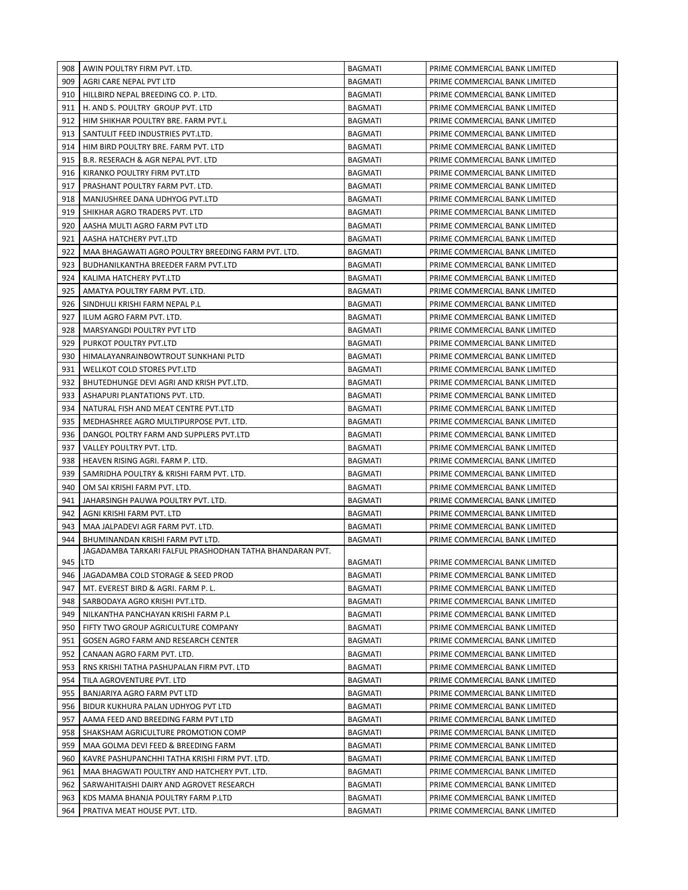| 908        | AWIN POULTRY FIRM PVT. LTD.                                                | <b>BAGMATI</b>                   | PRIME COMMERCIAL BANK LIMITED                                  |
|------------|----------------------------------------------------------------------------|----------------------------------|----------------------------------------------------------------|
| 909        | AGRI CARE NEPAL PVT LTD                                                    | <b>BAGMATI</b>                   | PRIME COMMERCIAL BANK LIMITED                                  |
| 910        | HILLBIRD NEPAL BREEDING CO. P. LTD.                                        | <b>BAGMATI</b>                   | PRIME COMMERCIAL BANK LIMITED                                  |
| 911        | H. AND S. POULTRY GROUP PVT. LTD                                           | <b>BAGMATI</b>                   | PRIME COMMERCIAL BANK LIMITED                                  |
| 912        | HIM SHIKHAR POULTRY BRE. FARM PVT.L                                        | <b>BAGMATI</b>                   | PRIME COMMERCIAL BANK LIMITED                                  |
| 913        | SANTULIT FEED INDUSTRIES PVT.LTD.                                          | <b>BAGMATI</b>                   | PRIME COMMERCIAL BANK LIMITED                                  |
| 914        | HIM BIRD POULTRY BRE. FARM PVT. LTD                                        | <b>BAGMATI</b>                   | PRIME COMMERCIAL BANK LIMITED                                  |
| 915        | B.R. RESERACH & AGR NEPAL PVT. LTD                                         | <b>BAGMATI</b>                   | PRIME COMMERCIAL BANK LIMITED                                  |
| 916        | KIRANKO POULTRY FIRM PVT.LTD                                               | <b>BAGMATI</b>                   | PRIME COMMERCIAL BANK LIMITED                                  |
| 917        | PRASHANT POULTRY FARM PVT. LTD.                                            | <b>BAGMATI</b>                   | PRIME COMMERCIAL BANK LIMITED                                  |
| 918        | MANJUSHREE DANA UDHYOG PVT.LTD                                             | <b>BAGMATI</b>                   | PRIME COMMERCIAL BANK LIMITED                                  |
| 919        | SHIKHAR AGRO TRADERS PVT. LTD                                              | BAGMATI                          | PRIME COMMERCIAL BANK LIMITED                                  |
| 920        | AASHA MULTI AGRO FARM PVT LTD                                              | BAGMATI                          | PRIME COMMERCIAL BANK LIMITED                                  |
| 921        | AASHA HATCHERY PVT.LTD                                                     | BAGMATI                          | PRIME COMMERCIAL BANK LIMITED                                  |
| 922        | MAA BHAGAWATI AGRO POULTRY BREEDING FARM PVT. LTD.                         | <b>BAGMATI</b>                   | PRIME COMMERCIAL BANK LIMITED                                  |
| 923        | BUDHANILKANTHA BREEDER FARM PVT.LTD                                        | BAGMATI                          | PRIME COMMERCIAL BANK LIMITED                                  |
| 924        | KALIMA HATCHERY PVT.LTD                                                    | <b>BAGMATI</b>                   | PRIME COMMERCIAL BANK LIMITED                                  |
| 925        | AMATYA POULTRY FARM PVT. LTD.                                              | <b>BAGMATI</b>                   | PRIME COMMERCIAL BANK LIMITED                                  |
| 926        | SINDHULI KRISHI FARM NEPAL P.L                                             | <b>BAGMATI</b>                   | PRIME COMMERCIAL BANK LIMITED                                  |
| 927        | ILUM AGRO FARM PVT. LTD.                                                   | <b>BAGMATI</b>                   | PRIME COMMERCIAL BANK LIMITED                                  |
| 928        | MARSYANGDI POULTRY PVT LTD                                                 | <b>BAGMATI</b>                   | PRIME COMMERCIAL BANK LIMITED                                  |
| 929        | PURKOT POULTRY PVT.LTD                                                     | <b>BAGMATI</b>                   | PRIME COMMERCIAL BANK LIMITED                                  |
| 930        | HIMALAYANRAINBOWTROUT SUNKHANI PLTD                                        | <b>BAGMATI</b>                   | PRIME COMMERCIAL BANK LIMITED                                  |
| 931        | WELLKOT COLD STORES PVT.LTD                                                | <b>BAGMATI</b>                   | PRIME COMMERCIAL BANK LIMITED                                  |
| 932        | BHUTEDHUNGE DEVI AGRI AND KRISH PVT.LTD.                                   | <b>BAGMATI</b>                   | PRIME COMMERCIAL BANK LIMITED                                  |
| 933        | ASHAPURI PLANTATIONS PVT. LTD.                                             | <b>BAGMATI</b>                   | PRIME COMMERCIAL BANK LIMITED                                  |
| 934        | NATURAL FISH AND MEAT CENTRE PVT.LTD                                       | <b>BAGMATI</b>                   | PRIME COMMERCIAL BANK LIMITED                                  |
| 935        | MEDHASHREE AGRO MULTIPURPOSE PVT. LTD.                                     | BAGMATI                          | PRIME COMMERCIAL BANK LIMITED                                  |
| 936        | DANGOL POLTRY FARM AND SUPPLERS PVT.LTD                                    | BAGMATI                          | PRIME COMMERCIAL BANK LIMITED                                  |
| 937        | VALLEY POULTRY PVT. LTD.                                                   | <b>BAGMATI</b>                   | PRIME COMMERCIAL BANK LIMITED                                  |
| 938        | HEAVEN RISING AGRI. FARM P. LTD.                                           | BAGMATI                          | PRIME COMMERCIAL BANK LIMITED                                  |
| 939        | SAMRIDHA POULTRY & KRISHI FARM PVT. LTD.                                   | <b>BAGMATI</b>                   | PRIME COMMERCIAL BANK LIMITED                                  |
| 940        | OM SAI KRISHI FARM PVT. LTD.                                               | BAGMATI                          | PRIME COMMERCIAL BANK LIMITED                                  |
| 941        | JAHARSINGH PAUWA POULTRY PVT. LTD.                                         | <b>BAGMATI</b>                   | PRIME COMMERCIAL BANK LIMITED                                  |
| 942        | AGNI KRISHI FARM PVT. LTD                                                  | <b>BAGMATI</b>                   | PRIME COMMERCIAL BANK LIMITED                                  |
| 943        | MAA JALPADEVI AGR FARM PVT. LTD.                                           | <b>BAGMATI</b>                   | PRIME COMMERCIAL BANK LIMITED                                  |
| 944        | BHUMINANDAN KRISHI FARM PVT LTD.                                           | <b>BAGMATI</b>                   | PRIME COMMERCIAL BANK LIMITED                                  |
|            | JAGADAMBA TARKARI FALFUL PRASHODHAN TATHA BHANDARAN PVT.                   |                                  |                                                                |
| 945 LTD    |                                                                            | <b>BAGMATI</b>                   | PRIME COMMERCIAL BANK LIMITED                                  |
| 946        | JAGADAMBA COLD STORAGE & SEED PROD                                         | <b>BAGMATI</b>                   | PRIME COMMERCIAL BANK LIMITED                                  |
| 947        | MT. EVEREST BIRD & AGRI. FARM P. L.                                        | <b>BAGMATI</b>                   | PRIME COMMERCIAL BANK LIMITED                                  |
| 948        | SARBODAYA AGRO KRISHI PVT.LTD.                                             | <b>BAGMATI</b>                   | PRIME COMMERCIAL BANK LIMITED                                  |
| 949        | NILKANTHA PANCHAYAN KRISHI FARM P.L                                        | <b>BAGMATI</b>                   | PRIME COMMERCIAL BANK LIMITED                                  |
| 950        | FIFTY TWO GROUP AGRICULTURE COMPANY                                        | <b>BAGMATI</b>                   | PRIME COMMERCIAL BANK LIMITED                                  |
| 951        | GOSEN AGRO FARM AND RESEARCH CENTER                                        | <b>BAGMATI</b>                   | PRIME COMMERCIAL BANK LIMITED                                  |
| 952        | CANAAN AGRO FARM PVT. LTD.                                                 | <b>BAGMATI</b>                   | PRIME COMMERCIAL BANK LIMITED                                  |
| 953        | RNS KRISHI TATHA PASHUPALAN FIRM PVT. LTD                                  | <b>BAGMATI</b>                   | PRIME COMMERCIAL BANK LIMITED                                  |
| 954<br>955 | TILA AGROVENTURE PVT. LTD<br>BANJARIYA AGRO FARM PVT LTD                   | <b>BAGMATI</b><br><b>BAGMATI</b> | PRIME COMMERCIAL BANK LIMITED                                  |
|            |                                                                            |                                  | PRIME COMMERCIAL BANK LIMITED                                  |
| 956<br>957 | BIDUR KUKHURA PALAN UDHYOG PVT LTD                                         | <b>BAGMATI</b>                   | PRIME COMMERCIAL BANK LIMITED                                  |
| 958        | AAMA FEED AND BREEDING FARM PVT LTD                                        | <b>BAGMATI</b><br><b>BAGMATI</b> | PRIME COMMERCIAL BANK LIMITED                                  |
| 959        | SHAKSHAM AGRICULTURE PROMOTION COMP<br>MAA GOLMA DEVI FEED & BREEDING FARM | BAGMATI                          | PRIME COMMERCIAL BANK LIMITED<br>PRIME COMMERCIAL BANK LIMITED |
| 960        | KAVRE PASHUPANCHHI TATHA KRISHI FIRM PVT. LTD.                             | BAGMATI                          | PRIME COMMERCIAL BANK LIMITED                                  |
| 961        | MAA BHAGWATI POULTRY AND HATCHERY PVT. LTD.                                | <b>BAGMATI</b>                   | PRIME COMMERCIAL BANK LIMITED                                  |
| 962        | SARWAHITAISHI DAIRY AND AGROVET RESEARCH                                   | <b>BAGMATI</b>                   | PRIME COMMERCIAL BANK LIMITED                                  |
| 963        | KDS MAMA BHANJA POULTRY FARM P.LTD                                         | BAGMATI                          | PRIME COMMERCIAL BANK LIMITED                                  |
| 964        | PRATIVA MEAT HOUSE PVT. LTD.                                               | <b>BAGMATI</b>                   | PRIME COMMERCIAL BANK LIMITED                                  |
|            |                                                                            |                                  |                                                                |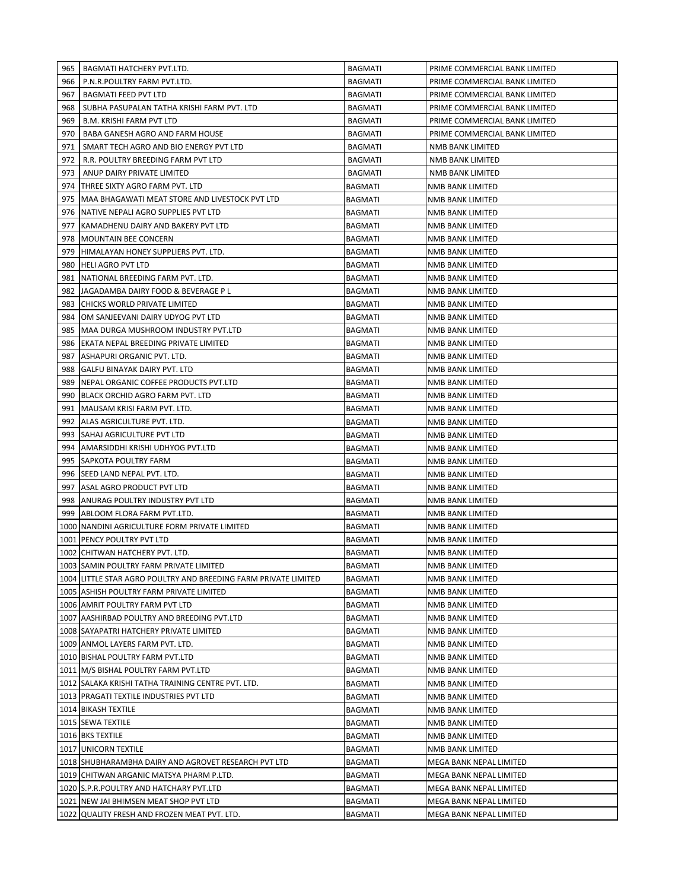| 965 | BAGMATI HATCHERY PVT.LTD.                                       | BAGMATI        | PRIME COMMERCIAL BANK LIMITED |
|-----|-----------------------------------------------------------------|----------------|-------------------------------|
| 966 | P.N.R.POULTRY FARM PVT.LTD.                                     | BAGMATI        | PRIME COMMERCIAL BANK LIMITED |
| 967 | <b>BAGMATI FEED PVT LTD</b>                                     | BAGMATI        | PRIME COMMERCIAL BANK LIMITED |
| 968 | SUBHA PASUPALAN TATHA KRISHI FARM PVT. LTD                      | BAGMATI        | PRIME COMMERCIAL BANK LIMITED |
| 969 | <b>B.M. KRISHI FARM PVT LTD</b>                                 | BAGMATI        | PRIME COMMERCIAL BANK LIMITED |
| 970 | BABA GANESH AGRO AND FARM HOUSE                                 | <b>BAGMATI</b> | PRIME COMMERCIAL BANK LIMITED |
| 971 | SMART TECH AGRO AND BIO ENERGY PVT LTD                          | BAGMATI        | NMB BANK LIMITED              |
| 972 | R.R. POULTRY BREEDING FARM PVT LTD                              | BAGMATI        | NMB BANK LIMITED              |
| 973 | ANUP DAIRY PRIVATE LIMITED                                      | <b>BAGMATI</b> | NMB BANK LIMITED              |
| 974 | THREE SIXTY AGRO FARM PVT. LTD                                  | <b>BAGMATI</b> | NMB BANK LIMITED              |
| 975 | MAA BHAGAWATI MEAT STORE AND LIVESTOCK PVT LTD                  | <b>BAGMATI</b> | NMB BANK LIMITED              |
| 976 | NATIVE NEPALI AGRO SUPPLIES PVT LTD                             | BAGMATI        | NMB BANK LIMITED              |
| 977 | KAMADHENU DAIRY AND BAKERY PVT LTD                              | <b>BAGMATI</b> | NMB BANK LIMITED              |
| 978 | MOUNTAIN BEE CONCERN                                            | <b>BAGMATI</b> | NMB BANK LIMITED              |
| 979 | HIMALAYAN HONEY SUPPLIERS PVT. LTD.                             | BAGMATI        | NMB BANK LIMITED              |
| 980 | HELI AGRO PVT LTD                                               | <b>BAGMATI</b> | NMB BANK LIMITED              |
| 981 | NATIONAL BREEDING FARM PVT. LTD.                                | <b>BAGMATI</b> | NMB BANK LIMITED              |
| 982 | JAGADAMBA DAIRY FOOD & BEVERAGE P L                             | <b>BAGMATI</b> | NMB BANK LIMITED              |
| 983 | CHICKS WORLD PRIVATE LIMITED                                    | BAGMATI        | NMB BANK LIMITED              |
| 984 | OM SANJEEVANI DAIRY UDYOG PVT LTD                               | <b>BAGMATI</b> | NMB BANK LIMITED              |
| 985 | MAA DURGA MUSHROOM INDUSTRY PVT.LTD                             | <b>BAGMATI</b> | NMB BANK LIMITED              |
| 986 | EKATA NEPAL BREEDING PRIVATE LIMITED                            | BAGMATI        | NMB BANK LIMITED              |
| 987 | ASHAPURI ORGANIC PVT. LTD.                                      | <b>BAGMATI</b> | NMB BANK LIMITED              |
| 988 | <b>GALFU BINAYAK DAIRY PVT. LTD</b>                             | <b>BAGMATI</b> | NMB BANK LIMITED              |
| 989 | NEPAL ORGANIC COFFEE PRODUCTS PVT.LTD                           | <b>BAGMATI</b> | NMB BANK LIMITED              |
| 990 | BLACK ORCHID AGRO FARM PVT. LTD                                 | <b>BAGMATI</b> | NMB BANK LIMITED              |
| 991 | MAUSAM KRISI FARM PVT. LTD.                                     | <b>BAGMATI</b> | NMB BANK LIMITED              |
| 992 | ALAS AGRICULTURE PVT. LTD.                                      | BAGMATI        | NMB BANK LIMITED              |
| 993 | SAHAJ AGRICULTURE PVT LTD                                       | BAGMATI        | NMB BANK LIMITED              |
| 994 | AMARSIDDHI KRISHI UDHYOG PVT.LTD                                | <b>BAGMATI</b> | NMB BANK LIMITED              |
| 995 | <b>SAPKOTA POULTRY FARM</b>                                     | <b>BAGMATI</b> | NMB BANK LIMITED              |
| 996 | SEED LAND NEPAL PVT. LTD.                                       | <b>BAGMATI</b> | NMB BANK LIMITED              |
| 997 | ASAL AGRO PRODUCT PVT LTD                                       | BAGMATI        | NMB BANK LIMITED              |
| 998 | ANURAG POULTRY INDUSTRY PVT LTD                                 | BAGMATI        | NMB BANK LIMITED              |
| 999 | ABLOOM FLORA FARM PVT.LTD.                                      | BAGMATI        | NMB BANK LIMITED              |
|     | 1000 NANDINI AGRICULTURE FORM PRIVATE LIMITED                   | <b>BAGMATI</b> | NMB BANK LIMITED              |
|     | 1001 PENCY POULTRY PVT LTD                                      | <b>BAGMATI</b> | NMB BANK LIMITED              |
|     | 1002 CHITWAN HATCHERY PVT. LTD.                                 | <b>BAGMATI</b> | NMB BANK LIMITED              |
|     | 1003 SAMIN POULTRY FARM PRIVATE LIMITED                         | <b>BAGMATI</b> | NMB BANK LIMITED              |
|     | 1004 LITTLE STAR AGRO POULTRY AND BREEDING FARM PRIVATE LIMITED | BAGMATI        | NMB BANK LIMITED              |
|     | 1005 ASHISH POULTRY FARM PRIVATE LIMITED                        | <b>BAGMATI</b> | NMB BANK LIMITED              |
|     | 1006 AMRIT POULTRY FARM PVT LTD                                 | <b>BAGMATI</b> | NMB BANK LIMITED              |
|     | 1007 AASHIRBAD POULTRY AND BREEDING PVT.LTD                     | <b>BAGMATI</b> | NMB BANK LIMITED              |
|     | 1008 SAYAPATRI HATCHERY PRIVATE LIMITED                         | <b>BAGMATI</b> | NMB BANK LIMITED              |
|     | 1009 ANMOL LAYERS FARM PVT. LTD.                                | BAGMATI        | NMB BANK LIMITED              |
|     | 1010 BISHAL POULTRY FARM PVT.LTD                                | <b>BAGMATI</b> | NMB BANK LIMITED              |
|     | 1011 M/S BISHAL POULTRY FARM PVT.LTD                            | BAGMATI        | NMB BANK LIMITED              |
|     | 1012 SALAKA KRISHI TATHA TRAINING CENTRE PVT. LTD.              | <b>BAGMATI</b> | NMB BANK LIMITED              |
|     | 1013 PRAGATI TEXTILE INDUSTRIES PVT LTD                         | <b>BAGMATI</b> | NMB BANK LIMITED              |
|     | 1014 BIKASH TEXTILE                                             | <b>BAGMATI</b> | NMB BANK LIMITED              |
|     | 1015 SEWA TEXTILE                                               | <b>BAGMATI</b> | NMB BANK LIMITED              |
|     | 1016 BKS TEXTILE                                                | <b>BAGMATI</b> | NMB BANK LIMITED              |
|     | 1017 UNICORN TEXTILE                                            | <b>BAGMATI</b> | NMB BANK LIMITED              |
|     | 1018 SHUBHARAMBHA DAIRY AND AGROVET RESEARCH PVT LTD            | <b>BAGMATI</b> | MEGA BANK NEPAL LIMITED       |
|     | 1019 CHITWAN ARGANIC MATSYA PHARM P.LTD.                        | <b>BAGMATI</b> | MEGA BANK NEPAL LIMITED       |
|     | 1020 S.P.R. POULTRY AND HATCHARY PVT.LTD                        | <b>BAGMATI</b> | MEGA BANK NEPAL LIMITED       |
|     | 1021 NEW JAI BHIMSEN MEAT SHOP PVT LTD                          | <b>BAGMATI</b> | MEGA BANK NEPAL LIMITED       |
|     | 1022 QUALITY FRESH AND FROZEN MEAT PVT. LTD.                    | <b>BAGMATI</b> | MEGA BANK NEPAL LIMITED       |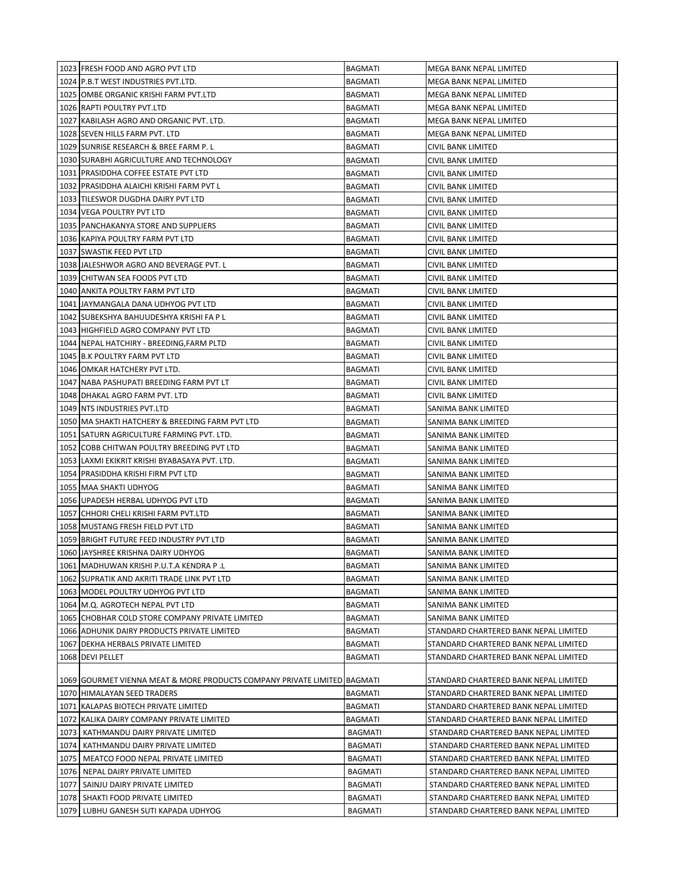|      | 1023 FRESH FOOD AND AGRO PVT LTD                                         | <b>BAGMATI</b> | MEGA BANK NEPAL LIMITED               |
|------|--------------------------------------------------------------------------|----------------|---------------------------------------|
|      | 1024 P.B.T WEST INDUSTRIES PVT.LTD.                                      | BAGMATI        | MEGA BANK NEPAL LIMITED               |
|      | 1025 OMBE ORGANIC KRISHI FARM PVT.LTD                                    | BAGMATI        | MEGA BANK NEPAL LIMITED               |
|      | 1026 RAPTI POULTRY PVT.LTD                                               | BAGMATI        | MEGA BANK NEPAL LIMITED               |
|      | 1027 KABILASH AGRO AND ORGANIC PVT. LTD.                                 | <b>BAGMATI</b> | MEGA BANK NEPAL LIMITED               |
|      | 1028 SEVEN HILLS FARM PVT. LTD                                           | <b>BAGMATI</b> | MEGA BANK NEPAL LIMITED               |
|      | 1029 SUNRISE RESEARCH & BREE FARM P. L                                   | <b>BAGMATI</b> | CIVIL BANK LIMITED                    |
|      | 1030 SURABHI AGRICULTURE AND TECHNOLOGY                                  | <b>BAGMATI</b> | CIVIL BANK LIMITED                    |
|      | 1031 PRASIDDHA COFFEE ESTATE PVT LTD                                     | <b>BAGMATI</b> | CIVIL BANK LIMITED                    |
|      | 1032 PRASIDDHA ALAICHI KRISHI FARM PVT L                                 | <b>BAGMATI</b> | CIVIL BANK LIMITED                    |
|      | 1033 TILESWOR DUGDHA DAIRY PVT LTD                                       | <b>BAGMATI</b> | <b>CIVIL BANK LIMITED</b>             |
|      | 1034 VEGA POULTRY PVT LTD                                                | <b>BAGMATI</b> | CIVIL BANK LIMITED                    |
|      | 1035 PANCHAKANYA STORE AND SUPPLIERS                                     | BAGMATI        | CIVIL BANK LIMITED                    |
|      | 1036 KAPIYA POULTRY FARM PVT LTD                                         | BAGMATI        | CIVIL BANK LIMITED                    |
|      | 1037 SWASTIK FEED PVT LTD                                                | BAGMATI        | CIVIL BANK LIMITED                    |
|      | 1038 JALESHWOR AGRO AND BEVERAGE PVT. L                                  | BAGMATI        | CIVIL BANK LIMITED                    |
|      | 1039 CHITWAN SEA FOODS PVT LTD                                           | BAGMATI        | CIVIL BANK LIMITED                    |
|      | 1040 ANKITA POULTRY FARM PVT LTD                                         | BAGMATI        | CIVIL BANK LIMITED                    |
|      | 1041 JAYMANGALA DANA UDHYOG PVT LTD                                      | BAGMATI        | CIVIL BANK LIMITED                    |
|      | 1042 SUBEKSHYA BAHUUDESHYA KRISHI FA P L                                 | BAGMATI        | CIVIL BANK LIMITED                    |
|      | 1043 HIGHFIELD AGRO COMPANY PVT LTD                                      | <b>BAGMATI</b> | CIVIL BANK LIMITED                    |
|      | 1044 NEPAL HATCHIRY - BREEDING, FARM PLTD                                | <b>BAGMATI</b> | CIVIL BANK LIMITED                    |
|      | 1045 B.K POULTRY FARM PVT LTD                                            | BAGMATI        | CIVIL BANK LIMITED                    |
|      | 1046 OMKAR HATCHERY PVT LTD.                                             | BAGMATI        | CIVIL BANK LIMITED                    |
|      | 1047 NABA PASHUPATI BREEDING FARM PVT LT                                 | <b>BAGMATI</b> | CIVIL BANK LIMITED                    |
|      | 1048 DHAKAL AGRO FARM PVT. LTD                                           | <b>BAGMATI</b> | CIVIL BANK LIMITED                    |
|      | 1049 NTS INDUSTRIES PVT.LTD                                              | <b>BAGMATI</b> | SANIMA BANK LIMITED                   |
|      | 1050 MA SHAKTI HATCHERY & BREEDING FARM PVT LTD                          | BAGMATI        | SANIMA BANK LIMITED                   |
|      | 1051 SATURN AGRICULTURE FARMING PVT. LTD.                                | <b>BAGMATI</b> | SANIMA BANK LIMITED                   |
|      | 1052 COBB CHITWAN POULTRY BREEDING PVT LTD                               | BAGMATI        | SANIMA BANK LIMITED                   |
|      | 1053 LAXMI EKIKRIT KRISHI BYABASAYA PVT. LTD.                            | <b>BAGMATI</b> | SANIMA BANK LIMITED                   |
|      | 1054 PRASIDDHA KRISHI FIRM PVT LTD                                       | BAGMATI        | SANIMA BANK LIMITED                   |
|      | 1055   MAA SHAKTI UDHYOG                                                 | BAGMATI        | SANIMA BANK LIMITED                   |
|      | 1056 UPADESH HERBAL UDHYOG PVT LTD                                       | BAGMATI        | SANIMA BANK LIMITED                   |
|      | 1057 CHHORI CHELI KRISHI FARM PVT.LTD                                    | BAGMATI        | SANIMA BANK LIMITED                   |
|      | 1058 MUSTANG FRESH FIELD PVT LTD                                         | BAGMATI        | SANIMA BANK LIMITED                   |
|      | 1059 BRIGHT FUTURE FEED INDUSTRY PVT LTD                                 | BAGMATI        | SANIMA BANK LIMITED                   |
|      | 1060 JAYSHREE KRISHNA DAIRY UDHYOG                                       | <b>BAGMATI</b> | SANIMA BANK LIMITED                   |
|      | 1061 MADHUWAN KRISHI P.U.T.A KENDRA P .L                                 | <b>BAGMATI</b> | SANIMA BANK LIMITED                   |
|      | 1062 SUPRATIK AND AKRITI TRADE LINK PVT LTD                              | <b>BAGMATI</b> | SANIMA BANK LIMITED                   |
|      | 1063 MODEL POULTRY UDHYOG PVT LTD                                        | <b>BAGMATI</b> | SANIMA BANK LIMITED                   |
|      | 1064 M.Q. AGROTECH NEPAL PVT LTD                                         | <b>BAGMATI</b> | SANIMA BANK LIMITED                   |
|      | 1065 CHOBHAR COLD STORE COMPANY PRIVATE LIMITED                          | <b>BAGMATI</b> | SANIMA BANK LIMITED                   |
|      | 1066 ADHUNIK DAIRY PRODUCTS PRIVATE LIMITED                              | <b>BAGMATI</b> | STANDARD CHARTERED BANK NEPAL LIMITED |
|      | 1067 DEKHA HERBALS PRIVATE LIMITED                                       | <b>BAGMATI</b> | STANDARD CHARTERED BANK NEPAL LIMITED |
|      | 1068 DEVI PELLET                                                         | <b>BAGMATI</b> | STANDARD CHARTERED BANK NEPAL LIMITED |
|      |                                                                          |                |                                       |
|      | 1069 GOURMET VIENNA MEAT & MORE PRODUCTS COMPANY PRIVATE LIMITED BAGMATI |                | STANDARD CHARTERED BANK NEPAL LIMITED |
|      | 1070 HIMALAYAN SEED TRADERS                                              | <b>BAGMATI</b> | STANDARD CHARTERED BANK NEPAL LIMITED |
|      | 1071 KALAPAS BIOTECH PRIVATE LIMITED                                     | <b>BAGMATI</b> | STANDARD CHARTERED BANK NEPAL LIMITED |
|      | 1072 KALIKA DAIRY COMPANY PRIVATE LIMITED                                | <b>BAGMATI</b> | STANDARD CHARTERED BANK NEPAL LIMITED |
| 1073 | KATHMANDU DAIRY PRIVATE LIMITED                                          | <b>BAGMATI</b> | STANDARD CHARTERED BANK NEPAL LIMITED |
| 1074 | KATHMANDU DAIRY PRIVATE LIMITED                                          | <b>BAGMATI</b> | STANDARD CHARTERED BANK NEPAL LIMITED |
| 1075 | MEATCO FOOD NEPAL PRIVATE LIMITED                                        | <b>BAGMATI</b> | STANDARD CHARTERED BANK NEPAL LIMITED |
| 1076 | NEPAL DAIRY PRIVATE LIMITED                                              | BAGMATI        | STANDARD CHARTERED BANK NEPAL LIMITED |
| 1077 | SAINJU DAIRY PRIVATE LIMITED                                             | BAGMATI        | STANDARD CHARTERED BANK NEPAL LIMITED |
| 1078 | SHAKTI FOOD PRIVATE LIMITED                                              | BAGMATI        | STANDARD CHARTERED BANK NEPAL LIMITED |
|      | 1079 LUBHU GANESH SUTI KAPADA UDHYOG                                     | <b>BAGMATI</b> | STANDARD CHARTERED BANK NEPAL LIMITED |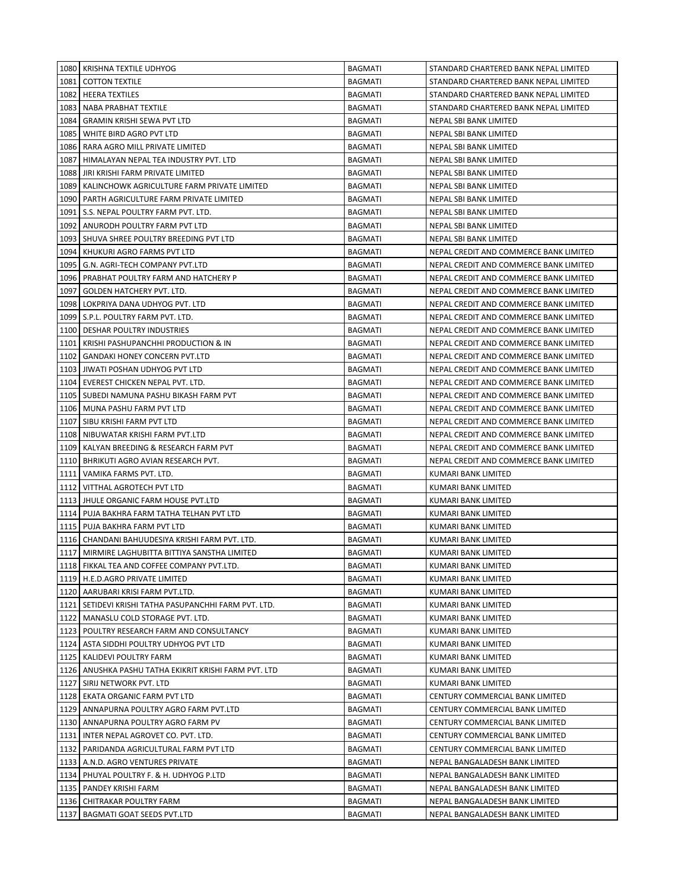|      | 1080 KRISHNA TEXTILE UDHYOG                             | <b>BAGMATI</b> | STANDARD CHARTERED BANK NEPAL LIMITED  |
|------|---------------------------------------------------------|----------------|----------------------------------------|
| 1081 | <b>COTTON TEXTILE</b>                                   | <b>BAGMATI</b> | STANDARD CHARTERED BANK NEPAL LIMITED  |
|      | 1082 HEERA TEXTILES                                     | <b>BAGMATI</b> | STANDARD CHARTERED BANK NEPAL LIMITED  |
| 1083 | NABA PRABHAT TEXTILE                                    | <b>BAGMATI</b> | STANDARD CHARTERED BANK NEPAL LIMITED  |
| 1084 | <b>GRAMIN KRISHI SEWA PVT LTD</b>                       | <b>BAGMATI</b> | NEPAL SBI BANK LIMITED                 |
| 1085 | WHITE BIRD AGRO PVT LTD                                 | <b>BAGMATI</b> | NEPAL SBI BANK LIMITED                 |
| 1086 | RARA AGRO MILL PRIVATE LIMITED                          | <b>BAGMATI</b> | NEPAL SBI BANK LIMITED                 |
| 1087 | HIMALAYAN NEPAL TEA INDUSTRY PVT. LTD                   | <b>BAGMATI</b> | NEPAL SBI BANK LIMITED                 |
| 1088 | JIRI KRISHI FARM PRIVATE LIMITED                        | <b>BAGMATI</b> | NEPAL SBI BANK LIMITED                 |
| 1089 | KALINCHOWK AGRICULTURE FARM PRIVATE LIMITED             | <b>BAGMATI</b> | <b>NEPAL SBI BANK LIMITED</b>          |
| 1090 | PARTH AGRICULTURE FARM PRIVATE LIMITED                  | <b>BAGMATI</b> | NEPAL SBI BANK LIMITED                 |
| 1091 | S.S. NEPAL POULTRY FARM PVT. LTD.                       | <b>BAGMATI</b> | NEPAL SBI BANK LIMITED                 |
| 1092 | ANURODH POULTRY FARM PVT LTD                            | BAGMATI        | NEPAL SBI BANK LIMITED                 |
| 1093 | SHUVA SHREE POULTRY BREEDING PVT LTD                    | BAGMATI        | NEPAL SBI BANK LIMITED                 |
| 1094 | KHUKURI AGRO FARMS PVT LTD                              | BAGMATI        | NEPAL CREDIT AND COMMERCE BANK LIMITED |
| 1095 | G.N. AGRI-TECH COMPANY PVT.LTD                          | <b>BAGMATI</b> | NEPAL CREDIT AND COMMERCE BANK LIMITED |
| 1096 | PRABHAT POULTRY FARM AND HATCHERY P                     | <b>BAGMATI</b> | NEPAL CREDIT AND COMMERCE BANK LIMITED |
| 1097 | GOLDEN HATCHERY PVT. LTD.                               | <b>BAGMATI</b> | NEPAL CREDIT AND COMMERCE BANK LIMITED |
| 1098 | LOKPRIYA DANA UDHYOG PVT. LTD                           | <b>BAGMATI</b> | NEPAL CREDIT AND COMMERCE BANK LIMITED |
|      | 1099 S.P.L. POULTRY FARM PVT. LTD.                      | <b>BAGMATI</b> | NEPAL CREDIT AND COMMERCE BANK LIMITED |
|      | 1100 DESHAR POULTRY INDUSTRIES                          | <b>BAGMATI</b> | NEPAL CREDIT AND COMMERCE BANK LIMITED |
| 1101 | KRISHI PASHUPANCHHI PRODUCTION & IN                     | <b>BAGMATI</b> | NEPAL CREDIT AND COMMERCE BANK LIMITED |
| 1102 | <b>GANDAKI HONEY CONCERN PVT.LTD</b>                    | <b>BAGMATI</b> | NEPAL CREDIT AND COMMERCE BANK LIMITED |
|      | 1103 JIWATI POSHAN UDHYOG PVT LTD                       | <b>BAGMATI</b> | NEPAL CREDIT AND COMMERCE BANK LIMITED |
| 1104 | EVEREST CHICKEN NEPAL PVT. LTD.                         | <b>BAGMATI</b> | NEPAL CREDIT AND COMMERCE BANK LIMITED |
|      | 1105   SUBEDI NAMUNA PASHU BIKASH FARM PVT              | <b>BAGMATI</b> | NEPAL CREDIT AND COMMERCE BANK LIMITED |
|      | 1106   MUNA PASHU FARM PVT LTD                          | <b>BAGMATI</b> | NEPAL CREDIT AND COMMERCE BANK LIMITED |
| 1107 | SIBU KRISHI FARM PVT LTD                                | <b>BAGMATI</b> | NEPAL CREDIT AND COMMERCE BANK LIMITED |
| 1108 | NIBUWATAR KRISHI FARM PVT.LTD                           | <b>BAGMATI</b> | NEPAL CREDIT AND COMMERCE BANK LIMITED |
| 1109 | KALYAN BREEDING & RESEARCH FARM PVT                     | BAGMATI        | NEPAL CREDIT AND COMMERCE BANK LIMITED |
| 1110 | BHRIKUTI AGRO AVIAN RESEARCH PVT.                       | BAGMATI        | NEPAL CREDIT AND COMMERCE BANK LIMITED |
| 1111 | VAMIKA FARMS PVT. LTD.                                  | <b>BAGMATI</b> | KUMARI BANK LIMITED                    |
| 1112 | VITTHAL AGROTECH PVT LTD                                | <b>BAGMATI</b> | KUMARI BANK LIMITED                    |
|      | 1113 JHULE ORGANIC FARM HOUSE PVT.LTD                   | <b>BAGMATI</b> | KUMARI BANK LIMITED                    |
|      | 1114   PUJA BAKHRA FARM TATHA TELHAN PVT LTD            | <b>BAGMATI</b> | KUMARI BANK LIMITED                    |
|      | 1115 PUJA BAKHRA FARM PVT LTD                           | <b>BAGMATI</b> | KUMARI BANK LIMITED                    |
|      | 1116 CHANDANI BAHUUDESIYA KRISHI FARM PVT. LTD.         | <b>BAGMATI</b> | KUMARI BANK LIMITED                    |
|      | 1117   MIRMIRE LAGHUBITTA BITTIYA SANSTHA LIMITED       | <b>BAGMATI</b> | <b>KUMARI BANK LIMITED</b>             |
|      | 1118 FIKKAL TEA AND COFFEE COMPANY PVT.LTD.             | <b>BAGMATI</b> | KUMARI BANK LIMITED                    |
|      | 1119   H.E.D.AGRO PRIVATE LIMITED                       | BAGMATI        | KUMARI BANK LIMITED                    |
|      | 1120   AARUBARI KRISI FARM PVT.LTD.                     | <b>BAGMATI</b> | KUMARI BANK LIMITED                    |
|      | 1121   SETIDEVI KRISHI TATHA PASUPANCHHI FARM PVT. LTD. | <b>BAGMATI</b> | KUMARI BANK LIMITED                    |
|      | 1122   MANASLU COLD STORAGE PVT. LTD.                   | <b>BAGMATI</b> | KUMARI BANK LIMITED                    |
|      | 1123 POULTRY RESEARCH FARM AND CONSULTANCY              | <b>BAGMATI</b> | KUMARI BANK LIMITED                    |
|      | 1124 ASTA SIDDHI POULTRY UDHYOG PVT LTD                 | BAGMATI        | KUMARI BANK LIMITED                    |
|      | 1125   KALIDEVI POULTRY FARM                            | BAGMATI        | KUMARI BANK LIMITED                    |
|      | 1126   ANUSHKA PASHU TATHA EKIKRIT KRISHI FARM PVT. LTD | BAGMATI        | KUMARI BANK LIMITED                    |
|      | 1127 SIRIJ NETWORK PVT. LTD                             | BAGMATI        | KUMARI BANK LIMITED                    |
|      | 1128 EKATA ORGANIC FARM PVT LTD                         | BAGMATI        | CENTURY COMMERCIAL BANK LIMITED        |
|      | 1129 ANNAPURNA POULTRY AGRO FARM PVT.LTD                | <b>BAGMATI</b> | CENTURY COMMERCIAL BANK LIMITED        |
|      | 1130 ANNAPURNA POULTRY AGRO FARM PV                     | <b>BAGMATI</b> | CENTURY COMMERCIAL BANK LIMITED        |
|      | 1131 INTER NEPAL AGROVET CO. PVT. LTD.                  | BAGMATI        | CENTURY COMMERCIAL BANK LIMITED        |
|      | 1132   PARIDANDA AGRICULTURAL FARM PVT LTD              | <b>BAGMATI</b> | CENTURY COMMERCIAL BANK LIMITED        |
|      | 1133 A.N.D. AGRO VENTURES PRIVATE                       | <b>BAGMATI</b> | NEPAL BANGALADESH BANK LIMITED         |
|      | 1134 PHUYAL POULTRY F. & H. UDHYOG P.LTD                | <b>BAGMATI</b> | NEPAL BANGALADESH BANK LIMITED         |
|      | 1135   PANDEY KRISHI FARM                               | <b>BAGMATI</b> | NEPAL BANGALADESH BANK LIMITED         |
|      | 1136   CHITRAKAR POULTRY FARM                           | <b>BAGMATI</b> | NEPAL BANGALADESH BANK LIMITED         |
|      | 1137 BAGMATI GOAT SEEDS PVT.LTD                         | <b>BAGMATI</b> | NEPAL BANGALADESH BANK LIMITED         |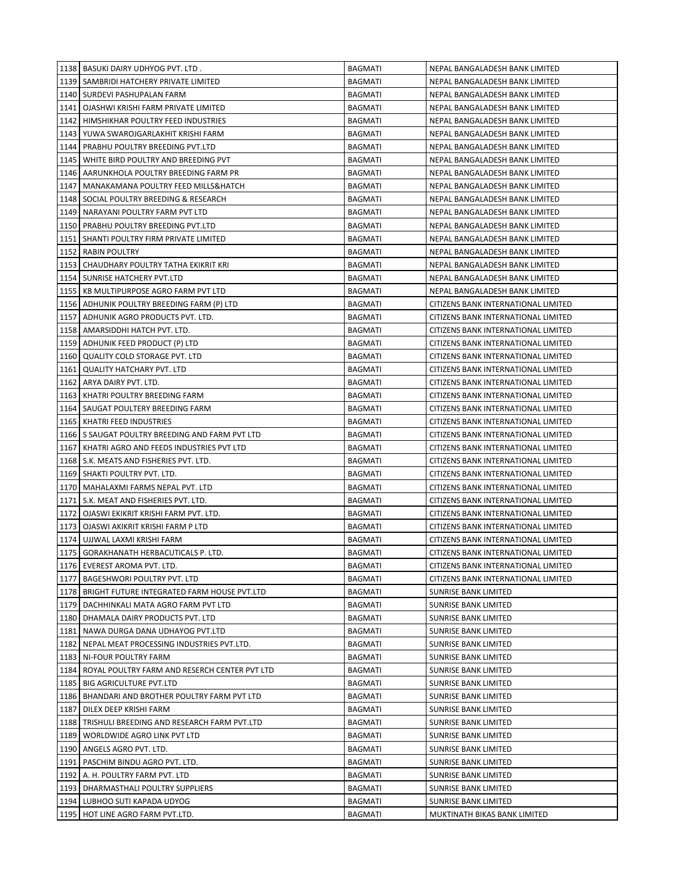|      | 1138   BASUKI DAIRY UDHYOG PVT. LTD.                 | <b>BAGMATI</b> | NEPAL BANGALADESH BANK LIMITED      |
|------|------------------------------------------------------|----------------|-------------------------------------|
|      | 1139   SAMBRIDI HATCHERY PRIVATE LIMITED             | <b>BAGMATI</b> | NEPAL BANGALADESH BANK LIMITED      |
|      | 1140   SURDEVI PASHUPALAN FARM                       | <b>BAGMATI</b> | NEPAL BANGALADESH BANK LIMITED      |
|      | 1141   OJASHWI KRISHI FARM PRIVATE LIMITED           | <b>BAGMATI</b> | NEPAL BANGALADESH BANK LIMITED      |
|      | 1142 HIMSHIKHAR POULTRY FEED INDUSTRIES              | <b>BAGMATI</b> | NEPAL BANGALADESH BANK LIMITED      |
|      | 1143 YUWA SWAROJGARLAKHIT KRISHI FARM                | <b>BAGMATI</b> | NEPAL BANGALADESH BANK LIMITED      |
|      | 1144   PRABHU POULTRY BREEDING PVT.LTD               | <b>BAGMATI</b> | NEPAL BANGALADESH BANK LIMITED      |
|      | 1145   WHITE BIRD POULTRY AND BREEDING PVT           | <b>BAGMATI</b> | NEPAL BANGALADESH BANK LIMITED      |
|      | 1146 AARUNKHOLA POULTRY BREEDING FARM PR             | <b>BAGMATI</b> | NEPAL BANGALADESH BANK LIMITED      |
| 1147 | MANAKAMANA POULTRY FEED MILLS&HATCH                  | BAGMATI        | NEPAL BANGALADESH BANK LIMITED      |
| 1148 | SOCIAL POULTRY BREEDING & RESEARCH                   | <b>BAGMATI</b> | NEPAL BANGALADESH BANK LIMITED      |
| 1149 | NARAYANI POULTRY FARM PVT LTD                        | <b>BAGMATI</b> | NEPAL BANGALADESH BANK LIMITED      |
|      | 1150 PRABHU POULTRY BREEDING PVT.LTD                 | <b>BAGMATI</b> | NEPAL BANGALADESH BANK LIMITED      |
|      | 1151   SHANTI POULTRY FIRM PRIVATE LIMITED           | BAGMATI        | NEPAL BANGALADESH BANK LIMITED      |
|      | 1152 RABIN POULTRY                                   | <b>BAGMATI</b> | NEPAL BANGALADESH BANK LIMITED      |
|      | 1153 CHAUDHARY POULTRY TATHA EKIKRIT KRI             | BAGMATI        | NEPAL BANGALADESH BANK LIMITED      |
|      | 1154   SUNRISE HATCHERY PVT.LTD                      | BAGMATI        | NEPAL BANGALADESH BANK LIMITED      |
|      | 1155   KB MULTIPURPOSE AGRO FARM PVT LTD             | <b>BAGMATI</b> | NEPAL BANGALADESH BANK LIMITED      |
|      | 1156   ADHUNIK POULTRY BREEDING FARM (P) LTD         | <b>BAGMATI</b> | CITIZENS BANK INTERNATIONAL LIMITED |
|      | 1157   ADHUNIK AGRO PRODUCTS PVT. LTD.               | BAGMATI        | CITIZENS BANK INTERNATIONAL LIMITED |
|      | 1158   AMARSIDDHI HATCH PVT. LTD.                    | <b>BAGMATI</b> | CITIZENS BANK INTERNATIONAL LIMITED |
|      | 1159 ADHUNIK FEED PRODUCT (P) LTD                    | <b>BAGMATI</b> | CITIZENS BANK INTERNATIONAL LIMITED |
|      | 1160 QUALITY COLD STORAGE PVT. LTD                   | <b>BAGMATI</b> | CITIZENS BANK INTERNATIONAL LIMITED |
|      | 1161 QUALITY HATCHARY PVT. LTD                       | <b>BAGMATI</b> | CITIZENS BANK INTERNATIONAL LIMITED |
|      | 1162 ARYA DAIRY PVT. LTD.                            | BAGMATI        | CITIZENS BANK INTERNATIONAL LIMITED |
|      | 1163   KHATRI POULTRY BREEDING FARM                  | <b>BAGMATI</b> | CITIZENS BANK INTERNATIONAL LIMITED |
|      | 1164   SAUGAT POULTERY BREEDING FARM                 | <b>BAGMATI</b> | CITIZENS BANK INTERNATIONAL LIMITED |
| 1165 | KHATRI FEED INDUSTRIES                               | <b>BAGMATI</b> | CITIZENS BANK INTERNATIONAL LIMITED |
|      | 1166 S SAUGAT POULTRY BREEDING AND FARM PVT LTD      | BAGMATI        | CITIZENS BANK INTERNATIONAL LIMITED |
| 1167 | KHATRI AGRO AND FEEDS INDUSTRIES PVT LTD             | <b>BAGMATI</b> | CITIZENS BANK INTERNATIONAL LIMITED |
|      | 1168   S.K. MEATS AND FISHERIES PVT. LTD.            | BAGMATI        | CITIZENS BANK INTERNATIONAL LIMITED |
|      | 1169 SHAKTI POULTRY PVT. LTD.                        | <b>BAGMATI</b> | CITIZENS BANK INTERNATIONAL LIMITED |
|      | 1170   MAHALAXMI FARMS NEPAL PVT. LTD                | BAGMATI        | CITIZENS BANK INTERNATIONAL LIMITED |
|      | 1171   S.K. MEAT AND FISHERIES PVT. LTD.             | <b>BAGMATI</b> | CITIZENS BANK INTERNATIONAL LIMITED |
|      | 1172   OJASWI EKIKRIT KRISHI FARM PVT. LTD.          | <b>BAGMATI</b> | CITIZENS BANK INTERNATIONAL LIMITED |
|      | 1173   OJASWI AKIKRIT KRISHI FARM P LTD              | <b>BAGMATI</b> | CITIZENS BANK INTERNATIONAL LIMITED |
|      | 1174 UJJWAL LAXMI KRISHI FARM                        | <b>BAGMATI</b> | CITIZENS BANK INTERNATIONAL LIMITED |
|      | 1175 GORAKHANATH HERBACUTICALS P. LTD.               | <b>BAGMATI</b> | CITIZENS BANK INTERNATIONAL LIMITED |
|      | 1176 EVEREST AROMA PVT. LTD.                         | BAGMATI        | CITIZENS BANK INTERNATIONAL LIMITED |
|      | 1177 BAGESHWORI POULTRY PVT. LTD                     | <b>BAGMATI</b> | CITIZENS BANK INTERNATIONAL LIMITED |
|      | 1178   BRIGHT FUTURE INTEGRATED FARM HOUSE PVT.LTD   | BAGMATI        | <b>SUNRISE BANK LIMITED</b>         |
|      | 1179   DACHHINKALI MATA AGRO FARM PVT LTD            | <b>BAGMATI</b> | SUNRISE BANK LIMITED                |
|      | 1180 DHAMALA DAIRY PRODUCTS PVT. LTD                 | BAGMATI        | <b>SUNRISE BANK LIMITED</b>         |
|      | 1181 NAWA DURGA DANA UDHAYOG PVT.LTD                 | BAGMATI        | <b>SUNRISE BANK LIMITED</b>         |
|      | 1182 NEPAL MEAT PROCESSING INDUSTRIES PVT.LTD.       | BAGMATI        | <b>SUNRISE BANK LIMITED</b>         |
|      | 1183   NI-FOUR POULTRY FARM                          | BAGMATI        | <b>SUNRISE BANK LIMITED</b>         |
|      | 1184   ROYAL POULTRY FARM AND RESERCH CENTER PVT LTD | <b>BAGMATI</b> | SUNRISE BANK LIMITED                |
|      | 1185 BIG AGRICULTURE PVT.LTD                         | <b>BAGMATI</b> | SUNRISE BANK LIMITED                |
|      | 1186 BHANDARI AND BROTHER POULTRY FARM PVT LTD       | <b>BAGMATI</b> | SUNRISE BANK LIMITED                |
|      | 1187   DILEX DEEP KRISHI FARM                        | <b>BAGMATI</b> | <b>SUNRISE BANK LIMITED</b>         |
|      | 1188   TRISHULI BREEDING AND RESEARCH FARM PVT.LTD   | <b>BAGMATI</b> | SUNRISE BANK LIMITED                |
|      | 1189   WORLDWIDE AGRO LINK PVT LTD                   | <b>BAGMATI</b> | <b>SUNRISE BANK LIMITED</b>         |
|      | 1190 ANGELS AGRO PVT. LTD.                           | <b>BAGMATI</b> | <b>SUNRISE BANK LIMITED</b>         |
|      | 1191   PASCHIM BINDU AGRO PVT. LTD.                  | <b>BAGMATI</b> | SUNRISE BANK LIMITED                |
|      | 1192   A. H. POULTRY FARM PVT. LTD                   | <b>BAGMATI</b> | SUNRISE BANK LIMITED                |
|      | 1193   DHARMASTHALI POULTRY SUPPLIERS                | <b>BAGMATI</b> | SUNRISE BANK LIMITED                |
|      | 1194 LUBHOO SUTI KAPADA UDYOG                        | <b>BAGMATI</b> | <b>SUNRISE BANK LIMITED</b>         |
|      | 1195 HOT LINE AGRO FARM PVT.LTD.                     | <b>BAGMATI</b> | MUKTINATH BIKAS BANK LIMITED        |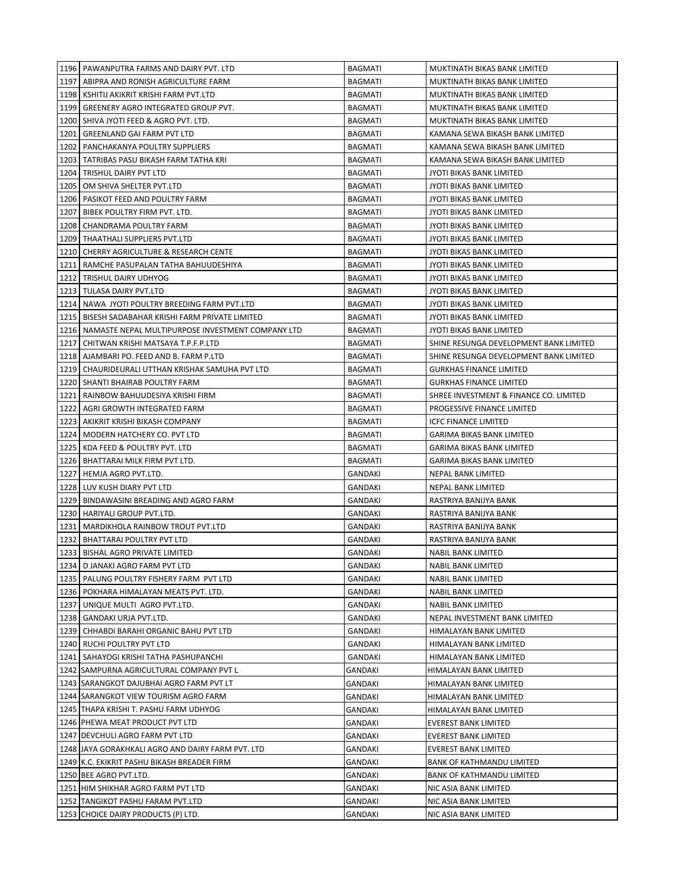|      | 1196 PAWANPUTRA FARMS AND DAIRY PVT. LTD                 | <b>BAGMATI</b> | MUKTINATH BIKAS BANK LIMITED           |
|------|----------------------------------------------------------|----------------|----------------------------------------|
|      | 1197   ABIPRA AND RONISH AGRICULTURE FARM                | <b>BAGMATI</b> | MUKTINATH BIKAS BANK LIMITED           |
|      | 1198   KSHITIJ AKIKRIT KRISHI FARM PVT.LTD               | <b>BAGMATI</b> | MUKTINATH BIKAS BANK LIMITED           |
|      | 1199   GREENERY AGRO INTEGRATED GROUP PVT.               | <b>BAGMATI</b> | MUKTINATH BIKAS BANK LIMITED           |
|      | 1200   SHIVA JYOTI FEED & AGRO PVT. LTD.                 | <b>BAGMATI</b> | MUKTINATH BIKAS BANK LIMITED           |
|      | 1201   GREENLAND GAI FARM PVT LTD                        | <b>BAGMATI</b> | KAMANA SEWA BIKASH BANK LIMITED        |
|      | 1202   PANCHAKANYA POULTRY SUPPLIERS                     | <b>BAGMATI</b> | KAMANA SEWA BIKASH BANK LIMITED        |
|      | 1203   TATRIBAS PASU BIKASH FARM TATHA KRI               | <b>BAGMATI</b> | KAMANA SEWA BIKASH BANK LIMITED        |
|      | 1204 TRISHUL DAIRY PVT LTD                               | <b>BAGMATI</b> | JYOTI BIKAS BANK LIMITED               |
| 1205 | OM SHIVA SHELTER PVT.LTD                                 | <b>BAGMATI</b> | JYOTI BIKAS BANK LIMITED               |
| 1206 | PASIKOT FEED AND POULTRY FARM                            | <b>BAGMATI</b> | <b>JYOTI BIKAS BANK LIMITED</b>        |
| 1207 | BIBEK POULTRY FIRM PVT. LTD.                             | <b>BAGMATI</b> | <b>JYOTI BIKAS BANK LIMITED</b>        |
|      | 1208 CHANDRAMA POULTRY FARM                              | BAGMATI        | JYOTI BIKAS BANK LIMITED               |
|      | 1209 THAATHALI SUPPLIERS PVT.LTD                         | BAGMATI        | JYOTI BIKAS BANK LIMITED               |
|      | 1210   CHERRY AGRICULTURE & RESEARCH CENTE               | BAGMATI        | JYOTI BIKAS BANK LIMITED               |
|      | 1211   RAMCHE PASUPALAN TATHA BAHUUDESHIYA               | BAGMATI        | JYOTI BIKAS BANK LIMITED               |
|      | 1212 TRISHUL DAIRY UDHYOG                                | BAGMATI        | JYOTI BIKAS BANK LIMITED               |
|      | 1213 TULASA DAIRY PVT.LTD                                | BAGMATI        | JYOTI BIKAS BANK LIMITED               |
|      | 1214 NAWA JYOTI POULTRY BREEDING FARM PVT.LTD            | BAGMATI        | <b>JYOTI BIKAS BANK LIMITED</b>        |
|      | 1215   BISESH SADABAHAR KRISHI FARM PRIVATE LIMITED      | <b>BAGMATI</b> | <b>JYOTI BIKAS BANK LIMITED</b>        |
|      | 1216   NAMASTE NEPAL MULTIPURPOSE INVESTMENT COMPANY LTD | <b>BAGMATI</b> | JYOTI BIKAS BANK LIMITED               |
|      | 1217 CHITWAN KRISHI MATSAYA T.P.F.P.LTD                  | <b>BAGMATI</b> | SHINE RESUNGA DEVELOPMENT BANK LIMITED |
|      | 1218 AJAMBARI PO. FEED AND B. FARM P.LTD                 | <b>BAGMATI</b> | SHINE RESUNGA DEVELOPMENT BANK LIMITED |
|      | 1219   CHAURIDEURALI UTTHAN KRISHAK SAMUHA PVT LTD       | <b>BAGMATI</b> | <b>GURKHAS FINANCE LIMITED</b>         |
|      | 1220   SHANTI BHAIRAB POULTRY FARM                       | <b>BAGMATI</b> | <b>GURKHAS FINANCE LIMITED</b>         |
|      | 1221   RAINBOW BAHUUDESIYA KRISHI FIRM                   | <b>BAGMATI</b> | SHREE INVESTMENT & FINANCE CO. LIMITED |
|      | 1222   AGRI GROWTH INTEGRATED FARM                       | <b>BAGMATI</b> | PROGESSIVE FINANCE LIMITED             |
|      | 1223   AKIKRIT KRISHI BIKASH COMPANY                     | <b>BAGMATI</b> | <b>ICFC FINANCE LIMITED</b>            |
|      | 1224   MODERN HATCHERY CO. PVT LTD                       | <b>BAGMATI</b> | <b>GARIMA BIKAS BANK LIMITED</b>       |
|      | 1225 KDA FEED & POULTRY PVT. LTD                         | BAGMATI        | <b>GARIMA BIKAS BANK LIMITED</b>       |
|      | 1226   BHATTARAI MILK FIRM PVT LTD.                      | BAGMATI        | <b>GARIMA BIKAS BANK LIMITED</b>       |
|      | 1227 HEMJA AGRO PVT.LTD.                                 | GANDAKI        | NEPAL BANK LIMITED                     |
|      | 1228 LUV KUSH DIARY PVT LTD                              | GANDAKI        | NEPAL BANK LIMITED                     |
|      | 1229 BINDAWASINI BREADING AND AGRO FARM                  | GANDAKI        | RASTRIYA BANIJYA BANK                  |
|      | 1230   HARIYALI GROUP PVT.LTD.                           | <b>GANDAKI</b> | RASTRIYA BANIJYA BANK                  |
|      | 1231   MARDIKHOLA RAINBOW TROUT PVT.LTD                  | GANDAKI        | RASTRIYA BANIJYA BANK                  |
|      | 1232 BHATTARAI POULTRY PVT LTD                           | GANDAKI        | RASTRIYA BANIJYA BANK                  |
|      | 1233 BISHAL AGRO PRIVATE LIMITED                         | GANDAKI        | NABIL BANK LIMITED                     |
|      | 1234 D JANAKI AGRO FARM PVT LTD                          | <b>GANDAKI</b> | <b>NABIL BANK LIMITED</b>              |
|      | 1235   PALUNG POULTRY FISHERY FARM PVT LTD               | GANDAKI        | NABIL BANK LIMITED                     |
|      | 1236   POKHARA HIMALAYAN MEATS PVT. LTD.                 | GANDAKI        | <b>NABIL BANK LIMITED</b>              |
| 1237 | UNIQUE MULTI AGRO PVT.LTD.                               | <b>GANDAKI</b> | NABIL BANK LIMITED                     |
|      | 1238 GANDAKI URJA PVT.LTD.                               | GANDAKI        | NEPAL INVESTMENT BANK LIMITED          |
|      | 1239 CHHABDI BARAHI ORGANIC BAHU PVT LTD                 | GANDAKI        | HIMALAYAN BANK LIMITED                 |
|      | 1240 RUCHI POULTRY PVT LTD                               | GANDAKI        | HIMALAYAN BANK LIMITED                 |
|      | 1241   SAHAYOGI KRISHI TATHA PASHUPANCHI                 | GANDAKI        | HIMALAYAN BANK LIMITED                 |
|      | 1242 SAMPURNA AGRICULTURAL COMPANY PVT L                 | GANDAKI        | HIMALAYAN BANK LIMITED                 |
|      | 1243 SARANGKOT DAJUBHAI AGRO FARM PVT LT                 | GANDAKI        | HIMALAYAN BANK LIMITED                 |
|      | 1244 SARANGKOT VIEW TOURISM AGRO FARM                    | GANDAKI        | HIMALAYAN BANK LIMITED                 |
|      | 1245 THAPA KRISHI T. PASHU FARM UDHYOG                   | GANDAKI        | HIMALAYAN BANK LIMITED                 |
|      | 1246 PHEWA MEAT PRODUCT PVT LTD                          | GANDAKI        | EVEREST BANK LIMITED                   |
|      | 1247 DEVCHULI AGRO FARM PVT LTD                          | GANDAKI        | <b>EVEREST BANK LIMITED</b>            |
|      | 1248 JAYA GORAKHKALI AGRO AND DAIRY FARM PVT. LTD        | GANDAKI        | <b>EVEREST BANK LIMITED</b>            |
|      | 1249 K.C. EKIKRIT PASHU BIKASH BREADER FIRM              | <b>GANDAKI</b> | <b>BANK OF KATHMANDU LIMITED</b>       |
|      | 1250 BEE AGRO PVT.LTD.                                   | GANDAKI        | BANK OF KATHMANDU LIMITED              |
|      | 1251 HIM SHIKHAR AGRO FARM PVT LTD                       | GANDAKI        | NIC ASIA BANK LIMITED                  |
|      | 1252 TANGIKOT PASHU FARAM PVT.LTD                        | <b>GANDAKI</b> | NIC ASIA BANK LIMITED                  |
|      | 1253 CHOICE DAIRY PRODUCTS (P) LTD.                      | GANDAKI        | NIC ASIA BANK LIMITED                  |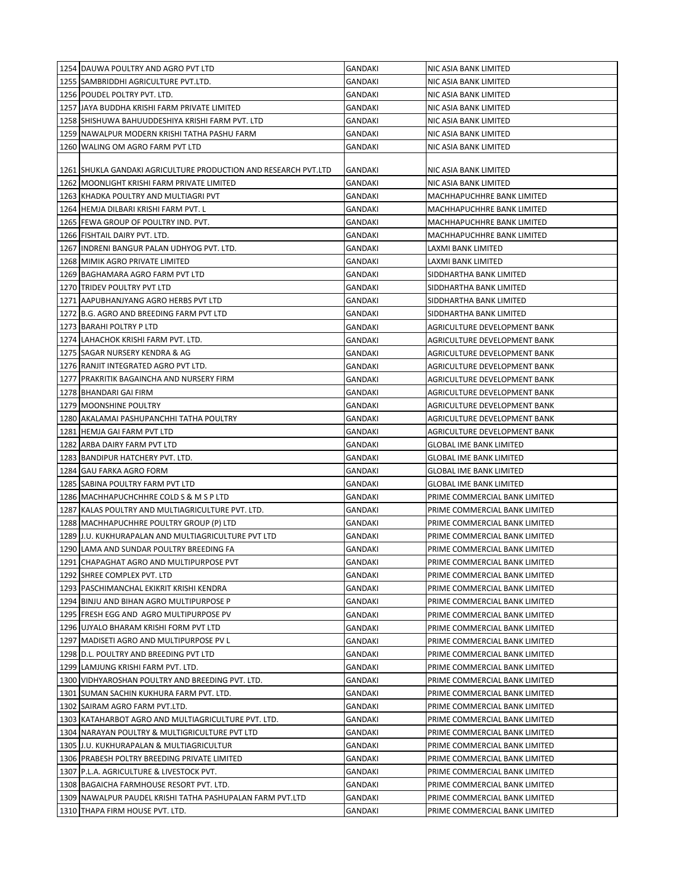| 1254 DAUWA POULTRY AND AGRO PVT LTD                             | GANDAKI        | NIC ASIA BANK LIMITED          |
|-----------------------------------------------------------------|----------------|--------------------------------|
| 1255 SAMBRIDDHI AGRICULTURE PVT.LTD.                            | GANDAKI        | NIC ASIA BANK LIMITED          |
| 1256 POUDEL POLTRY PVT. LTD.                                    | GANDAKI        | NIC ASIA BANK LIMITED          |
| 1257 JAYA BUDDHA KRISHI FARM PRIVATE LIMITED                    | GANDAKI        | NIC ASIA BANK LIMITED          |
| 1258 SHISHUWA BAHUUDDESHIYA KRISHI FARM PVT. LTD                | <b>GANDAKI</b> | NIC ASIA BANK LIMITED          |
| 1259 NAWALPUR MODERN KRISHI TATHA PASHU FARM                    | GANDAKI        | NIC ASIA BANK LIMITED          |
| 1260 WALING OM AGRO FARM PVT LTD                                | GANDAKI        | NIC ASIA BANK LIMITED          |
| 1261 SHUKLA GANDAKI AGRICULTURE PRODUCTION AND RESEARCH PVT.LTD | GANDAKI        | NIC ASIA BANK LIMITED          |
| 1262 MOONLIGHT KRISHI FARM PRIVATE LIMITED                      | <b>GANDAKI</b> | NIC ASIA BANK LIMITED          |
| 1263 KHADKA POULTRY AND MULTIAGRI PVT                           | GANDAKI        | MACHHAPUCHHRE BANK LIMITED     |
| 1264 HEMJA DILBARI KRISHI FARM PVT. L                           | GANDAKI        | MACHHAPUCHHRE BANK LIMITED     |
| 1265 FEWA GROUP OF POULTRY IND. PVT.                            | <b>GANDAKI</b> | MACHHAPUCHHRE BANK LIMITED     |
| 1266 FISHTAIL DAIRY PVT. LTD.                                   | GANDAKI        | MACHHAPUCHHRE BANK LIMITED     |
| 1267 INDRENI BANGUR PALAN UDHYOG PVT. LTD.                      | GANDAKI        | LAXMI BANK LIMITED             |
| 1268 MIMIK AGRO PRIVATE LIMITED                                 | GANDAKI        | LAXMI BANK LIMITED             |
| 1269 BAGHAMARA AGRO FARM PVT LTD                                | GANDAKI        | SIDDHARTHA BANK LIMITED        |
| 1270 TRIDEV POULTRY PVT LTD                                     | GANDAKI        | SIDDHARTHA BANK LIMITED        |
| 1271 AAPUBHANJYANG AGRO HERBS PVT LTD                           | GANDAKI        | SIDDHARTHA BANK LIMITED        |
| 1272 B.G. AGRO AND BREEDING FARM PVT LTD                        | GANDAKI        | SIDDHARTHA BANK LIMITED        |
| 1273 BARAHI POLTRY P LTD                                        | GANDAKI        | AGRICULTURE DEVELOPMENT BANK   |
| 1274 LAHACHOK KRISHI FARM PVT. LTD.                             | GANDAKI        | AGRICULTURE DEVELOPMENT BANK   |
| 1275 SAGAR NURSERY KENDRA & AG                                  | GANDAKI        | AGRICULTURE DEVELOPMENT BANK   |
| 1276 RANJIT INTEGRATED AGRO PVT LTD.                            | GANDAKI        | AGRICULTURE DEVELOPMENT BANK   |
| 1277 PRAKRITIK BAGAINCHA AND NURSERY FIRM                       | GANDAKI        | AGRICULTURE DEVELOPMENT BANK   |
| 1278 BHANDARI GAI FIRM                                          | GANDAKI        | AGRICULTURE DEVELOPMENT BANK   |
| 1279 MOONSHINE POULTRY                                          | GANDAKI        | AGRICULTURE DEVELOPMENT BANK   |
| 1280   AKALAMAI PASHUPANCHHI TATHA POULTRY                      | GANDAKI        | AGRICULTURE DEVELOPMENT BANK   |
| 1281 HEMJA GAI FARM PVT LTD                                     | GANDAKI        | AGRICULTURE DEVELOPMENT BANK   |
| 1282 ARBA DAIRY FARM PVT LTD                                    | GANDAKI        | <b>GLOBAL IME BANK LIMITED</b> |
| 1283 BANDIPUR HATCHERY PVT. LTD.                                | GANDAKI        | <b>GLOBAL IME BANK LIMITED</b> |
| 1284 GAU FARKA AGRO FORM                                        | <b>GANDAKI</b> | <b>GLOBAL IME BANK LIMITED</b> |
| 1285 SABINA POULTRY FARM PVT LTD                                | GANDAKI        | <b>GLOBAL IME BANK LIMITED</b> |
| 1286 MACHHAPUCHCHHRE COLD S & M S P LTD                         | GANDAKI        | PRIME COMMERCIAL BANK LIMITED  |
| 1287 KALAS POULTRY AND MULTIAGRICULTURE PVT. LTD.               | <b>GANDAKI</b> | PRIME COMMERCIAL BANK LIMITED  |
| 1288 MACHHAPUCHHRE POULTRY GROUP (P) LTD                        | GANDAKI        | PRIME COMMERCIAL BANK LIMITED  |
| 1289 J.U. KUKHURAPALAN AND MULTIAGRICULTURE PVT LTD             | <b>GANDAKI</b> | PRIME COMMERCIAL BANK LIMITED  |
| 1290 LAMA AND SUNDAR POULTRY BREEDING FA                        | <b>GANDAKI</b> | PRIME COMMERCIAL BANK LIMITED  |
| 1291 CHAPAGHAT AGRO AND MULTIPURPOSE PVT                        | <b>GANDAKI</b> | PRIME COMMERCIAL BANK LIMITED  |
| 1292 SHREE COMPLEX PVT. LTD                                     | <b>GANDAKI</b> | PRIME COMMERCIAL BANK LIMITED  |
| 1293 PASCHIMANCHAL EKIKRIT KRISHI KENDRA                        | <b>GANDAKI</b> | PRIME COMMERCIAL BANK LIMITED  |
| 1294 BINJU AND BIHAN AGRO MULTIPURPOSE P                        | GANDAKI        | PRIME COMMERCIAL BANK LIMITED  |
| 1295 FRESH EGG AND AGRO MULTIPURPOSE PV                         | <b>GANDAKI</b> | PRIME COMMERCIAL BANK LIMITED  |
| 1296 UJYALO BHARAM KRISHI FORM PVT LTD                          | GANDAKI        | PRIME COMMERCIAL BANK LIMITED  |
| 1297   MADISETI AGRO AND MULTIPURPOSE PV L                      | GANDAKI        | PRIME COMMERCIAL BANK LIMITED  |
| 1298 D.L. POULTRY AND BREEDING PVT LTD                          | GANDAKI        | PRIME COMMERCIAL BANK LIMITED  |
| 1299 LAMJUNG KRISHI FARM PVT. LTD.                              | GANDAKI        | PRIME COMMERCIAL BANK LIMITED  |
| 1300 VIDHYAROSHAN POULTRY AND BREEDING PVT. LTD.                | <b>GANDAKI</b> | PRIME COMMERCIAL BANK LIMITED  |
| 1301 SUMAN SACHIN KUKHURA FARM PVT. LTD.                        | GANDAKI        | PRIME COMMERCIAL BANK LIMITED  |
| 1302 SAIRAM AGRO FARM PVT.LTD.                                  | <b>GANDAKI</b> | PRIME COMMERCIAL BANK LIMITED  |
| 1303 KATAHARBOT AGRO AND MULTIAGRICULTURE PVT. LTD.             | GANDAKI        | PRIME COMMERCIAL BANK LIMITED  |
| 1304 NARAYAN POULTRY & MULTIGRICULTURE PVT LTD                  | <b>GANDAKI</b> | PRIME COMMERCIAL BANK LIMITED  |
| 1305 J.U. KUKHURAPALAN & MULTIAGRICULTUR                        | GANDAKI        | PRIME COMMERCIAL BANK LIMITED  |
| 1306 PRABESH POLTRY BREEDING PRIVATE LIMITED                    | GANDAKI        | PRIME COMMERCIAL BANK LIMITED  |
| 1307 P.L.A. AGRICULTURE & LIVESTOCK PVT.                        | GANDAKI        | PRIME COMMERCIAL BANK LIMITED  |
| 1308 BAGAICHA FARMHOUSE RESORT PVT. LTD.                        | GANDAKI        | PRIME COMMERCIAL BANK LIMITED  |
| 1309 NAWALPUR PAUDEL KRISHI TATHA PASHUPALAN FARM PVT.LTD       | GANDAKI        | PRIME COMMERCIAL BANK LIMITED  |
| 1310 THAPA FIRM HOUSE PVT. LTD.                                 | GANDAKI        | PRIME COMMERCIAL BANK LIMITED  |
|                                                                 |                |                                |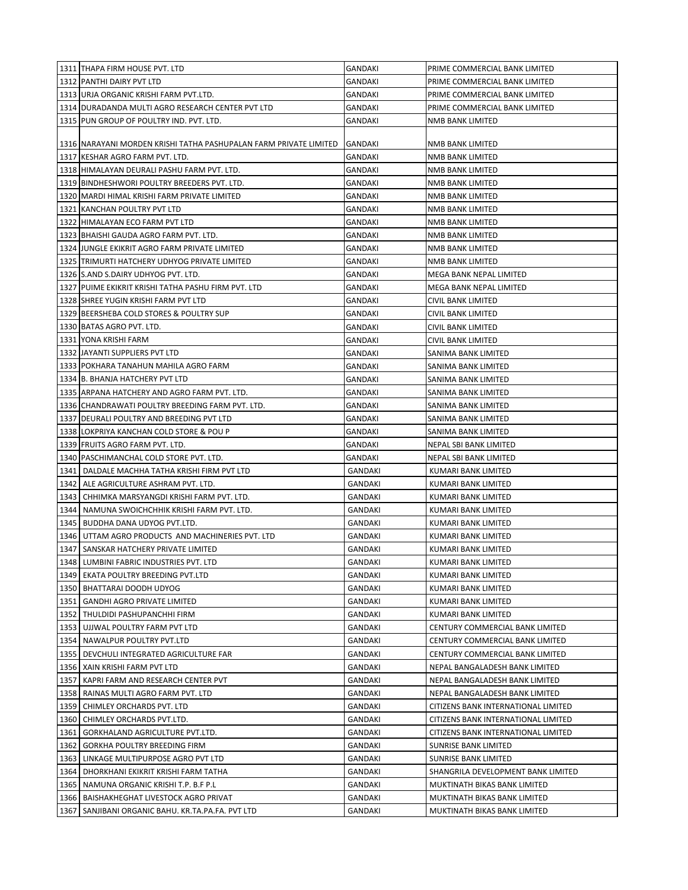|      | 1311 THAPA FIRM HOUSE PVT. LTD                                    | GANDAKI        | PRIME COMMERCIAL BANK LIMITED       |
|------|-------------------------------------------------------------------|----------------|-------------------------------------|
|      | 1312 PANTHI DAIRY PVT LTD                                         | GANDAKI        | PRIME COMMERCIAL BANK LIMITED       |
|      | 1313 URJA ORGANIC KRISHI FARM PVT.LTD.                            | GANDAKI        | PRIME COMMERCIAL BANK LIMITED       |
|      | 1314 DURADANDA MULTI AGRO RESEARCH CENTER PVT LTD                 | GANDAKI        | PRIME COMMERCIAL BANK LIMITED       |
|      | 1315 PUN GROUP OF POULTRY IND. PVT. LTD.                          | GANDAKI        | NMB BANK LIMITED                    |
|      |                                                                   |                |                                     |
|      | 1316 NARAYANI MORDEN KRISHI TATHA PASHUPALAN FARM PRIVATE LIMITED | GANDAKI        | NMB BANK LIMITED                    |
|      | 1317 KESHAR AGRO FARM PVT. LTD.                                   | GANDAKI        | NMB BANK LIMITED                    |
|      | 1318 HIMALAYAN DEURALI PASHU FARM PVT. LTD.                       | GANDAKI        | NMB BANK LIMITED                    |
|      | 1319 BINDHESHWORI POULTRY BREEDERS PVT. LTD.                      | GANDAKI        | NMB BANK LIMITED                    |
|      | 1320   MARDI HIMAL KRISHI FARM PRIVATE LIMITED                    | GANDAKI        | NMB BANK LIMITED                    |
|      | 1321 KANCHAN POULTRY PVT LTD                                      | GANDAKI        | NMB BANK LIMITED                    |
|      | 1322 HIMALAYAN ECO FARM PVT LTD                                   | GANDAKI        | NMB BANK LIMITED                    |
|      | 1323 BHAISHI GAUDA AGRO FARM PVT. LTD.                            | GANDAKI        | NMB BANK LIMITED                    |
|      | 1324 JUNGLE EKIKRIT AGRO FARM PRIVATE LIMITED                     | GANDAKI        | NMB BANK LIMITED                    |
|      | 1325 TRIMURTI HATCHERY UDHYOG PRIVATE LIMITED                     | GANDAKI        | NMB BANK LIMITED                    |
|      | 1326 S.AND S.DAIRY UDHYOG PVT. LTD.                               | GANDAKI        | MEGA BANK NEPAL LIMITED             |
|      | 1327 PUIME EKIKRIT KRISHI TATHA PASHU FIRM PVT. LTD               | GANDAKI        | MEGA BANK NEPAL LIMITED             |
|      | 1328 SHREE YUGIN KRISHI FARM PVT LTD                              | GANDAKI        | CIVIL BANK LIMITED                  |
|      | 1329 BEERSHEBA COLD STORES & POULTRY SUP                          | GANDAKI        | CIVIL BANK LIMITED                  |
|      | 1330 BATAS AGRO PVT. LTD.                                         | GANDAKI        | CIVIL BANK LIMITED                  |
|      | 1331 YONA KRISHI FARM                                             | GANDAKI        | CIVIL BANK LIMITED                  |
|      | 1332 JAYANTI SUPPLIERS PVT LTD                                    | GANDAKI        | SANIMA BANK LIMITED                 |
|      | 1333 POKHARA TANAHUN MAHILA AGRO FARM                             | GANDAKI        | SANIMA BANK LIMITED                 |
|      | 1334 B. BHANJA HATCHERY PVT LTD                                   | GANDAKI        | SANIMA BANK LIMITED                 |
|      | 1335 JARPANA HATCHERY AND AGRO FARM PVT. LTD.                     | GANDAKI        | SANIMA BANK LIMITED                 |
|      | 1336 CHANDRAWATI POULTRY BREEDING FARM PVT. LTD.                  | GANDAKI        | SANIMA BANK LIMITED                 |
|      | 1337 DEURALI POULTRY AND BREEDING PVT LTD                         | GANDAKI        | SANIMA BANK LIMITED                 |
|      | 1338 LOKPRIYA KANCHAN COLD STORE & POU P                          | GANDAKI        | SANIMA BANK LIMITED                 |
|      | 1339 FRUITS AGRO FARM PVT. LTD.                                   | GANDAKI        | NEPAL SBI BANK LIMITED              |
|      | 1340 PASCHIMANCHAL COLD STORE PVT. LTD.                           | GANDAKI        | NEPAL SBI BANK LIMITED              |
| 1341 | DALDALE MACHHA TATHA KRISHI FIRM PVT LTD                          | <b>GANDAKI</b> | KUMARI BANK LIMITED                 |
| 1342 | ALE AGRICULTURE ASHRAM PVT. LTD.                                  | GANDAKI        | KUMARI BANK LIMITED                 |
| 1343 | CHHIMKA MARSYANGDI KRISHI FARM PVT. LTD.                          | GANDAKI        | KUMARI BANK LIMITED                 |
| 1344 | NAMUNA SWOICHCHHIK KRISHI FARM PVT. LTD.                          | GANDAKI        | KUMARI BANK LIMITED                 |
| 1345 | BUDDHA DANA UDYOG PVT.LTD.                                        | GANDAKI        | KUMARI BANK LIMITED                 |
| 1346 | UTTAM AGRO PRODUCTS AND MACHINERIES PVT. LTD                      | GANDAKI        | KUMARI BANK LIMITED                 |
|      | 1347   SANSKAR HATCHERY PRIVATE LIMITED                           | GANDAKI        | KUMARI BANK LIMITED                 |
|      | 1348 LUMBINI FABRIC INDUSTRIES PVT. LTD                           | <b>GANDAKI</b> | KUMARI BANK LIMITED                 |
| 1349 | EKATA POULTRY BREEDING PVT.LTD                                    | <b>GANDAKI</b> | KUMARI BANK LIMITED                 |
|      | 1350 BHATTARAI DOODH UDYOG                                        | <b>GANDAKI</b> | KUMARI BANK LIMITED                 |
| 1351 | <b>GANDHI AGRO PRIVATE LIMITED</b>                                | <b>GANDAKI</b> | KUMARI BANK LIMITED                 |
| 1352 | THULDIDI PASHUPANCHHI FIRM                                        | GANDAKI        | KUMARI BANK LIMITED                 |
| 1353 | UJJWAL POULTRY FARM PVT LTD                                       | GANDAKI        | CENTURY COMMERCIAL BANK LIMITED     |
| 1354 | NAWALPUR POULTRY PVT.LTD                                          | <b>GANDAKI</b> | CENTURY COMMERCIAL BANK LIMITED     |
| 1355 | DEVCHULI INTEGRATED AGRICULTURE FAR                               | <b>GANDAKI</b> | CENTURY COMMERCIAL BANK LIMITED     |
|      | 1356   XAIN KRISHI FARM PVT LTD                                   | <b>GANDAKI</b> | NEPAL BANGALADESH BANK LIMITED      |
| 1357 | KAPRI FARM AND RESEARCH CENTER PVT                                | <b>GANDAKI</b> | NEPAL BANGALADESH BANK LIMITED      |
|      | 1358 RAINAS MULTI AGRO FARM PVT. LTD                              | <b>GANDAKI</b> | NEPAL BANGALADESH BANK LIMITED      |
| 1359 | CHIMLEY ORCHARDS PVT. LTD                                         | <b>GANDAKI</b> | CITIZENS BANK INTERNATIONAL LIMITED |
| 1360 | CHIMLEY ORCHARDS PVT.LTD.                                         | <b>GANDAKI</b> | CITIZENS BANK INTERNATIONAL LIMITED |
| 1361 | GORKHALAND AGRICULTURE PVT.LTD.                                   | <b>GANDAKI</b> | CITIZENS BANK INTERNATIONAL LIMITED |
| 1362 | <b>GORKHA POULTRY BREEDING FIRM</b>                               | GANDAKI        | <b>SUNRISE BANK LIMITED</b>         |
| 1363 | LINKAGE MULTIPURPOSE AGRO PVT LTD                                 | GANDAKI        | SUNRISE BANK LIMITED                |
| 1364 | DHORKHANI EKIKRIT KRISHI FARM TATHA                               | GANDAKI        | SHANGRILA DEVELOPMENT BANK LIMITED  |
| 1365 | NAMUNA ORGANIC KRISHI T.P. B.F P.L                                | <b>GANDAKI</b> | MUKTINATH BIKAS BANK LIMITED        |
| 1366 | BAISHAKHEGHAT LIVESTOCK AGRO PRIVAT                               | GANDAKI        | MUKTINATH BIKAS BANK LIMITED        |
| 1367 | SANJIBANI ORGANIC BAHU. KR.TA.PA.FA. PVT LTD                      | GANDAKI        | MUKTINATH BIKAS BANK LIMITED        |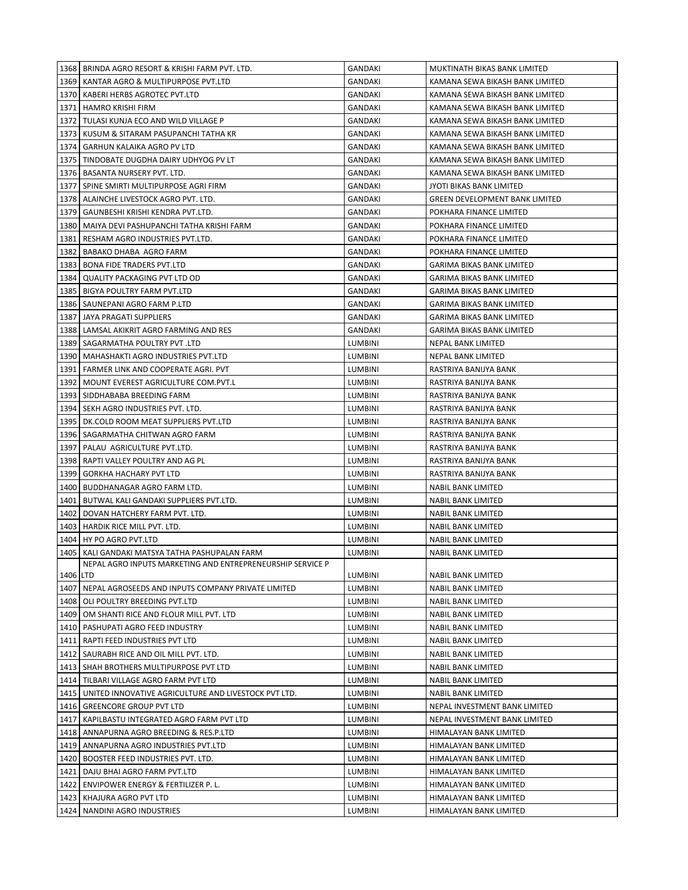|              | 1368   BRINDA AGRO RESORT & KRISHI FARM PVT. LTD.                  | GANDAKI                          | MUKTINATH BIKAS BANK LIMITED                     |
|--------------|--------------------------------------------------------------------|----------------------------------|--------------------------------------------------|
|              | 1369   KANTAR AGRO & MULTIPURPOSE PVT.LTD                          | GANDAKI                          | KAMANA SEWA BIKASH BANK LIMITED                  |
|              | 1370   KABERI HERBS AGROTEC PVT.LTD                                | GANDAKI                          | KAMANA SEWA BIKASH BANK LIMITED                  |
|              | 1371   HAMRO KRISHI FIRM                                           | GANDAKI                          | KAMANA SEWA BIKASH BANK LIMITED                  |
|              | 1372 TULASI KUNJA ECO AND WILD VILLAGE P                           | GANDAKI                          | KAMANA SEWA BIKASH BANK LIMITED                  |
| 1373         | KUSUM & SITARAM PASUPANCHI TATHA KR                                | GANDAKI                          | KAMANA SEWA BIKASH BANK LIMITED                  |
|              | 1374 GARHUN KALAIKA AGRO PV LTD                                    | GANDAKI                          | KAMANA SEWA BIKASH BANK LIMITED                  |
| 1375         | TINDOBATE DUGDHA DAIRY UDHYOG PV LT                                | GANDAKI                          | KAMANA SEWA BIKASH BANK LIMITED                  |
|              | 1376 BASANTA NURSERY PVT. LTD.                                     | GANDAKI                          | KAMANA SEWA BIKASH BANK LIMITED                  |
| 1377         | SPINE SMIRTI MULTIPURPOSE AGRI FIRM                                | <b>GANDAKI</b>                   | JYOTI BIKAS BANK LIMITED                         |
|              | 1378 ALAINCHE LIVESTOCK AGRO PVT. LTD.                             | GANDAKI                          | GREEN DEVELOPMENT BANK LIMITED                   |
| 1379         | GAUNBESHI KRISHI KENDRA PVT.LTD.                                   | GANDAKI                          | POKHARA FINANCE LIMITED                          |
|              | 1380   MAIYA DEVI PASHUPANCHI TATHA KRISHI FARM                    | GANDAKI                          | POKHARA FINANCE LIMITED                          |
| 1381         | RESHAM AGRO INDUSTRIES PVT.LTD.                                    | GANDAKI                          | POKHARA FINANCE LIMITED                          |
|              | 1382 BABAKO DHABA AGRO FARM                                        | GANDAKI                          | POKHARA FINANCE LIMITED                          |
| 1383         | <b>BONA FIDE TRADERS PVT.LTD</b>                                   | GANDAKI                          | GARIMA BIKAS BANK LIMITED                        |
| 1384         | QUALITY PACKAGING PVT LTD OD                                       | GANDAKI                          | GARIMA BIKAS BANK LIMITED                        |
|              | 1385   BIGYA POULTRY FARM PVT.LTD                                  | GANDAKI                          | GARIMA BIKAS BANK LIMITED                        |
|              | 1386   SAUNEPANI AGRO FARM P.LTD                                   | GANDAKI                          | GARIMA BIKAS BANK LIMITED                        |
| 1387         | JAYA PRAGATI SUPPLIERS                                             | GANDAKI                          | <b>GARIMA BIKAS BANK LIMITED</b>                 |
|              | 1388 LAMSAL AKIKRIT AGRO FARMING AND RES                           | GANDAKI                          | <b>GARIMA BIKAS BANK LIMITED</b>                 |
|              | 1389   SAGARMATHA POULTRY PVT .LTD                                 | <b>LUMBINI</b>                   | NEPAL BANK LIMITED                               |
|              | 1390 MAHASHAKTI AGRO INDUSTRIES PVT.LTD                            | <b>LUMBINI</b>                   | NEPAL BANK LIMITED                               |
| 1391         | FARMER LINK AND COOPERATE AGRI. PVT                                | <b>LUMBINI</b>                   | RASTRIYA BANIJYA BANK                            |
| 1392         | MOUNT EVEREST AGRICULTURE COM.PVT.L                                | <b>LUMBINI</b>                   | RASTRIYA BANIJYA BANK                            |
|              | 1393   SIDDHABABA BREEDING FARM                                    | <b>LUMBINI</b>                   | RASTRIYA BANIJYA BANK                            |
| 1394         | SEKH AGRO INDUSTRIES PVT. LTD.                                     | <b>LUMBINI</b>                   | RASTRIYA BANIJYA BANK                            |
| 1395         | DK.COLD ROOM MEAT SUPPLIERS PVT.LTD                                | LUMBINI                          | RASTRIYA BANIJYA BANK                            |
|              | 1396   SAGARMATHA CHITWAN AGRO FARM                                | LUMBINI                          | RASTRIYA BANIJYA BANK                            |
|              | 1397   PALAU AGRICULTURE PVT.LTD.                                  | LUMBINI                          | RASTRIYA BANIJYA BANK                            |
|              | 1398   RAPTI VALLEY POULTRY AND AG PL                              | LUMBINI                          | RASTRIYA BANIJYA BANK                            |
|              | 1399 GORKHA HACHARY PVT LTD                                        | LUMBINI                          | RASTRIYA BANIJYA BANK                            |
|              | 1400 BUDDHANAGAR AGRO FARM LTD.                                    | LUMBINI                          | NABIL BANK LIMITED                               |
|              | 1401 BUTWAL KALI GANDAKI SUPPLIERS PVT.LTD.                        | <b>LUMBINI</b>                   | NABIL BANK LIMITED                               |
|              | 1402   DOVAN HATCHERY FARM PVT. LTD.                               | <b>LUMBINI</b>                   | <b>NABIL BANK LIMITED</b>                        |
|              | 1403 HARDIK RICE MILL PVT. LTD.                                    | <b>LUMBINI</b>                   | NABIL BANK LIMITED                               |
|              | 1404 HY PO AGRO PVT.LTD                                            | <b>LUMBINI</b>                   | <b>NABIL BANK LIMITED</b>                        |
| 1405         | KALI GANDAKI MATSYA TATHA PASHUPALAN FARM                          | <b>LUMBINI</b>                   | <b>NABIL BANK LIMITED</b>                        |
|              | NEPAL AGRO INPUTS MARKETING AND ENTREPRENEURSHIP SERVICE P         |                                  |                                                  |
| 1406 LTD     |                                                                    | <b>LUMBINI</b>                   | <b>NABIL BANK LIMITED</b>                        |
| 1407         | NEPAL AGROSEEDS AND INPUTS COMPANY PRIVATE LIMITED                 | <b>LUMBINI</b>                   | <b>NABIL BANK LIMITED</b>                        |
|              | 1408 OLI POULTRY BREEDING PVT.LTD                                  | <b>LUMBINI</b>                   | NABIL BANK LIMITED                               |
|              | 1409   OM SHANTI RICE AND FLOUR MILL PVT. LTD                      | <b>LUMBINI</b>                   | <b>NABIL BANK LIMITED</b>                        |
|              | 1410   PASHUPATI AGRO FEED INDUSTRY                                | <b>LUMBINI</b>                   | NABIL BANK LIMITED                               |
| 1411         | RAPTI FEED INDUSTRIES PVT LTD                                      | <b>LUMBINI</b>                   | <b>NABIL BANK LIMITED</b>                        |
|              | 1412   SAURABH RICE AND OIL MILL PVT. LTD.                         | <b>LUMBINI</b>                   | NABIL BANK LIMITED                               |
|              | 1413   SHAH BROTHERS MULTIPURPOSE PVT LTD                          | <b>LUMBINI</b>                   | NABIL BANK LIMITED                               |
|              | 1414   TILBARI VILLAGE AGRO FARM PVT LTD                           | <b>LUMBINI</b>                   | <b>NABIL BANK LIMITED</b>                        |
| 1415         | UNITED INNOVATIVE AGRICULTURE AND LIVESTOCK PVT LTD.               | <b>LUMBINI</b>                   | <b>NABIL BANK LIMITED</b>                        |
|              | 1416   GREENCORE GROUP PVT LTD                                     | LUMBINI                          | NEPAL INVESTMENT BANK LIMITED                    |
| 1417         | KAPILBASTU INTEGRATED AGRO FARM PVT LTD                            | LUMBINI                          | NEPAL INVESTMENT BANK LIMITED                    |
|              | 1418   ANNAPURNA AGRO BREEDING & RES.P.LTD                         | <b>LUMBINI</b>                   | HIMALAYAN BANK LIMITED                           |
|              | 1419   ANNAPURNA AGRO INDUSTRIES PVT.LTD                           | LUMBINI                          | HIMALAYAN BANK LIMITED                           |
| 1420<br>1421 | BOOSTER FEED INDUSTRIES PVT. LTD.                                  | <b>LUMBINI</b><br><b>LUMBINI</b> | HIMALAYAN BANK LIMITED                           |
| 1422         | DAJU BHAI AGRO FARM PVT.LTD<br>ENVIPOWER ENERGY & FERTILIZER P. L. | <b>LUMBINI</b>                   | HIMALAYAN BANK LIMITED<br>HIMALAYAN BANK LIMITED |
|              | 1423   KHAJURA AGRO PVT LTD                                        | LUMBINI                          | HIMALAYAN BANK LIMITED                           |
| 1424         | NANDINI AGRO INDUSTRIES                                            | <b>LUMBINI</b>                   | HIMALAYAN BANK LIMITED                           |
|              |                                                                    |                                  |                                                  |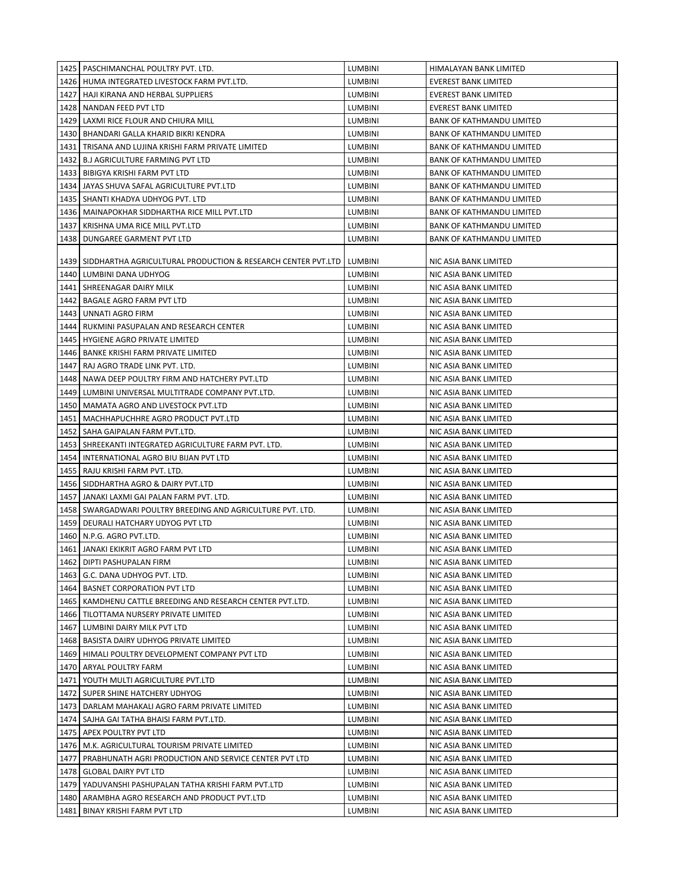|      | 1425   PASCHIMANCHAL POULTRY PVT. LTD.                              | <b>LUMBINI</b> | HIMALAYAN BANK LIMITED           |
|------|---------------------------------------------------------------------|----------------|----------------------------------|
|      | 1426   HUMA INTEGRATED LIVESTOCK FARM PVT.LTD.                      | <b>LUMBINI</b> | <b>EVEREST BANK LIMITED</b>      |
|      | 1427   HAJI KIRANA AND HERBAL SUPPLIERS                             | <b>LUMBINI</b> | <b>EVEREST BANK LIMITED</b>      |
|      | 1428 NANDAN FEED PVT LTD                                            | <b>LUMBINI</b> | <b>EVEREST BANK LIMITED</b>      |
|      | 1429 LAXMI RICE FLOUR AND CHIURA MILL                               | <b>LUMBINI</b> | <b>BANK OF KATHMANDU LIMITED</b> |
|      | 1430   BHANDARI GALLA KHARID BIKRI KENDRA                           | <b>LUMBINI</b> | <b>BANK OF KATHMANDU LIMITED</b> |
| 1431 | TRISANA AND LUJINA KRISHI FARM PRIVATE LIMITED                      | <b>LUMBINI</b> | <b>BANK OF KATHMANDU LIMITED</b> |
| 1432 | <b>B.J AGRICULTURE FARMING PVT LTD</b>                              | <b>LUMBINI</b> | <b>BANK OF KATHMANDU LIMITED</b> |
| 1433 | BIBIGYA KRISHI FARM PVT LTD                                         | <b>LUMBINI</b> | <b>BANK OF KATHMANDU LIMITED</b> |
| 1434 | JAYAS SHUVA SAFAL AGRICULTURE PVT.LTD                               | <b>LUMBINI</b> | <b>BANK OF KATHMANDU LIMITED</b> |
|      | 1435   SHANTI KHADYA UDHYOG PVT. LTD                                | LUMBINI        | <b>BANK OF KATHMANDU LIMITED</b> |
|      | 1436   MAINAPOKHAR SIDDHARTHA RICE MILL PVT.LTD                     | <b>LUMBINI</b> | <b>BANK OF KATHMANDU LIMITED</b> |
| 1437 | KRISHNA UMA RICE MILL PVT.LTD                                       | <b>LUMBINI</b> | <b>BANK OF KATHMANDU LIMITED</b> |
| 1438 | DUNGAREE GARMENT PVT LTD                                            | LUMBINI        | BANK OF KATHMANDU LIMITED        |
|      |                                                                     |                |                                  |
|      | 1439   SIDDHARTHA AGRICULTURAL PRODUCTION & RESEARCH CENTER PVT.LTD | LUMBINI        | NIC ASIA BANK LIMITED            |
| 1440 | LUMBINI DANA UDHYOG                                                 | <b>LUMBINI</b> | NIC ASIA BANK LIMITED            |
| 1441 | SHREENAGAR DAIRY MILK                                               | <b>LUMBINI</b> | NIC ASIA BANK LIMITED            |
| 1442 | BAGALE AGRO FARM PVT LTD                                            | <b>LUMBINI</b> | NIC ASIA BANK LIMITED            |
| 1443 | UNNATI AGRO FIRM                                                    | <b>LUMBINI</b> | NIC ASIA BANK LIMITED            |
| 1444 | RUKMINI PASUPALAN AND RESEARCH CENTER                               | <b>LUMBINI</b> | NIC ASIA BANK LIMITED            |
|      | 1445   HYGIENE AGRO PRIVATE LIMITED                                 | LUMBINI        | NIC ASIA BANK LIMITED            |
|      | 1446   BANKE KRISHI FARM PRIVATE LIMITED                            | LUMBINI        | NIC ASIA BANK LIMITED            |
| 1447 | RAJ AGRO TRADE LINK PVT. LTD.                                       | LUMBINI        | NIC ASIA BANK LIMITED            |
|      | 1448 NAWA DEEP POULTRY FIRM AND HATCHERY PVT.LTD                    | LUMBINI        | NIC ASIA BANK LIMITED            |
|      | 1449   LUMBINI UNIVERSAL MULTITRADE COMPANY PVT.LTD.                | <b>LUMBINI</b> | NIC ASIA BANK LIMITED            |
|      | 1450   MAMATA AGRO AND LIVESTOCK PVT.LTD                            | <b>LUMBINI</b> | NIC ASIA BANK LIMITED            |
|      | 1451   MACHHAPUCHHRE AGRO PRODUCT PVT.LTD                           | <b>LUMBINI</b> | NIC ASIA BANK LIMITED            |
|      | 1452   SAHA GAIPALAN FARM PVT.LTD.                                  | LUMBINI        | NIC ASIA BANK LIMITED            |
| 1453 | SHREEKANTI INTEGRATED AGRICULTURE FARM PVT. LTD.                    | <b>LUMBINI</b> | NIC ASIA BANK LIMITED            |
| 1454 | INTERNATIONAL AGRO BIU BIJAN PVT LTD                                | <b>LUMBINI</b> | NIC ASIA BANK LIMITED            |
| 1455 | RAJU KRISHI FARM PVT. LTD.                                          | <b>LUMBINI</b> | NIC ASIA BANK LIMITED            |
|      | 1456   SIDDHARTHA AGRO & DAIRY PVT.LTD                              | <b>LUMBINI</b> | NIC ASIA BANK LIMITED            |
| 1457 | JANAKI LAXMI GAI PALAN FARM PVT. LTD.                               | <b>LUMBINI</b> | NIC ASIA BANK LIMITED            |
|      | 1458   SWARGADWARI POULTRY BREEDING AND AGRICULTURE PVT. LTD.       | <b>LUMBINI</b> | NIC ASIA BANK LIMITED            |
|      | 1459 DEURALI HATCHARY UDYOG PVT LTD                                 | <b>LUMBINI</b> | NIC ASIA BANK LIMITED            |
|      | 1460 N.P.G. AGRO PVT.LTD.                                           | <b>LUMBINI</b> | NIC ASIA BANK LIMITED            |
| 1461 | JANAKI EKIKRIT AGRO FARM PVT LTD                                    | <b>LUMBINI</b> | NIC ASIA BANK LIMITED            |
|      | 1462 DIPTI PASHUPALAN FIRM                                          | LUMBINI        | NIC ASIA BANK LIMITED            |
| 1463 | G.C. DANA UDHYOG PVT. LTD.                                          | <b>LUMBINI</b> | NIC ASIA BANK LIMITED            |
|      | 1464 BASNET CORPORATION PVT LTD                                     | <b>LUMBINI</b> | NIC ASIA BANK LIMITED            |
|      | 1465   KAMDHENU CATTLE BREEDING AND RESEARCH CENTER PVT.LTD.        | <b>LUMBINI</b> | NIC ASIA BANK LIMITED            |
| 1466 | TILOTTAMA NURSERY PRIVATE LIMITED                                   | <b>LUMBINI</b> | NIC ASIA BANK LIMITED            |
|      | 1467 LUMBINI DAIRY MILK PVT LTD                                     | <b>LUMBINI</b> | NIC ASIA BANK LIMITED            |
|      | 1468   BASISTA DAIRY UDHYOG PRIVATE LIMITED                         | <b>LUMBINI</b> | NIC ASIA BANK LIMITED            |
|      | 1469 HIMALI POULTRY DEVELOPMENT COMPANY PVT LTD                     | <b>LUMBINI</b> | NIC ASIA BANK LIMITED            |
|      | 1470   ARYAL POULTRY FARM                                           | <b>LUMBINI</b> | NIC ASIA BANK LIMITED            |
| 1471 | YOUTH MULTI AGRICULTURE PVT.LTD                                     | <b>LUMBINI</b> | NIC ASIA BANK LIMITED            |
| 1472 | SUPER SHINE HATCHERY UDHYOG                                         | <b>LUMBINI</b> | NIC ASIA BANK LIMITED            |
|      | 1473   DARLAM MAHAKALI AGRO FARM PRIVATE LIMITED                    | <b>LUMBINI</b> | NIC ASIA BANK LIMITED            |
| 1474 | SAJHA GAI TATHA BHAISI FARM PVT.LTD.                                | <b>LUMBINI</b> | NIC ASIA BANK LIMITED            |
| 1475 | APEX POULTRY PVT LTD                                                | <b>LUMBINI</b> | NIC ASIA BANK LIMITED            |
|      | 1476   M.K. AGRICULTURAL TOURISM PRIVATE LIMITED                    | <b>LUMBINI</b> | NIC ASIA BANK LIMITED            |
| 1477 | PRABHUNATH AGRI PRODUCTION AND SERVICE CENTER PVT LTD               | <b>LUMBINI</b> | NIC ASIA BANK LIMITED            |
| 1478 | <b>GLOBAL DAIRY PVT LTD</b>                                         | <b>LUMBINI</b> | NIC ASIA BANK LIMITED            |
|      | 1479   YADUVANSHI PASHUPALAN TATHA KRISHI FARM PVT.LTD              | <b>LUMBINI</b> | NIC ASIA BANK LIMITED            |
| 1480 | ARAMBHA AGRO RESEARCH AND PRODUCT PVT.LTD                           | <b>LUMBINI</b> | NIC ASIA BANK LIMITED            |
| 1481 | BINAY KRISHI FARM PVT LTD                                           | <b>LUMBINI</b> | NIC ASIA BANK LIMITED            |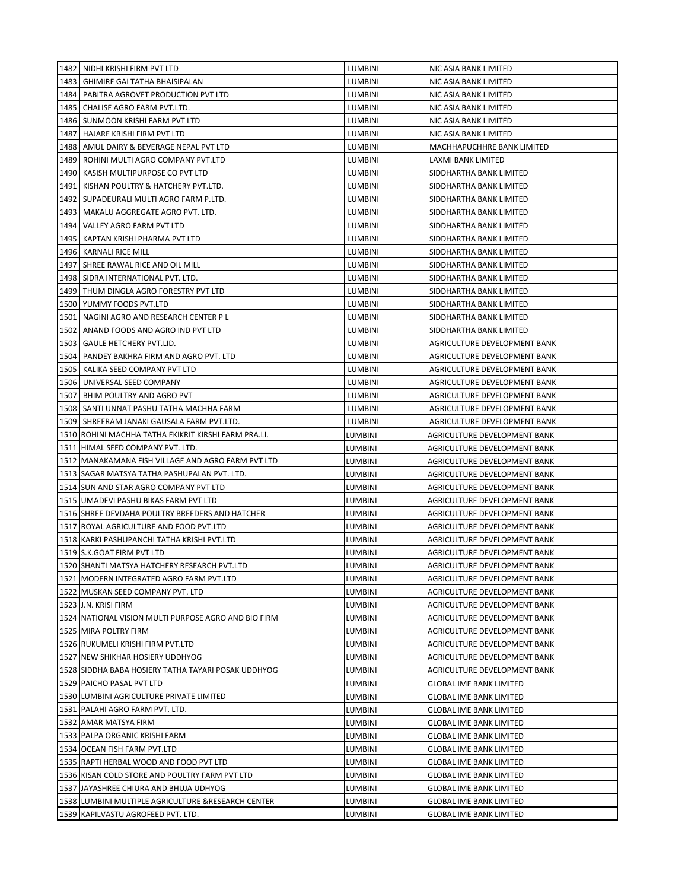|      | 1482 NIDHI KRISHI FIRM PVT LTD                       | <b>LUMBINI</b> | NIC ASIA BANK LIMITED          |
|------|------------------------------------------------------|----------------|--------------------------------|
| 1483 | GHIMIRE GAI TATHA BHAISIPALAN                        | <b>LUMBINI</b> | NIC ASIA BANK LIMITED          |
|      | 1484 PABITRA AGROVET PRODUCTION PVT LTD              | <b>LUMBINI</b> | NIC ASIA BANK LIMITED          |
|      | 1485 CHALISE AGRO FARM PVT.LTD.                      | <b>LUMBINI</b> | NIC ASIA BANK LIMITED          |
|      | 1486   SUNMOON KRISHI FARM PVT LTD                   | <b>LUMBINI</b> | NIC ASIA BANK LIMITED          |
| 1487 | HAJARE KRISHI FIRM PVT LTD                           | <b>LUMBINI</b> | NIC ASIA BANK LIMITED          |
| 1488 | AMUL DAIRY & BEVERAGE NEPAL PVT LTD                  | <b>LUMBINI</b> | MACHHAPUCHHRE BANK LIMITED     |
| 1489 | ROHINI MULTI AGRO COMPANY PVT.LTD                    | <b>LUMBINI</b> | LAXMI BANK LIMITED             |
| 1490 | KASISH MULTIPURPOSE CO PVT LTD                       | <b>LUMBINI</b> | SIDDHARTHA BANK LIMITED        |
| 1491 | KISHAN POULTRY & HATCHERY PVT.LTD.                   | <b>LUMBINI</b> | SIDDHARTHA BANK LIMITED        |
| 1492 | SUPADEURALI MULTI AGRO FARM P.LTD.                   | <b>LUMBINI</b> | SIDDHARTHA BANK LIMITED        |
| 1493 | MAKALU AGGREGATE AGRO PVT. LTD.                      | <b>LUMBINI</b> | SIDDHARTHA BANK LIMITED        |
| 1494 | VALLEY AGRO FARM PVT LTD                             | <b>LUMBINI</b> | SIDDHARTHA BANK LIMITED        |
| 1495 | KAPTAN KRISHI PHARMA PVT LTD                         | <b>LUMBINI</b> | SIDDHARTHA BANK LIMITED        |
| 1496 | KARNALI RICE MILL                                    | LUMBINI        | SIDDHARTHA BANK LIMITED        |
| 1497 | SHREE RAWAL RICE AND OIL MILL                        | LUMBINI        | SIDDHARTHA BANK LIMITED        |
| 1498 | SIDRA INTERNATIONAL PVT. LTD.                        | LUMBINI        | SIDDHARTHA BANK LIMITED        |
|      | 1499 THUM DINGLA AGRO FORESTRY PVT LTD               | LUMBINI        | SIDDHARTHA BANK LIMITED        |
|      | 1500 YUMMY FOODS PVT.LTD                             | LUMBINI        | SIDDHARTHA BANK LIMITED        |
|      | 1501 NAGINI AGRO AND RESEARCH CENTER PL              | <b>LUMBINI</b> | SIDDHARTHA BANK LIMITED        |
|      | 1502 ANAND FOODS AND AGRO IND PVT LTD                | <b>LUMBINI</b> | SIDDHARTHA BANK LIMITED        |
|      | 1503   GAULE HETCHERY PVT.LID.                       | <b>LUMBINI</b> | AGRICULTURE DEVELOPMENT BANK   |
|      | 1504 PANDEY BAKHRA FIRM AND AGRO PVT. LTD            | <b>LUMBINI</b> | AGRICULTURE DEVELOPMENT BANK   |
| 1505 | KALIKA SEED COMPANY PVT LTD                          | <b>LUMBINI</b> | AGRICULTURE DEVELOPMENT BANK   |
|      | 1506 UNIVERSAL SEED COMPANY                          | <b>LUMBINI</b> | AGRICULTURE DEVELOPMENT BANK   |
| 1507 | BHIM POULTRY AND AGRO PVT                            | <b>LUMBINI</b> | AGRICULTURE DEVELOPMENT BANK   |
|      | 1508   SANTI UNNAT PASHU TATHA MACHHA FARM           | <b>LUMBINI</b> | AGRICULTURE DEVELOPMENT BANK   |
|      | 1509   SHREERAM JANAKI GAUSALA FARM PVT.LTD.         | <b>LUMBINI</b> | AGRICULTURE DEVELOPMENT BANK   |
|      | 1510 ROHINI MACHHA TATHA EKIKRIT KIRSHI FARM PRA.LI. | LUMBINI        | AGRICULTURE DEVELOPMENT BANK   |
|      |                                                      |                |                                |
|      | 1511 HIMAL SEED COMPANY PVT. LTD.                    | LUMBINI        | AGRICULTURE DEVELOPMENT BANK   |
|      | 1512   MANAKAMANA FISH VILLAGE AND AGRO FARM PVT LTD | LUMBINI        | AGRICULTURE DEVELOPMENT BANK   |
|      | 1513 SAGAR MATSYA TATHA PASHUPALAN PVT. LTD.         | LUMBINI        | AGRICULTURE DEVELOPMENT BANK   |
|      | 1514 SUN AND STAR AGRO COMPANY PVT LTD               | LUMBINI        | AGRICULTURE DEVELOPMENT BANK   |
|      | 1515 UMADEVI PASHU BIKAS FARM PVT LTD                | LUMBINI        | AGRICULTURE DEVELOPMENT BANK   |
|      | 1516 SHREE DEVDAHA POULTRY BREEDERS AND HATCHER      | LUMBINI        | AGRICULTURE DEVELOPMENT BANK   |
|      | 1517 ROYAL AGRICULTURE AND FOOD PVT.LTD              | LUMBINI        | AGRICULTURE DEVELOPMENT BANK   |
|      | 1518 KARKI PASHUPANCHI TATHA KRISHI PVT.LTD          | LUMBINI        | AGRICULTURE DEVELOPMENT BANK   |
|      | 1519 S.K.GOAT FIRM PVT LTD                           | LUMBINI        | AGRICULTURE DEVELOPMENT BANK   |
|      | 1520 SHANTI MATSYA HATCHERY RESEARCH PVT.LTD         | LUMBINI        | AGRICULTURE DEVELOPMENT BANK   |
|      | 1521   MODERN INTEGRATED AGRO FARM PVT.LTD           | LUMBINI        | AGRICULTURE DEVELOPMENT BANK   |
|      | 1522 MUSKAN SEED COMPANY PVT. LTD                    | LUMBINI        | AGRICULTURE DEVELOPMENT BANK   |
|      | 1523 J.N. KRISI FIRM                                 | LUMBINI        | AGRICULTURE DEVELOPMENT BANK   |
|      | 1524 NATIONAL VISION MULTI PURPOSE AGRO AND BIO FIRM | LUMBINI        | AGRICULTURE DEVELOPMENT BANK   |
|      | 1525 MIRA POLTRY FIRM                                | LUMBINI        | AGRICULTURE DEVELOPMENT BANK   |
|      | 1526 RUKUMELI KRISHI FIRM PVT.LTD                    | LUMBINI        | AGRICULTURE DEVELOPMENT BANK   |
|      | 1527 NEW SHIKHAR HOSIERY UDDHYOG                     | LUMBINI        | AGRICULTURE DEVELOPMENT BANK   |
|      | 1528 SIDDHA BABA HOSIERY TATHA TAYARI POSAK UDDHYOG  | LUMBINI        | AGRICULTURE DEVELOPMENT BANK   |
|      | 1529 PAICHO PASAL PVT LTD                            | LUMBINI        | <b>GLOBAL IME BANK LIMITED</b> |
|      | 1530 LUMBINI AGRICULTURE PRIVATE LIMITED             | LUMBINI        | GLOBAL IME BANK LIMITED        |
|      | 1531 PALAHI AGRO FARM PVT. LTD.                      | LUMBINI        | <b>GLOBAL IME BANK LIMITED</b> |
|      | 1532 AMAR MATSYA FIRM                                | LUMBINI        | <b>GLOBAL IME BANK LIMITED</b> |
|      | 1533 PALPA ORGANIC KRISHI FARM                       | LUMBINI        | <b>GLOBAL IME BANK LIMITED</b> |
|      | 1534 OCEAN FISH FARM PVT.LTD                         | LUMBINI        | <b>GLOBAL IME BANK LIMITED</b> |
|      | 1535 RAPTI HERBAL WOOD AND FOOD PVT LTD              | LUMBINI        | <b>GLOBAL IME BANK LIMITED</b> |
|      | 1536 KISAN COLD STORE AND POULTRY FARM PVT LTD       | LUMBINI        | <b>GLOBAL IME BANK LIMITED</b> |
|      | 1537 JAYASHREE CHIURA AND BHUJA UDHYOG               | LUMBINI        | <b>GLOBAL IME BANK LIMITED</b> |
|      | 1538 LUMBINI MULTIPLE AGRICULTURE & RESEARCH CENTER  | LUMBINI        | <b>GLOBAL IME BANK LIMITED</b> |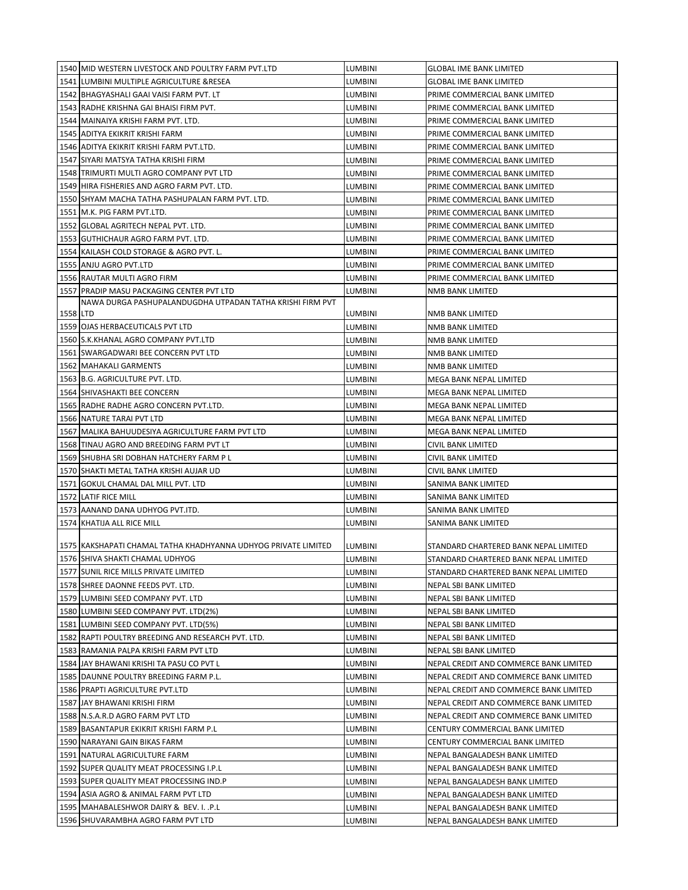|          | 1540 MID WESTERN LIVESTOCK AND POULTRY FARM PVT.LTD            | LUMBINI | GLOBAL IME BANK LIMITED                |
|----------|----------------------------------------------------------------|---------|----------------------------------------|
|          | 1541 LUMBINI MULTIPLE AGRICULTURE & RESEA                      | LUMBINI | <b>GLOBAL IME BANK LIMITED</b>         |
|          | 1542 BHAGYASHALI GAAI VAISI FARM PVT. LT                       | LUMBINI | PRIME COMMERCIAL BANK LIMITED          |
|          | 1543 RADHE KRISHNA GAI BHAISI FIRM PVT.                        | LUMBINI | PRIME COMMERCIAL BANK LIMITED          |
|          | 1544   MAINAIYA KRISHI FARM PVT. LTD.                          | LUMBINI | PRIME COMMERCIAL BANK LIMITED          |
|          | 1545 ADITYA EKIKRIT KRISHI FARM                                | LUMBINI | PRIME COMMERCIAL BANK LIMITED          |
|          | 1546 ADITYA EKIKRIT KRISHI FARM PVT.LTD.                       | LUMBINI | PRIME COMMERCIAL BANK LIMITED          |
|          | 1547 SIYARI MATSYA TATHA KRISHI FIRM                           | LUMBINI | PRIME COMMERCIAL BANK LIMITED          |
|          | 1548 TRIMURTI MULTI AGRO COMPANY PVT LTD                       | LUMBINI | PRIME COMMERCIAL BANK LIMITED          |
|          | 1549 HIRA FISHERIES AND AGRO FARM PVT. LTD.                    | LUMBINI | PRIME COMMERCIAL BANK LIMITED          |
|          | 1550 SHYAM MACHA TATHA PASHUPALAN FARM PVT. LTD.               | LUMBINI | PRIME COMMERCIAL BANK LIMITED          |
|          | 1551 M.K. PIG FARM PVT.LTD.                                    | LUMBINI | PRIME COMMERCIAL BANK LIMITED          |
|          | 1552 GLOBAL AGRITECH NEPAL PVT. LTD.                           | LUMBINI | PRIME COMMERCIAL BANK LIMITED          |
|          | 1553 GUTHICHAUR AGRO FARM PVT. LTD.                            | LUMBINI | PRIME COMMERCIAL BANK LIMITED          |
|          | 1554 KAILASH COLD STORAGE & AGRO PVT. L.                       | LUMBINI | PRIME COMMERCIAL BANK LIMITED          |
|          | 1555 ANJU AGRO PVT.LTD                                         | LUMBINI | PRIME COMMERCIAL BANK LIMITED          |
|          | 1556 RAUTAR MULTI AGRO FIRM                                    | LUMBINI | PRIME COMMERCIAL BANK LIMITED          |
|          | 1557 PRADIP MASU PACKAGING CENTER PVT LTD                      | LUMBINI |                                        |
|          | NAWA DURGA PASHUPALANDUGDHA UTPADAN TATHA KRISHI FIRM PVT      |         | NMB BANK LIMITED                       |
| 1558 LTD |                                                                | LUMBINI | NMB BANK LIMITED                       |
|          | 1559 OJAS HERBACEUTICALS PVT LTD                               | LUMBINI | NMB BANK LIMITED                       |
|          | 1560 S.K.KHANAL AGRO COMPANY PVT.LTD                           | LUMBINI | NMB BANK LIMITED                       |
|          | 1561 SWARGADWARI BEE CONCERN PVT LTD                           | LUMBINI | NMB BANK LIMITED                       |
|          | 1562 MAHAKALI GARMENTS                                         | LUMBINI | NMB BANK LIMITED                       |
|          | 1563 B.G. AGRICULTURE PVT. LTD.                                | LUMBINI | MEGA BANK NEPAL LIMITED                |
|          | 1564 SHIVASHAKTI BEE CONCERN                                   | LUMBINI | MEGA BANK NEPAL LIMITED                |
|          | 1565 RADHE RADHE AGRO CONCERN PVT.LTD.                         | LUMBINI | MEGA BANK NEPAL LIMITED                |
|          | 1566 NATURE TARAI PVT LTD                                      | LUMBINI | MEGA BANK NEPAL LIMITED                |
|          | 1567 MALIKA BAHUUDESIYA AGRICULTURE FARM PVT LTD               | LUMBINI | MEGA BANK NEPAL LIMITED                |
|          | 1568 TINAU AGRO AND BREEDING FARM PVT LT                       | LUMBINI | CIVIL BANK LIMITED                     |
|          | 1569 SHUBHA SRI DOBHAN HATCHERY FARM P L                       | LUMBINI | CIVIL BANK LIMITED                     |
|          | 1570 SHAKTI METAL TATHA KRISHI AUJAR UD                        | LUMBINI | CIVIL BANK LIMITED                     |
|          | 1571 GOKUL CHAMAL DAL MILL PVT. LTD                            | LUMBINI | SANIMA BANK LIMITED                    |
|          | 1572 LATIF RICE MILL                                           | LUMBINI | SANIMA BANK LIMITED                    |
|          | 1573 AANAND DANA UDHYOG PVT.ITD.                               | LUMBINI | SANIMA BANK LIMITED                    |
|          | 1574 KHATIJA ALL RICE MILL                                     | LUMBINI | SANIMA BANK LIMITED                    |
|          |                                                                |         |                                        |
|          | 1575 KAKSHAPATI CHAMAL TATHA KHADHYANNA UDHYOG PRIVATE LIMITED | LUMBINI | STANDARD CHARTERED BANK NEPAL LIMITED  |
|          | 1576 SHIVA SHAKTI CHAMAL UDHYOG                                | LUMBINI | STANDARD CHARTERED BANK NEPAL LIMITED  |
|          | 1577 SUNIL RICE MILLS PRIVATE LIMITED                          | LUMBINI | STANDARD CHARTERED BANK NEPAL LIMITED  |
|          | 1578 SHREE DAONNE FEEDS PVT. LTD.                              | LUMBINI | NEPAL SBI BANK LIMITED                 |
|          | 1579 LUMBINI SEED COMPANY PVT. LTD                             | LUMBINI | NEPAL SBI BANK LIMITED                 |
|          | 1580 LUMBINI SEED COMPANY PVT. LTD(2%)                         | LUMBINI | NEPAL SBI BANK LIMITED                 |
|          | 1581 LUMBINI SEED COMPANY PVT. LTD(5%)                         | LUMBINI | NEPAL SBI BANK LIMITED                 |
|          | 1582 RAPTI POULTRY BREEDING AND RESEARCH PVT. LTD.             | LUMBINI | NEPAL SBI BANK LIMITED                 |
|          | 1583 RAMANIA PALPA KRISHI FARM PVT LTD                         | LUMBINI | NEPAL SBI BANK LIMITED                 |
|          | 1584 JAY BHAWANI KRISHI TA PASU CO PVT L                       | LUMBINI | NEPAL CREDIT AND COMMERCE BANK LIMITED |
|          | 1585 DAUNNE POULTRY BREEDING FARM P.L.                         | LUMBINI | NEPAL CREDIT AND COMMERCE BANK LIMITED |
|          | 1586 PRAPTI AGRICULTURE PVT.LTD                                | LUMBINI | NEPAL CREDIT AND COMMERCE BANK LIMITED |
|          | 1587 JAY BHAWANI KRISHI FIRM                                   | LUMBINI | NEPAL CREDIT AND COMMERCE BANK LIMITED |
|          | 1588 N.S.A.R.D AGRO FARM PVT LTD                               | LUMBINI | NEPAL CREDIT AND COMMERCE BANK LIMITED |
|          | 1589 BASANTAPUR EKIKRIT KRISHI FARM P.L                        | LUMBINI | CENTURY COMMERCIAL BANK LIMITED        |
|          | 1590 NARAYANI GAIN BIKAS FARM                                  | LUMBINI | CENTURY COMMERCIAL BANK LIMITED        |
|          | 1591 NATURAL AGRICULTURE FARM                                  | LUMBINI | NEPAL BANGALADESH BANK LIMITED         |
|          | 1592 SUPER QUALITY MEAT PROCESSING I.P.L                       | LUMBINI | NEPAL BANGALADESH BANK LIMITED         |
|          | 1593 SUPER QUALITY MEAT PROCESSING IND.P                       | LUMBINI | NEPAL BANGALADESH BANK LIMITED         |
|          | 1594 ASIA AGRO & ANIMAL FARM PVT LTD                           | LUMBINI |                                        |
|          |                                                                |         | NEPAL BANGALADESH BANK LIMITED         |
|          | 1595 MAHABALESHWOR DAIRY & BEV. I. .P.L                        | LUMBINI | NEPAL BANGALADESH BANK LIMITED         |
|          | 1596 SHUVARAMBHA AGRO FARM PVT LTD                             | LUMBINI | NEPAL BANGALADESH BANK LIMITED         |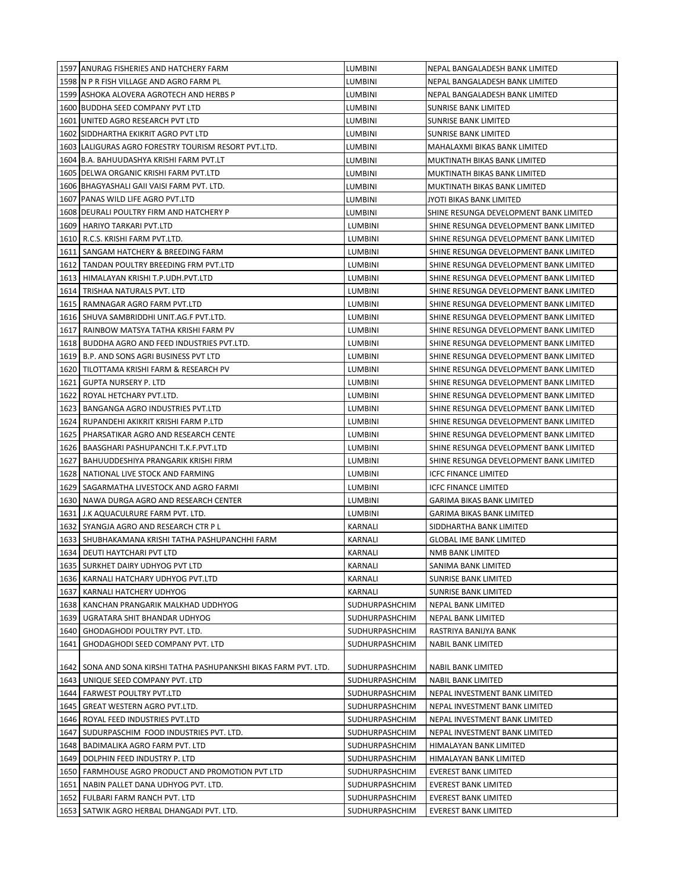| 1597 ANURAG FISHERIES AND HATCHERY FARM                             | LUMBINI        | NEPAL BANGALADESH BANK LIMITED         |
|---------------------------------------------------------------------|----------------|----------------------------------------|
| 1598 IN P R FISH VILLAGE AND AGRO FARM PL                           | LUMBINI        | NEPAL BANGALADESH BANK LIMITED         |
| 1599 ASHOKA ALOVERA AGROTECH AND HERBS P                            | LUMBINI        | NEPAL BANGALADESH BANK LIMITED         |
| 1600 BUDDHA SEED COMPANY PVT LTD                                    | LUMBINI        | SUNRISE BANK LIMITED                   |
| 1601 UNITED AGRO RESEARCH PVT LTD                                   | LUMBINI        | SUNRISE BANK LIMITED                   |
| 1602 SIDDHARTHA EKIKRIT AGRO PVT LTD                                | LUMBINI        | <b>SUNRISE BANK LIMITED</b>            |
| 1603 LALIGURAS AGRO FORESTRY TOURISM RESORT PVT.LTD.                | LUMBINI        | MAHALAXMI BIKAS BANK LIMITED           |
| 1604 B.A. BAHUUDASHYA KRISHI FARM PVT.LT                            | LUMBINI        | MUKTINATH BIKAS BANK LIMITED           |
| 1605 DELWA ORGANIC KRISHI FARM PVT.LTD                              | LUMBINI        | MUKTINATH BIKAS BANK LIMITED           |
| 1606 BHAGYASHALI GAII VAISI FARM PVT. LTD.                          | LUMBINI        | MUKTINATH BIKAS BANK LIMITED           |
| 1607 PANAS WILD LIFE AGRO PVT.LTD                                   | LUMBINI        | JYOTI BIKAS BANK LIMITED               |
| 1608 DEURALI POULTRY FIRM AND HATCHERY P                            | LUMBINI        | SHINE RESUNGA DEVELOPMENT BANK LIMITED |
| 1609<br>HARIYO TARKARI PVT.LTD                                      | LUMBINI        | SHINE RESUNGA DEVELOPMENT BANK LIMITED |
| 1610<br>R.C.S. KRISHI FARM PVT.LTD.                                 | LUMBINI        | SHINE RESUNGA DEVELOPMENT BANK LIMITED |
| 1611<br>SANGAM HATCHERY & BREEDING FARM                             | LUMBINI        | SHINE RESUNGA DEVELOPMENT BANK LIMITED |
| 1612<br>TANDAN POULTRY BREEDING FRM PVT.LTD                         | LUMBINI        | SHINE RESUNGA DEVELOPMENT BANK LIMITED |
| 1613<br>HIMALAYAN KRISHI T.P.UDH.PVT.LTD                            | LUMBINI        | SHINE RESUNGA DEVELOPMENT BANK LIMITED |
| 1614<br>TRISHAA NATURALS PVT. LTD                                   | <b>LUMBINI</b> | SHINE RESUNGA DEVELOPMENT BANK LIMITED |
| 1615<br>RAMNAGAR AGRO FARM PVT.LTD                                  | LUMBINI        | SHINE RESUNGA DEVELOPMENT BANK LIMITED |
| 1616<br>SHUVA SAMBRIDDHI UNIT.AG.F PVT.LTD.                         | <b>LUMBINI</b> | SHINE RESUNGA DEVELOPMENT BANK LIMITED |
| 1617<br>RAINBOW MATSYA TATHA KRISHI FARM PV                         | LUMBINI        | SHINE RESUNGA DEVELOPMENT BANK LIMITED |
| 1618<br>BUDDHA AGRO AND FEED INDUSTRIES PVT.LTD.                    | <b>LUMBINI</b> | SHINE RESUNGA DEVELOPMENT BANK LIMITED |
| 1619<br><b>B.P. AND SONS AGRI BUSINESS PVT LTD</b>                  | <b>LUMBINI</b> | SHINE RESUNGA DEVELOPMENT BANK LIMITED |
| 1620<br>TILOTTAMA KRISHI FARM & RESEARCH PV                         | <b>LUMBINI</b> | SHINE RESUNGA DEVELOPMENT BANK LIMITED |
| 1621<br>GUPTA NURSERY P. LTD                                        | LUMBINI        | SHINE RESUNGA DEVELOPMENT BANK LIMITED |
| 1622<br>ROYAL HETCHARY PVT.LTD.                                     | <b>LUMBINI</b> | SHINE RESUNGA DEVELOPMENT BANK LIMITED |
| 1623<br>BANGANGA AGRO INDUSTRIES PVT.LTD                            | <b>LUMBINI</b> | SHINE RESUNGA DEVELOPMENT BANK LIMITED |
| 1624<br>RUPANDEHI AKIKRIT KRISHI FARM P.LTD                         | <b>LUMBINI</b> | SHINE RESUNGA DEVELOPMENT BANK LIMITED |
| 1625<br>PHARSATIKAR AGRO AND RESEARCH CENTE                         | <b>LUMBINI</b> | SHINE RESUNGA DEVELOPMENT BANK LIMITED |
| 1626<br>BAASGHARI PASHUPANCHI T.K.F.PVT.LTD                         | LUMBINI        | SHINE RESUNGA DEVELOPMENT BANK LIMITED |
| 1627<br>BAHUUDDESHIYA PRANGARIK KRISHI FIRM                         | LUMBINI        | SHINE RESUNGA DEVELOPMENT BANK LIMITED |
| 1628<br>NATIONAL LIVE STOCK AND FARMING                             | LUMBINI        | <b>ICFC FINANCE LIMITED</b>            |
| 1629   SAGARMATHA LIVESTOCK AND AGRO FARMI                          | LUMBINI        | <b>ICFC FINANCE LIMITED</b>            |
| 1630 NAWA DURGA AGRO AND RESEARCH CENTER                            | LUMBINI        | GARIMA BIKAS BANK LIMITED              |
| 1631 J.K AQUACULRURE FARM PVT. LTD.                                 | <b>LUMBINI</b> | <b>GARIMA BIKAS BANK LIMITED</b>       |
| 1632 SYANGJA AGRO AND RESEARCH CTR PL                               | KARNALI        | SIDDHARTHA BANK LIMITED                |
| 1633   SHUBHAKAMANA KRISHI TATHA PASHUPANCHHI FARM                  | <b>KARNALI</b> | <b>GLOBAL IME BANK LIMITED</b>         |
| 1634 DEUTI HAYTCHARI PVT LTD                                        | KARNALI        | NMB BANK LIMITED                       |
| 1635<br>SURKHET DAIRY UDHYOG PVT LTD                                | KARNALI        | SANIMA BANK LIMITED                    |
| 1636   KARNALI HATCHARY UDHYOG PVT.LTD                              | KARNALI        | SUNRISE BANK LIMITED                   |
| 1637<br>KARNALI HATCHERY UDHYOG                                     | KARNALI        | SUNRISE BANK LIMITED                   |
| 1638<br>KANCHAN PRANGARIK MALKHAD UDDHYOG                           | SUDHURPASHCHIM | NEPAL BANK LIMITED                     |
| 1639<br>UGRATARA SHIT BHANDAR UDHYOG                                | SUDHURPASHCHIM | NEPAL BANK LIMITED                     |
| 1640<br>GHODAGHODI POULTRY PVT. LTD.                                | SUDHURPASHCHIM | RASTRIYA BANIJYA BANK                  |
| 1641<br>GHODAGHODI SEED COMPANY PVT. LTD                            | SUDHURPASHCHIM | NABIL BANK LIMITED                     |
| 1642   SONA AND SONA KIRSHI TATHA PASHUPANKSHI BIKAS FARM PVT. LTD. | SUDHURPASHCHIM | NABIL BANK LIMITED                     |
| 1643<br>UNIQUE SEED COMPANY PVT. LTD                                | SUDHURPASHCHIM | <b>NABIL BANK LIMITED</b>              |
| 1644<br><b>FARWEST POULTRY PVT.LTD</b>                              | SUDHURPASHCHIM | NEPAL INVESTMENT BANK LIMITED          |
| 1645<br>GREAT WESTERN AGRO PVT.LTD.                                 | SUDHURPASHCHIM | NEPAL INVESTMENT BANK LIMITED          |
| 1646<br>ROYAL FEED INDUSTRIES PVT.LTD                               | SUDHURPASHCHIM | NEPAL INVESTMENT BANK LIMITED          |
| 1647<br>SUDURPASCHIM FOOD INDUSTRIES PVT. LTD.                      | SUDHURPASHCHIM | NEPAL INVESTMENT BANK LIMITED          |
| 1648<br>BADIMALIKA AGRO FARM PVT. LTD                               | SUDHURPASHCHIM | HIMALAYAN BANK LIMITED                 |
| 1649<br>DOLPHIN FEED INDUSTRY P. LTD                                | SUDHURPASHCHIM | HIMALAYAN BANK LIMITED                 |
| 1650 FARMHOUSE AGRO PRODUCT AND PROMOTION PVT LTD                   | SUDHURPASHCHIM | EVEREST BANK LIMITED                   |
| 1651<br>NABIN PALLET DANA UDHYOG PVT. LTD.                          | SUDHURPASHCHIM | EVEREST BANK LIMITED                   |
| 1652<br>FULBARI FARM RANCH PVT. LTD                                 | SUDHURPASHCHIM | EVEREST BANK LIMITED                   |
| 1653   SATWIK AGRO HERBAL DHANGADI PVT. LTD.                        | SUDHURPASHCHIM | <b>EVEREST BANK LIMITED</b>            |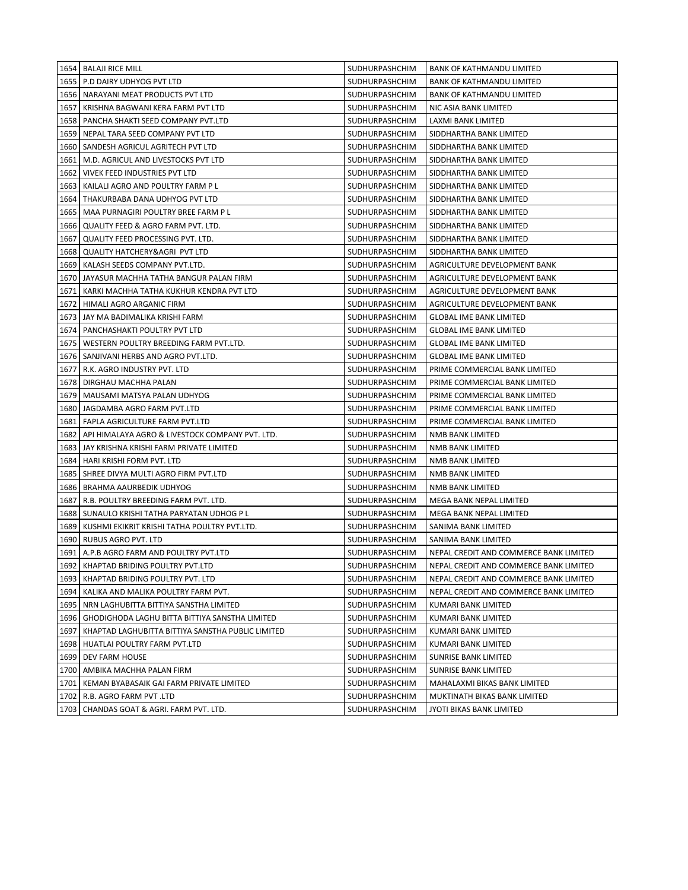|      | 1654 BALAJI RICE MILL                                  | SUDHURPASHCHIM        | <b>BANK OF KATHMANDU LIMITED</b>       |
|------|--------------------------------------------------------|-----------------------|----------------------------------------|
|      | 1655   P.D DAIRY UDHYOG PVT LTD                        | SUDHURPASHCHIM        | <b>BANK OF KATHMANDU LIMITED</b>       |
|      | 1656   NARAYANI MEAT PRODUCTS PVT LTD                  | SUDHURPASHCHIM        | <b>BANK OF KATHMANDU LIMITED</b>       |
|      | 1657   KRISHNA BAGWANI KERA FARM PVT LTD               | SUDHURPASHCHIM        | NIC ASIA BANK LIMITED                  |
|      | 1658   PANCHA SHAKTI SEED COMPANY PVT.LTD              | <b>SUDHURPASHCHIM</b> | LAXMI BANK LIMITED                     |
|      | 1659 NEPAL TARA SEED COMPANY PVT LTD                   | SUDHURPASHCHIM        | SIDDHARTHA BANK LIMITED                |
|      | 1660   SANDESH AGRICUL AGRITECH PVT LTD                | SUDHURPASHCHIM        | SIDDHARTHA BANK LIMITED                |
|      | 1661   M.D. AGRICUL AND LIVESTOCKS PVT LTD             | SUDHURPASHCHIM        | SIDDHARTHA BANK LIMITED                |
|      | 1662 VIVEK FEED INDUSTRIES PVT LTD                     | <b>SUDHURPASHCHIM</b> | SIDDHARTHA BANK LIMITED                |
|      | 1663   KAILALI AGRO AND POULTRY FARM P L               | SUDHURPASHCHIM        | SIDDHARTHA BANK LIMITED                |
|      | 1664   THAKURBABA DANA UDHYOG PVT LTD                  | SUDHURPASHCHIM        | SIDDHARTHA BANK LIMITED                |
| 1665 | MAA PURNAGIRI POULTRY BREE FARM PL                     | <b>SUDHURPASHCHIM</b> | SIDDHARTHA BANK LIMITED                |
| 1666 | QUALITY FEED & AGRO FARM PVT. LTD.                     | SUDHURPASHCHIM        | SIDDHARTHA BANK LIMITED                |
| 1667 | QUALITY FEED PROCESSING PVT. LTD.                      | <b>SUDHURPASHCHIM</b> | SIDDHARTHA BANK LIMITED                |
| 1668 | <b>QUALITY HATCHERY&amp;AGRI PVT LTD</b>               | SUDHURPASHCHIM        | SIDDHARTHA BANK LIMITED                |
| 1669 | KALASH SEEDS COMPANY PVT.LTD.                          | SUDHURPASHCHIM        | AGRICULTURE DEVELOPMENT BANK           |
| 1670 | JAYASUR MACHHA TATHA BANGUR PALAN FIRM                 | SUDHURPASHCHIM        | <b>AGRICULTURE DEVELOPMENT BANK</b>    |
| 1671 | KARKI MACHHA TATHA KUKHUR KENDRA PVT LTD               | SUDHURPASHCHIM        | AGRICULTURE DEVELOPMENT BANK           |
| 1672 | HIMALI AGRO ARGANIC FIRM                               | SUDHURPASHCHIM        | AGRICULTURE DEVELOPMENT BANK           |
|      | 1673 JAY MA BADIMALIKA KRISHI FARM                     | SUDHURPASHCHIM        | <b>GLOBAL IME BANK LIMITED</b>         |
|      | 1674   PANCHASHAKTI POULTRY PVT LTD                    | SUDHURPASHCHIM        | <b>GLOBAL IME BANK LIMITED</b>         |
|      | 1675   WESTERN POULTRY BREEDING FARM PVT.LTD.          | SUDHURPASHCHIM        | <b>GLOBAL IME BANK LIMITED</b>         |
|      | 1676   SANJIVANI HERBS AND AGRO PVT.LTD.               | SUDHURPASHCHIM        | <b>GLOBAL IME BANK LIMITED</b>         |
|      | 1677   R.K. AGRO INDUSTRY PVT. LTD                     | SUDHURPASHCHIM        | PRIME COMMERCIAL BANK LIMITED          |
|      | 1678   DIRGHAU MACHHA PALAN                            | SUDHURPASHCHIM        | PRIME COMMERCIAL BANK LIMITED          |
|      | 1679   MAUSAMI MATSYA PALAN UDHYOG                     | SUDHURPASHCHIM        | PRIME COMMERCIAL BANK LIMITED          |
|      | 1680 JAGDAMBA AGRO FARM PVT.LTD                        | SUDHURPASHCHIM        | PRIME COMMERCIAL BANK LIMITED          |
|      | 1681   FAPLA AGRICULTURE FARM PVT.LTD                  | SUDHURPASHCHIM        | PRIME COMMERCIAL BANK LIMITED          |
|      | 1682   API HIMALAYA AGRO & LIVESTOCK COMPANY PVT. LTD. | SUDHURPASHCHIM        | NMB BANK LIMITED                       |
|      | 1683   JAY KRISHNA KRISHI FARM PRIVATE LIMITED         | SUDHURPASHCHIM        | NMB BANK LIMITED                       |
|      | 1684 HARI KRISHI FORM PVT. LTD                         | SUDHURPASHCHIM        | NMB BANK LIMITED                       |
|      | 1685   SHREE DIVYA MULTI AGRO FIRM PVT.LTD             | SUDHURPASHCHIM        | NMB BANK LIMITED                       |
| 1686 | BRAHMA AAURBEDIK UDHYOG                                | SUDHURPASHCHIM        | NMB BANK LIMITED                       |
| 1687 | R.B. POULTRY BREEDING FARM PVT. LTD.                   | SUDHURPASHCHIM        | MEGA BANK NEPAL LIMITED                |
| 1688 | SUNAULO KRISHI TATHA PARYATAN UDHOG P L                | SUDHURPASHCHIM        | MEGA BANK NEPAL LIMITED                |
| 1689 | KUSHMI EKIKRIT KRISHI TATHA POULTRY PVT.LTD.           | SUDHURPASHCHIM        | SANIMA BANK LIMITED                    |
|      | 1690 RUBUS AGRO PVT. LTD                               | SUDHURPASHCHIM        | SANIMA BANK LIMITED                    |
| 1691 | A.P.B AGRO FARM AND POULTRY PVT.LTD                    | SUDHURPASHCHIM        | NEPAL CREDIT AND COMMERCE BANK LIMITED |
|      | 1692 KHAPTAD BRIDING POULTRY PVT.LTD                   | SUDHURPASHCHIM        | NEPAL CREDIT AND COMMERCE BANK LIMITED |
|      | 1693   KHAPTAD BRIDING POULTRY PVT. LTD                | SUDHURPASHCHIM        | NEPAL CREDIT AND COMMERCE BANK LIMITED |
|      | 1694   KALIKA AND MALIKA POULTRY FARM PVT.             | SUDHURPASHCHIM        | NEPAL CREDIT AND COMMERCE BANK LIMITED |
|      | 1695   NRN LAGHUBITTA BITTIYA SANSTHA LIMITED          | SUDHURPASHCHIM        | KUMARI BANK LIMITED                    |
|      | 1696   GHODIGHODA LAGHU BITTA BITTIYA SANSTHA LIMITED  | SUDHURPASHCHIM        | KUMARI BANK LIMITED                    |
| 1697 | KHAPTAD LAGHUBITTA BITTIYA SANSTHA PUBLIC LIMITED      | SUDHURPASHCHIM        | KUMARI BANK LIMITED                    |
|      | 1698 HUATLAI POULTRY FARM PVT.LTD                      | SUDHURPASHCHIM        | KUMARI BANK LIMITED                    |
|      | 1699 DEV FARM HOUSE                                    | SUDHURPASHCHIM        | SUNRISE BANK LIMITED                   |
|      | 1700 AMBIKA MACHHA PALAN FIRM                          | SUDHURPASHCHIM        | SUNRISE BANK LIMITED                   |
|      | 1701   KEMAN BYABASAIK GAI FARM PRIVATE LIMITED        | SUDHURPASHCHIM        | MAHALAXMI BIKAS BANK LIMITED           |
|      | 1702 R.B. AGRO FARM PVT .LTD                           | SUDHURPASHCHIM        | MUKTINATH BIKAS BANK LIMITED           |
|      | 1703 CHANDAS GOAT & AGRI. FARM PVT. LTD.               | SUDHURPASHCHIM        | JYOTI BIKAS BANK LIMITED               |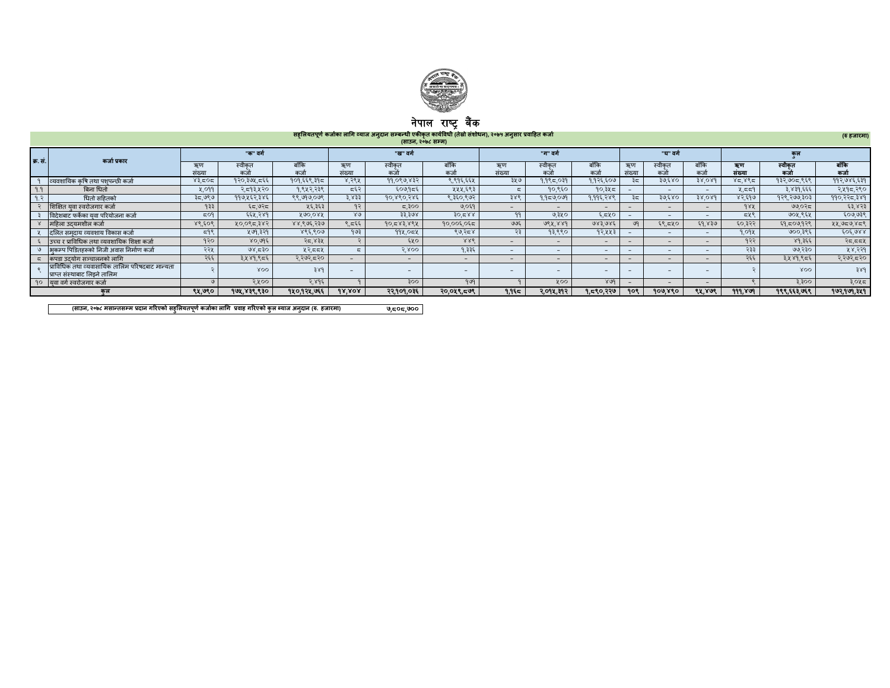

## नपाल राष्ट्र बक

सहूलियतपूर्ण कजोका लागि व्याज अनुदान सम्बन्धी एकीकृत कार्यावेधी (तेस्रो सशोधन), २०७५ अनुसार प्रवाहित कजो<br>(साउन, २०७८ सम्म) (साउन, २०७८ सम्म)

|                  | $\frac{1}{2}$                                                                    |                      |               |              |              |               |                          |                          |                          |                          |       |                          |                          |              |                 |                |
|------------------|----------------------------------------------------------------------------------|----------------------|---------------|--------------|--------------|---------------|--------------------------|--------------------------|--------------------------|--------------------------|-------|--------------------------|--------------------------|--------------|-----------------|----------------|
| क. सं.           | कर्जा प्रकार                                                                     | "ख" वर्ग<br>"क" वर्ग |               |              |              | "ग" वर्ग      |                          |                          | "ਬ" ਰਹੀ                  |                          |       | कल                       |                          |              |                 |                |
|                  |                                                                                  | ઋण<br>संख्या         | स्वीकत<br>कजो | बाँकि<br>कजो | ऋण<br>संख्या | स्वीकत<br>कजो | बाँकि<br>कजो             | ઋूण<br>संख्या            | स्वीकत<br>कजो            | बाँकि<br>कजो             | सख्या | स्वीकत<br>कर्ज           | बाँकि<br>कजो             | ऋण<br>संख्या | स्वीकत<br>कर्जा | बाँकि<br>कर्जा |
|                  | व्यवशायिक कषि तथा पशपन्छी कर्जा                                                  | ४३.८०८               | १२०,३७५,८६६   | १०१,६६९,३१८  | ४,२९५        | 99,099,832    | ९.९१६.६६५                | ३५७                      | $9.9$ $9.9$              | १,१२६,६०७                | ತಿದ   | ३७,६४०                   | 38.089                   | 85,885       | १३२,७०८,९६९     | ११२,७४६,६३१    |
| 9.9              | बिना धितो                                                                        | 4.099                | २,८१३,५२०     | १,९५२,२३९    | द६२          | ६०७,१८६       | ५५५,६९३                  |                          | १०,९६०                   | १०,३५८                   |       | $\overline{\phantom{0}}$ | $\overline{\phantom{a}}$ | 4.55         | ३,४३१,६६६       | २,५१८,२९०      |
| 9. $\mathcal{R}$ | धितो सहितको                                                                      | ३८,७९७               | ११७,५६२,३४६   | ९९,७१७,०७९   | 3.833        | १०,४९०,२४६    | ९,३६०,९७२                | ३४९                      | १,१८७,०७१                | १.११६.२४९                | ತಿದ   | ३७,६४०                   | 38.089                   | ४२,६१७       | १२९,२७७,३०३     | ११०,२२८,३४१    |
|                  | शिक्षित यवा स्वरोजगार कर्जा                                                      | 933                  | ६८,७२८        | ५६,३६३       | 92           | ದ,३००         | ७,०६१                    | $\sim$                   | $\overline{\phantom{0}}$ | $\overline{\phantom{0}}$ |       | $\overline{\phantom{0}}$ | $\overline{\phantom{a}}$ | 982          | ७७.०२८          | ६३,४२३         |
|                  | विदेशबाट फर्केका यवा परियोजना कर्जा                                              | EOS                  | ६६५,२४१       | 890.088      | $80^{\circ}$ | 33.308        | 80.588                   | 99                       | ७,३५०                    | ६.८५०                    |       | $\overline{\phantom{0}}$ | $\overline{\phantom{a}}$ | 548          | ७०५,९६५         | ६०७,७३९        |
|                  | महिला उदयमशील कर्जा                                                              | ४९,६०९               | ५०,०९८,३४२    | ४४,९७६,२३७   | ९.⊂६६ ।      | 90,583,888    | १०,००६,०६८               | ७७६                      | 988.889                  | 983.985                  | ७१    | ६९.८५०                   | ६१,४३७                   | ६०,३२२       | ६१.८०७,१२९      | ५५,७८७,४८९     |
|                  | दलित समदाय व्यवशाय विकास कर्जा                                                   | 598                  | ५७१,३२१       | ४९६,९०७      | 993          | 992,052       | ९७,२८४                   | $\mathcal{L}$            | १३,९९०                   | १२.५५                    |       | $\overline{\phantom{0}}$ | $-$                      | 9.09%        | ७००,३९६         | 505.988        |
|                  | उच्च र प्राविधिक तथा व्यवशायिक शिक्षा कर्जा                                      | १२०                  | ४०,७१६        | २८,४३५       |              | ६५०           | 886                      | $\overline{\phantom{0}}$ | $\overline{\phantom{a}}$ | $\overline{\phantom{0}}$ |       | $\overline{\phantom{0}}$ | $\overline{\phantom{a}}$ | १२२          | ४१,३६६          | २८,८८५         |
|                  | ७   अकम्प पिडितहरूको निजी अवास निर्माण कर्जा                                     | २२५                  | 98,530        | ५२,८८५       |              | 5.800         | १.३३६                    | $\sim$                   | $\overline{\phantom{0}}$ | $\overline{\phantom{0}}$ |       | $\overline{\phantom{0}}$ | $\overline{\phantom{a}}$ | २३३          | ७७,२३०          | ५४,२२१         |
|                  | ्द किपडा उदयोग सञ्चालनको लागि                                                    | २६६                  | ३.५४१.९८६     | २,२७२,८२०    |              | -             | $\overline{\phantom{0}}$ | $\overline{\phantom{0}}$ | $\overline{\phantom{a}}$ | $\overline{\phantom{0}}$ |       | $\overline{\phantom{0}}$ | $\overline{\phantom{a}}$ | २६६          | ३,५४१,९८६       | २,२७२,८२०      |
|                  | प्राविधिक तथा व्यवासायिक तालिम परिषदबाट मान्यता<br>प्राप्त संस्थाबाट लिडने तालिम |                      | XOO           | 389          |              |               |                          |                          |                          | $\overline{\phantom{0}}$ |       |                          |                          |              | XOO             | 38d            |
|                  | 90 यवा वर्ग स्वरोजगार कर्जा                                                      |                      | २.५००         | २,४१६        |              | 300           | 909                      |                          | <b>YOO</b>               | 809                      |       |                          |                          |              | 3.300           | ३,०५८          |
|                  | कल                                                                               | ९५,७९०               | 99x,838,830   | १४०,१२४,७६६  | 98.808       | २२.१०१.०३६    | २०,०५९,८७९               | ใ.ใ६ั≂                   | २.०१४.३१२                | १.८९०.२२७                | १०९   | 900.880                  | ९४,४७९                   | 999.869      | १९९,६६३,७६९     | 902,909,349    |

 7,808,700 (साउन, २०७८ मसान्तसम्म प्रदान गरिएको सहुलियतपूर्ण कर्जाका लागि प्रवाह गरिएको कुल ब्याज अनुदान (रु. हजारमा)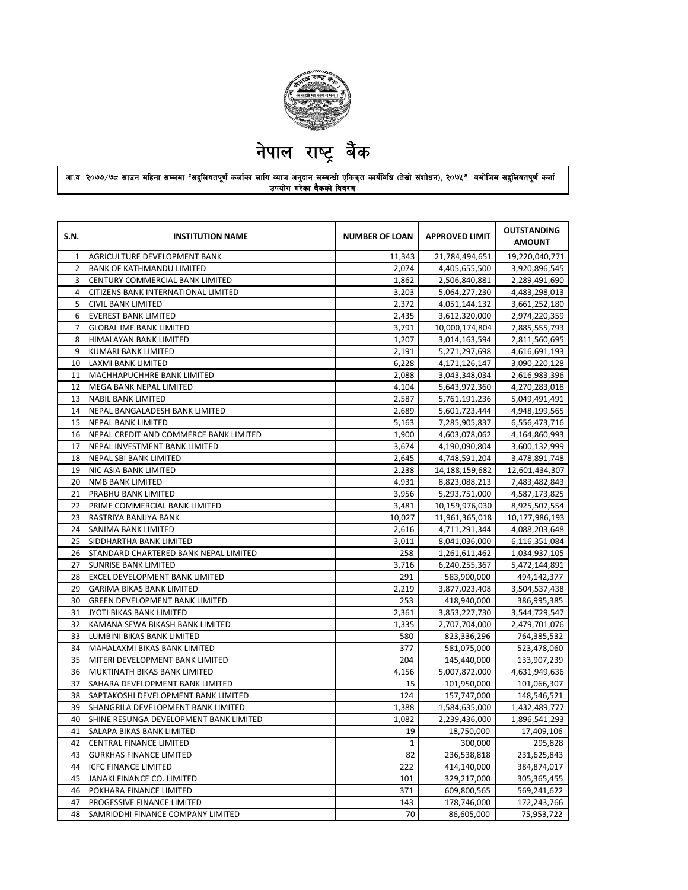

## आ.व. २०७७⁄७८ साउन महिना सम्ममा "सहुलियतपूर्ण कर्जाका लागि व्याज अनुदान सम्बन्धी एकिकृत कार्यविधि (तेस्रो संशोधन), २०७१″ बमोजिम सहुलियतपूर्ण कर्जा उपयोग गरेका बैंकको विवरण

| AGRICULTURE DEVELOPMENT BANK<br>11,343<br>21,784,494,651<br>1<br>$\overline{2}$<br>2,074<br>4,405,655,500<br><b>BANK OF KATHMANDU LIMITED</b><br>3<br>CENTURY COMMERCIAL BANK LIMITED<br>1,862<br>2,506,840,881<br>4<br>CITIZENS BANK INTERNATIONAL LIMITED<br>3,203<br>5,064,277,230<br>5<br><b>CIVIL BANK LIMITED</b><br>2,372<br>4,051,144,132<br>6<br><b>EVEREST BANK LIMITED</b><br>2,435<br>3,612,320,000<br><b>GLOBAL IME BANK LIMITED</b><br>3,791<br>10,000,174,804<br>7<br>8<br>HIMALAYAN BANK LIMITED<br>1,207<br>3,014,163,594<br>9<br>2,191<br>KUMARI BANK LIMITED<br>5,271,297,698<br>LAXMI BANK LIMITED<br>10<br>6,228<br>4,171,126,147<br>11<br>MACHHAPUCHHRE BANK LIMITED<br>2,088<br>3,043,348,034<br>12<br>MEGA BANK NEPAL LIMITED<br>4,104<br>5,643,972,360<br>13<br><b>NABIL BANK LIMITED</b><br>2,587<br>5,761,191,236<br>NEPAL BANGALADESH BANK LIMITED<br>2,689<br>5,601,723,444<br>14<br>15<br><b>NEPAL BANK LIMITED</b><br>5,163<br>7,285,905,837<br>16<br>NEPAL CREDIT AND COMMERCE BANK LIMITED<br>1,900<br>4,603,078,062<br>17<br>3,674<br>NEPAL INVESTMENT BANK LIMITED<br>4,190,090,804<br>18<br>NEPAL SBI BANK LIMITED<br>2,645<br>4,748,591,204<br>19<br>NIC ASIA BANK LIMITED<br>2,238<br>14,188,159,682<br><b>NMB BANK LIMITED</b><br>4,931<br>20<br>8,823,088,213<br>21<br>3,956<br>5,293,751,000<br>PRABHU BANK LIMITED<br>22<br>PRIME COMMERCIAL BANK LIMITED<br>3,481<br>10,159,976,030<br>23<br>RASTRIYA BANIJYA BANK<br>10,027<br>11,961,365,018<br>24<br>SANIMA BANK LIMITED<br>2,616<br>4,711,291,344<br>25<br>SIDDHARTHA BANK LIMITED<br>3,011<br>8,041,036,000<br>258<br>26<br>STANDARD CHARTERED BANK NEPAL LIMITED<br>1,261,611,462<br>1,034,937,105<br>27<br>SUNRISE BANK LIMITED<br>3,716<br>5,472,144,891<br>6,240,255,367<br>EXCEL DEVELOPMENT BANK LIMITED<br>291<br>583,900,000<br>28<br>494,142,377<br>29<br><b>GARIMA BIKAS BANK LIMITED</b><br>2,219<br>3,877,023,408<br>3,504,537,438<br>30<br>253<br><b>GREEN DEVELOPMENT BANK LIMITED</b><br>418,940,000<br>386,995,385<br>2,361<br>3,853,227,730<br>3,544,729,547<br>31<br>JYOTI BIKAS BANK LIMITED<br>KAMANA SEWA BIKASH BANK LIMITED<br>2,707,704,000<br>32<br>1,335<br>2,479,701,076<br>33<br>LUMBINI BIKAS BANK LIMITED<br>580<br>823,336,296<br>764,385,532<br>377<br>34<br>MAHALAXMI BIKAS BANK LIMITED<br>581,075,000<br>523,478,060<br>35<br>204<br>MITERI DEVELOPMENT BANK LIMITED<br>145,440,000<br>133,907,239<br>36<br>MUKTINATH BIKAS BANK LIMITED<br>4,156<br>5,007,872,000<br>4,631,949,636<br>37<br>15<br>SAHARA DEVELOPMENT BANK LIMITED<br>101,950,000<br>101,066,307<br>124<br>38<br>SAPTAKOSHI DEVELOPMENT BANK LIMITED<br>157,747,000<br>148,546,521<br>39<br>SHANGRILA DEVELOPMENT BANK LIMITED<br>1,388<br>1,584,635,000<br>1,432,489,777<br>40<br>SHINE RESUNGA DEVELOPMENT BANK LIMITED<br>1.082<br>2.239.436.000<br>SALAPA BIKAS BANK LIMITED<br>19<br>18,750,000<br>17,409,106<br>41<br>42<br>300,000<br>295,828<br>CENTRAL FINANCE LIMITED<br>1<br>82<br>236,538,818<br>43<br><b>GURKHAS FINANCE LIMITED</b><br>231,625,843<br>44<br><b>ICFC FINANCE LIMITED</b><br>222<br>414,140,000<br>384,874,017<br>45<br>JANAKI FINANCE CO. LIMITED<br>101<br>329,217,000<br>305,365,455<br>46<br>371<br>POKHARA FINANCE LIMITED<br>609,800,565<br>569,241,622<br>47<br>143<br>PROGESSIVE FINANCE LIMITED<br>178,746,000<br>172,243,766<br>70<br>86,605,000<br>48<br>SAMRIDDHI FINANCE COMPANY LIMITED<br>75,953,722 | S.N. | <b>INSTITUTION NAME</b> | <b>NUMBER OF LOAN</b> | <b>APPROVED LIMIT</b> | <b>OUTSTANDING</b><br><b>AMOUNT</b> |
|----------------------------------------------------------------------------------------------------------------------------------------------------------------------------------------------------------------------------------------------------------------------------------------------------------------------------------------------------------------------------------------------------------------------------------------------------------------------------------------------------------------------------------------------------------------------------------------------------------------------------------------------------------------------------------------------------------------------------------------------------------------------------------------------------------------------------------------------------------------------------------------------------------------------------------------------------------------------------------------------------------------------------------------------------------------------------------------------------------------------------------------------------------------------------------------------------------------------------------------------------------------------------------------------------------------------------------------------------------------------------------------------------------------------------------------------------------------------------------------------------------------------------------------------------------------------------------------------------------------------------------------------------------------------------------------------------------------------------------------------------------------------------------------------------------------------------------------------------------------------------------------------------------------------------------------------------------------------------------------------------------------------------------------------------------------------------------------------------------------------------------------------------------------------------------------------------------------------------------------------------------------------------------------------------------------------------------------------------------------------------------------------------------------------------------------------------------------------------------------------------------------------------------------------------------------------------------------------------------------------------------------------------------------------------------------------------------------------------------------------------------------------------------------------------------------------------------------------------------------------------------------------------------------------------------------------------------------------------------------------------------------------------------------------------------------------------------------------------------------------------------------------------------------------------------------------------------------------------------------------------------------------------------------------------------------------------------------------------------------------------------------------------------------------------------------------------|------|-------------------------|-----------------------|-----------------------|-------------------------------------|
|                                                                                                                                                                                                                                                                                                                                                                                                                                                                                                                                                                                                                                                                                                                                                                                                                                                                                                                                                                                                                                                                                                                                                                                                                                                                                                                                                                                                                                                                                                                                                                                                                                                                                                                                                                                                                                                                                                                                                                                                                                                                                                                                                                                                                                                                                                                                                                                                                                                                                                                                                                                                                                                                                                                                                                                                                                                                                                                                                                                                                                                                                                                                                                                                                                                                                                                                                                                                                                                    |      |                         |                       |                       | 19,220,040,771                      |
|                                                                                                                                                                                                                                                                                                                                                                                                                                                                                                                                                                                                                                                                                                                                                                                                                                                                                                                                                                                                                                                                                                                                                                                                                                                                                                                                                                                                                                                                                                                                                                                                                                                                                                                                                                                                                                                                                                                                                                                                                                                                                                                                                                                                                                                                                                                                                                                                                                                                                                                                                                                                                                                                                                                                                                                                                                                                                                                                                                                                                                                                                                                                                                                                                                                                                                                                                                                                                                                    |      |                         |                       |                       | 3,920,896,545                       |
|                                                                                                                                                                                                                                                                                                                                                                                                                                                                                                                                                                                                                                                                                                                                                                                                                                                                                                                                                                                                                                                                                                                                                                                                                                                                                                                                                                                                                                                                                                                                                                                                                                                                                                                                                                                                                                                                                                                                                                                                                                                                                                                                                                                                                                                                                                                                                                                                                                                                                                                                                                                                                                                                                                                                                                                                                                                                                                                                                                                                                                                                                                                                                                                                                                                                                                                                                                                                                                                    |      |                         |                       |                       | 2,289,491,690                       |
|                                                                                                                                                                                                                                                                                                                                                                                                                                                                                                                                                                                                                                                                                                                                                                                                                                                                                                                                                                                                                                                                                                                                                                                                                                                                                                                                                                                                                                                                                                                                                                                                                                                                                                                                                                                                                                                                                                                                                                                                                                                                                                                                                                                                                                                                                                                                                                                                                                                                                                                                                                                                                                                                                                                                                                                                                                                                                                                                                                                                                                                                                                                                                                                                                                                                                                                                                                                                                                                    |      |                         |                       |                       | 4,483,298,013                       |
|                                                                                                                                                                                                                                                                                                                                                                                                                                                                                                                                                                                                                                                                                                                                                                                                                                                                                                                                                                                                                                                                                                                                                                                                                                                                                                                                                                                                                                                                                                                                                                                                                                                                                                                                                                                                                                                                                                                                                                                                                                                                                                                                                                                                                                                                                                                                                                                                                                                                                                                                                                                                                                                                                                                                                                                                                                                                                                                                                                                                                                                                                                                                                                                                                                                                                                                                                                                                                                                    |      |                         |                       |                       | 3,661,252,180                       |
|                                                                                                                                                                                                                                                                                                                                                                                                                                                                                                                                                                                                                                                                                                                                                                                                                                                                                                                                                                                                                                                                                                                                                                                                                                                                                                                                                                                                                                                                                                                                                                                                                                                                                                                                                                                                                                                                                                                                                                                                                                                                                                                                                                                                                                                                                                                                                                                                                                                                                                                                                                                                                                                                                                                                                                                                                                                                                                                                                                                                                                                                                                                                                                                                                                                                                                                                                                                                                                                    |      |                         |                       |                       | 2,974,220,359                       |
|                                                                                                                                                                                                                                                                                                                                                                                                                                                                                                                                                                                                                                                                                                                                                                                                                                                                                                                                                                                                                                                                                                                                                                                                                                                                                                                                                                                                                                                                                                                                                                                                                                                                                                                                                                                                                                                                                                                                                                                                                                                                                                                                                                                                                                                                                                                                                                                                                                                                                                                                                                                                                                                                                                                                                                                                                                                                                                                                                                                                                                                                                                                                                                                                                                                                                                                                                                                                                                                    |      |                         |                       |                       | 7,885,555,793                       |
|                                                                                                                                                                                                                                                                                                                                                                                                                                                                                                                                                                                                                                                                                                                                                                                                                                                                                                                                                                                                                                                                                                                                                                                                                                                                                                                                                                                                                                                                                                                                                                                                                                                                                                                                                                                                                                                                                                                                                                                                                                                                                                                                                                                                                                                                                                                                                                                                                                                                                                                                                                                                                                                                                                                                                                                                                                                                                                                                                                                                                                                                                                                                                                                                                                                                                                                                                                                                                                                    |      |                         |                       |                       | 2,811,560,695                       |
|                                                                                                                                                                                                                                                                                                                                                                                                                                                                                                                                                                                                                                                                                                                                                                                                                                                                                                                                                                                                                                                                                                                                                                                                                                                                                                                                                                                                                                                                                                                                                                                                                                                                                                                                                                                                                                                                                                                                                                                                                                                                                                                                                                                                                                                                                                                                                                                                                                                                                                                                                                                                                                                                                                                                                                                                                                                                                                                                                                                                                                                                                                                                                                                                                                                                                                                                                                                                                                                    |      |                         |                       |                       | 4,616,691,193                       |
|                                                                                                                                                                                                                                                                                                                                                                                                                                                                                                                                                                                                                                                                                                                                                                                                                                                                                                                                                                                                                                                                                                                                                                                                                                                                                                                                                                                                                                                                                                                                                                                                                                                                                                                                                                                                                                                                                                                                                                                                                                                                                                                                                                                                                                                                                                                                                                                                                                                                                                                                                                                                                                                                                                                                                                                                                                                                                                                                                                                                                                                                                                                                                                                                                                                                                                                                                                                                                                                    |      |                         |                       |                       | 3,090,220,128                       |
|                                                                                                                                                                                                                                                                                                                                                                                                                                                                                                                                                                                                                                                                                                                                                                                                                                                                                                                                                                                                                                                                                                                                                                                                                                                                                                                                                                                                                                                                                                                                                                                                                                                                                                                                                                                                                                                                                                                                                                                                                                                                                                                                                                                                                                                                                                                                                                                                                                                                                                                                                                                                                                                                                                                                                                                                                                                                                                                                                                                                                                                                                                                                                                                                                                                                                                                                                                                                                                                    |      |                         |                       |                       | 2,616,983,396                       |
|                                                                                                                                                                                                                                                                                                                                                                                                                                                                                                                                                                                                                                                                                                                                                                                                                                                                                                                                                                                                                                                                                                                                                                                                                                                                                                                                                                                                                                                                                                                                                                                                                                                                                                                                                                                                                                                                                                                                                                                                                                                                                                                                                                                                                                                                                                                                                                                                                                                                                                                                                                                                                                                                                                                                                                                                                                                                                                                                                                                                                                                                                                                                                                                                                                                                                                                                                                                                                                                    |      |                         |                       |                       | 4,270,283,018                       |
|                                                                                                                                                                                                                                                                                                                                                                                                                                                                                                                                                                                                                                                                                                                                                                                                                                                                                                                                                                                                                                                                                                                                                                                                                                                                                                                                                                                                                                                                                                                                                                                                                                                                                                                                                                                                                                                                                                                                                                                                                                                                                                                                                                                                                                                                                                                                                                                                                                                                                                                                                                                                                                                                                                                                                                                                                                                                                                                                                                                                                                                                                                                                                                                                                                                                                                                                                                                                                                                    |      |                         |                       |                       | 5,049,491,491                       |
|                                                                                                                                                                                                                                                                                                                                                                                                                                                                                                                                                                                                                                                                                                                                                                                                                                                                                                                                                                                                                                                                                                                                                                                                                                                                                                                                                                                                                                                                                                                                                                                                                                                                                                                                                                                                                                                                                                                                                                                                                                                                                                                                                                                                                                                                                                                                                                                                                                                                                                                                                                                                                                                                                                                                                                                                                                                                                                                                                                                                                                                                                                                                                                                                                                                                                                                                                                                                                                                    |      |                         |                       |                       | 4,948,199,565                       |
|                                                                                                                                                                                                                                                                                                                                                                                                                                                                                                                                                                                                                                                                                                                                                                                                                                                                                                                                                                                                                                                                                                                                                                                                                                                                                                                                                                                                                                                                                                                                                                                                                                                                                                                                                                                                                                                                                                                                                                                                                                                                                                                                                                                                                                                                                                                                                                                                                                                                                                                                                                                                                                                                                                                                                                                                                                                                                                                                                                                                                                                                                                                                                                                                                                                                                                                                                                                                                                                    |      |                         |                       |                       | 6,556,473,716                       |
|                                                                                                                                                                                                                                                                                                                                                                                                                                                                                                                                                                                                                                                                                                                                                                                                                                                                                                                                                                                                                                                                                                                                                                                                                                                                                                                                                                                                                                                                                                                                                                                                                                                                                                                                                                                                                                                                                                                                                                                                                                                                                                                                                                                                                                                                                                                                                                                                                                                                                                                                                                                                                                                                                                                                                                                                                                                                                                                                                                                                                                                                                                                                                                                                                                                                                                                                                                                                                                                    |      |                         |                       |                       | 4,164,860,993                       |
|                                                                                                                                                                                                                                                                                                                                                                                                                                                                                                                                                                                                                                                                                                                                                                                                                                                                                                                                                                                                                                                                                                                                                                                                                                                                                                                                                                                                                                                                                                                                                                                                                                                                                                                                                                                                                                                                                                                                                                                                                                                                                                                                                                                                                                                                                                                                                                                                                                                                                                                                                                                                                                                                                                                                                                                                                                                                                                                                                                                                                                                                                                                                                                                                                                                                                                                                                                                                                                                    |      |                         |                       |                       | 3,600,132,999                       |
|                                                                                                                                                                                                                                                                                                                                                                                                                                                                                                                                                                                                                                                                                                                                                                                                                                                                                                                                                                                                                                                                                                                                                                                                                                                                                                                                                                                                                                                                                                                                                                                                                                                                                                                                                                                                                                                                                                                                                                                                                                                                                                                                                                                                                                                                                                                                                                                                                                                                                                                                                                                                                                                                                                                                                                                                                                                                                                                                                                                                                                                                                                                                                                                                                                                                                                                                                                                                                                                    |      |                         |                       |                       | 3,478,891,748                       |
|                                                                                                                                                                                                                                                                                                                                                                                                                                                                                                                                                                                                                                                                                                                                                                                                                                                                                                                                                                                                                                                                                                                                                                                                                                                                                                                                                                                                                                                                                                                                                                                                                                                                                                                                                                                                                                                                                                                                                                                                                                                                                                                                                                                                                                                                                                                                                                                                                                                                                                                                                                                                                                                                                                                                                                                                                                                                                                                                                                                                                                                                                                                                                                                                                                                                                                                                                                                                                                                    |      |                         |                       |                       | 12,601,434,307                      |
|                                                                                                                                                                                                                                                                                                                                                                                                                                                                                                                                                                                                                                                                                                                                                                                                                                                                                                                                                                                                                                                                                                                                                                                                                                                                                                                                                                                                                                                                                                                                                                                                                                                                                                                                                                                                                                                                                                                                                                                                                                                                                                                                                                                                                                                                                                                                                                                                                                                                                                                                                                                                                                                                                                                                                                                                                                                                                                                                                                                                                                                                                                                                                                                                                                                                                                                                                                                                                                                    |      |                         |                       |                       | 7,483,482,843                       |
|                                                                                                                                                                                                                                                                                                                                                                                                                                                                                                                                                                                                                                                                                                                                                                                                                                                                                                                                                                                                                                                                                                                                                                                                                                                                                                                                                                                                                                                                                                                                                                                                                                                                                                                                                                                                                                                                                                                                                                                                                                                                                                                                                                                                                                                                                                                                                                                                                                                                                                                                                                                                                                                                                                                                                                                                                                                                                                                                                                                                                                                                                                                                                                                                                                                                                                                                                                                                                                                    |      |                         |                       |                       | 4,587,173,825                       |
|                                                                                                                                                                                                                                                                                                                                                                                                                                                                                                                                                                                                                                                                                                                                                                                                                                                                                                                                                                                                                                                                                                                                                                                                                                                                                                                                                                                                                                                                                                                                                                                                                                                                                                                                                                                                                                                                                                                                                                                                                                                                                                                                                                                                                                                                                                                                                                                                                                                                                                                                                                                                                                                                                                                                                                                                                                                                                                                                                                                                                                                                                                                                                                                                                                                                                                                                                                                                                                                    |      |                         |                       |                       | 8,925,507,554                       |
|                                                                                                                                                                                                                                                                                                                                                                                                                                                                                                                                                                                                                                                                                                                                                                                                                                                                                                                                                                                                                                                                                                                                                                                                                                                                                                                                                                                                                                                                                                                                                                                                                                                                                                                                                                                                                                                                                                                                                                                                                                                                                                                                                                                                                                                                                                                                                                                                                                                                                                                                                                                                                                                                                                                                                                                                                                                                                                                                                                                                                                                                                                                                                                                                                                                                                                                                                                                                                                                    |      |                         |                       |                       | 10,177,986,193                      |
|                                                                                                                                                                                                                                                                                                                                                                                                                                                                                                                                                                                                                                                                                                                                                                                                                                                                                                                                                                                                                                                                                                                                                                                                                                                                                                                                                                                                                                                                                                                                                                                                                                                                                                                                                                                                                                                                                                                                                                                                                                                                                                                                                                                                                                                                                                                                                                                                                                                                                                                                                                                                                                                                                                                                                                                                                                                                                                                                                                                                                                                                                                                                                                                                                                                                                                                                                                                                                                                    |      |                         |                       |                       | 4,088,203,648                       |
|                                                                                                                                                                                                                                                                                                                                                                                                                                                                                                                                                                                                                                                                                                                                                                                                                                                                                                                                                                                                                                                                                                                                                                                                                                                                                                                                                                                                                                                                                                                                                                                                                                                                                                                                                                                                                                                                                                                                                                                                                                                                                                                                                                                                                                                                                                                                                                                                                                                                                                                                                                                                                                                                                                                                                                                                                                                                                                                                                                                                                                                                                                                                                                                                                                                                                                                                                                                                                                                    |      |                         |                       |                       | 6,116,351,084                       |
|                                                                                                                                                                                                                                                                                                                                                                                                                                                                                                                                                                                                                                                                                                                                                                                                                                                                                                                                                                                                                                                                                                                                                                                                                                                                                                                                                                                                                                                                                                                                                                                                                                                                                                                                                                                                                                                                                                                                                                                                                                                                                                                                                                                                                                                                                                                                                                                                                                                                                                                                                                                                                                                                                                                                                                                                                                                                                                                                                                                                                                                                                                                                                                                                                                                                                                                                                                                                                                                    |      |                         |                       |                       |                                     |
|                                                                                                                                                                                                                                                                                                                                                                                                                                                                                                                                                                                                                                                                                                                                                                                                                                                                                                                                                                                                                                                                                                                                                                                                                                                                                                                                                                                                                                                                                                                                                                                                                                                                                                                                                                                                                                                                                                                                                                                                                                                                                                                                                                                                                                                                                                                                                                                                                                                                                                                                                                                                                                                                                                                                                                                                                                                                                                                                                                                                                                                                                                                                                                                                                                                                                                                                                                                                                                                    |      |                         |                       |                       |                                     |
|                                                                                                                                                                                                                                                                                                                                                                                                                                                                                                                                                                                                                                                                                                                                                                                                                                                                                                                                                                                                                                                                                                                                                                                                                                                                                                                                                                                                                                                                                                                                                                                                                                                                                                                                                                                                                                                                                                                                                                                                                                                                                                                                                                                                                                                                                                                                                                                                                                                                                                                                                                                                                                                                                                                                                                                                                                                                                                                                                                                                                                                                                                                                                                                                                                                                                                                                                                                                                                                    |      |                         |                       |                       |                                     |
|                                                                                                                                                                                                                                                                                                                                                                                                                                                                                                                                                                                                                                                                                                                                                                                                                                                                                                                                                                                                                                                                                                                                                                                                                                                                                                                                                                                                                                                                                                                                                                                                                                                                                                                                                                                                                                                                                                                                                                                                                                                                                                                                                                                                                                                                                                                                                                                                                                                                                                                                                                                                                                                                                                                                                                                                                                                                                                                                                                                                                                                                                                                                                                                                                                                                                                                                                                                                                                                    |      |                         |                       |                       |                                     |
|                                                                                                                                                                                                                                                                                                                                                                                                                                                                                                                                                                                                                                                                                                                                                                                                                                                                                                                                                                                                                                                                                                                                                                                                                                                                                                                                                                                                                                                                                                                                                                                                                                                                                                                                                                                                                                                                                                                                                                                                                                                                                                                                                                                                                                                                                                                                                                                                                                                                                                                                                                                                                                                                                                                                                                                                                                                                                                                                                                                                                                                                                                                                                                                                                                                                                                                                                                                                                                                    |      |                         |                       |                       |                                     |
|                                                                                                                                                                                                                                                                                                                                                                                                                                                                                                                                                                                                                                                                                                                                                                                                                                                                                                                                                                                                                                                                                                                                                                                                                                                                                                                                                                                                                                                                                                                                                                                                                                                                                                                                                                                                                                                                                                                                                                                                                                                                                                                                                                                                                                                                                                                                                                                                                                                                                                                                                                                                                                                                                                                                                                                                                                                                                                                                                                                                                                                                                                                                                                                                                                                                                                                                                                                                                                                    |      |                         |                       |                       |                                     |
|                                                                                                                                                                                                                                                                                                                                                                                                                                                                                                                                                                                                                                                                                                                                                                                                                                                                                                                                                                                                                                                                                                                                                                                                                                                                                                                                                                                                                                                                                                                                                                                                                                                                                                                                                                                                                                                                                                                                                                                                                                                                                                                                                                                                                                                                                                                                                                                                                                                                                                                                                                                                                                                                                                                                                                                                                                                                                                                                                                                                                                                                                                                                                                                                                                                                                                                                                                                                                                                    |      |                         |                       |                       |                                     |
|                                                                                                                                                                                                                                                                                                                                                                                                                                                                                                                                                                                                                                                                                                                                                                                                                                                                                                                                                                                                                                                                                                                                                                                                                                                                                                                                                                                                                                                                                                                                                                                                                                                                                                                                                                                                                                                                                                                                                                                                                                                                                                                                                                                                                                                                                                                                                                                                                                                                                                                                                                                                                                                                                                                                                                                                                                                                                                                                                                                                                                                                                                                                                                                                                                                                                                                                                                                                                                                    |      |                         |                       |                       |                                     |
|                                                                                                                                                                                                                                                                                                                                                                                                                                                                                                                                                                                                                                                                                                                                                                                                                                                                                                                                                                                                                                                                                                                                                                                                                                                                                                                                                                                                                                                                                                                                                                                                                                                                                                                                                                                                                                                                                                                                                                                                                                                                                                                                                                                                                                                                                                                                                                                                                                                                                                                                                                                                                                                                                                                                                                                                                                                                                                                                                                                                                                                                                                                                                                                                                                                                                                                                                                                                                                                    |      |                         |                       |                       |                                     |
|                                                                                                                                                                                                                                                                                                                                                                                                                                                                                                                                                                                                                                                                                                                                                                                                                                                                                                                                                                                                                                                                                                                                                                                                                                                                                                                                                                                                                                                                                                                                                                                                                                                                                                                                                                                                                                                                                                                                                                                                                                                                                                                                                                                                                                                                                                                                                                                                                                                                                                                                                                                                                                                                                                                                                                                                                                                                                                                                                                                                                                                                                                                                                                                                                                                                                                                                                                                                                                                    |      |                         |                       |                       |                                     |
|                                                                                                                                                                                                                                                                                                                                                                                                                                                                                                                                                                                                                                                                                                                                                                                                                                                                                                                                                                                                                                                                                                                                                                                                                                                                                                                                                                                                                                                                                                                                                                                                                                                                                                                                                                                                                                                                                                                                                                                                                                                                                                                                                                                                                                                                                                                                                                                                                                                                                                                                                                                                                                                                                                                                                                                                                                                                                                                                                                                                                                                                                                                                                                                                                                                                                                                                                                                                                                                    |      |                         |                       |                       |                                     |
|                                                                                                                                                                                                                                                                                                                                                                                                                                                                                                                                                                                                                                                                                                                                                                                                                                                                                                                                                                                                                                                                                                                                                                                                                                                                                                                                                                                                                                                                                                                                                                                                                                                                                                                                                                                                                                                                                                                                                                                                                                                                                                                                                                                                                                                                                                                                                                                                                                                                                                                                                                                                                                                                                                                                                                                                                                                                                                                                                                                                                                                                                                                                                                                                                                                                                                                                                                                                                                                    |      |                         |                       |                       |                                     |
|                                                                                                                                                                                                                                                                                                                                                                                                                                                                                                                                                                                                                                                                                                                                                                                                                                                                                                                                                                                                                                                                                                                                                                                                                                                                                                                                                                                                                                                                                                                                                                                                                                                                                                                                                                                                                                                                                                                                                                                                                                                                                                                                                                                                                                                                                                                                                                                                                                                                                                                                                                                                                                                                                                                                                                                                                                                                                                                                                                                                                                                                                                                                                                                                                                                                                                                                                                                                                                                    |      |                         |                       |                       |                                     |
|                                                                                                                                                                                                                                                                                                                                                                                                                                                                                                                                                                                                                                                                                                                                                                                                                                                                                                                                                                                                                                                                                                                                                                                                                                                                                                                                                                                                                                                                                                                                                                                                                                                                                                                                                                                                                                                                                                                                                                                                                                                                                                                                                                                                                                                                                                                                                                                                                                                                                                                                                                                                                                                                                                                                                                                                                                                                                                                                                                                                                                                                                                                                                                                                                                                                                                                                                                                                                                                    |      |                         |                       |                       |                                     |
|                                                                                                                                                                                                                                                                                                                                                                                                                                                                                                                                                                                                                                                                                                                                                                                                                                                                                                                                                                                                                                                                                                                                                                                                                                                                                                                                                                                                                                                                                                                                                                                                                                                                                                                                                                                                                                                                                                                                                                                                                                                                                                                                                                                                                                                                                                                                                                                                                                                                                                                                                                                                                                                                                                                                                                                                                                                                                                                                                                                                                                                                                                                                                                                                                                                                                                                                                                                                                                                    |      |                         |                       |                       | 1.896.541.293                       |
|                                                                                                                                                                                                                                                                                                                                                                                                                                                                                                                                                                                                                                                                                                                                                                                                                                                                                                                                                                                                                                                                                                                                                                                                                                                                                                                                                                                                                                                                                                                                                                                                                                                                                                                                                                                                                                                                                                                                                                                                                                                                                                                                                                                                                                                                                                                                                                                                                                                                                                                                                                                                                                                                                                                                                                                                                                                                                                                                                                                                                                                                                                                                                                                                                                                                                                                                                                                                                                                    |      |                         |                       |                       |                                     |
|                                                                                                                                                                                                                                                                                                                                                                                                                                                                                                                                                                                                                                                                                                                                                                                                                                                                                                                                                                                                                                                                                                                                                                                                                                                                                                                                                                                                                                                                                                                                                                                                                                                                                                                                                                                                                                                                                                                                                                                                                                                                                                                                                                                                                                                                                                                                                                                                                                                                                                                                                                                                                                                                                                                                                                                                                                                                                                                                                                                                                                                                                                                                                                                                                                                                                                                                                                                                                                                    |      |                         |                       |                       |                                     |
|                                                                                                                                                                                                                                                                                                                                                                                                                                                                                                                                                                                                                                                                                                                                                                                                                                                                                                                                                                                                                                                                                                                                                                                                                                                                                                                                                                                                                                                                                                                                                                                                                                                                                                                                                                                                                                                                                                                                                                                                                                                                                                                                                                                                                                                                                                                                                                                                                                                                                                                                                                                                                                                                                                                                                                                                                                                                                                                                                                                                                                                                                                                                                                                                                                                                                                                                                                                                                                                    |      |                         |                       |                       |                                     |
|                                                                                                                                                                                                                                                                                                                                                                                                                                                                                                                                                                                                                                                                                                                                                                                                                                                                                                                                                                                                                                                                                                                                                                                                                                                                                                                                                                                                                                                                                                                                                                                                                                                                                                                                                                                                                                                                                                                                                                                                                                                                                                                                                                                                                                                                                                                                                                                                                                                                                                                                                                                                                                                                                                                                                                                                                                                                                                                                                                                                                                                                                                                                                                                                                                                                                                                                                                                                                                                    |      |                         |                       |                       |                                     |
|                                                                                                                                                                                                                                                                                                                                                                                                                                                                                                                                                                                                                                                                                                                                                                                                                                                                                                                                                                                                                                                                                                                                                                                                                                                                                                                                                                                                                                                                                                                                                                                                                                                                                                                                                                                                                                                                                                                                                                                                                                                                                                                                                                                                                                                                                                                                                                                                                                                                                                                                                                                                                                                                                                                                                                                                                                                                                                                                                                                                                                                                                                                                                                                                                                                                                                                                                                                                                                                    |      |                         |                       |                       |                                     |
|                                                                                                                                                                                                                                                                                                                                                                                                                                                                                                                                                                                                                                                                                                                                                                                                                                                                                                                                                                                                                                                                                                                                                                                                                                                                                                                                                                                                                                                                                                                                                                                                                                                                                                                                                                                                                                                                                                                                                                                                                                                                                                                                                                                                                                                                                                                                                                                                                                                                                                                                                                                                                                                                                                                                                                                                                                                                                                                                                                                                                                                                                                                                                                                                                                                                                                                                                                                                                                                    |      |                         |                       |                       |                                     |
|                                                                                                                                                                                                                                                                                                                                                                                                                                                                                                                                                                                                                                                                                                                                                                                                                                                                                                                                                                                                                                                                                                                                                                                                                                                                                                                                                                                                                                                                                                                                                                                                                                                                                                                                                                                                                                                                                                                                                                                                                                                                                                                                                                                                                                                                                                                                                                                                                                                                                                                                                                                                                                                                                                                                                                                                                                                                                                                                                                                                                                                                                                                                                                                                                                                                                                                                                                                                                                                    |      |                         |                       |                       |                                     |
|                                                                                                                                                                                                                                                                                                                                                                                                                                                                                                                                                                                                                                                                                                                                                                                                                                                                                                                                                                                                                                                                                                                                                                                                                                                                                                                                                                                                                                                                                                                                                                                                                                                                                                                                                                                                                                                                                                                                                                                                                                                                                                                                                                                                                                                                                                                                                                                                                                                                                                                                                                                                                                                                                                                                                                                                                                                                                                                                                                                                                                                                                                                                                                                                                                                                                                                                                                                                                                                    |      |                         |                       |                       |                                     |